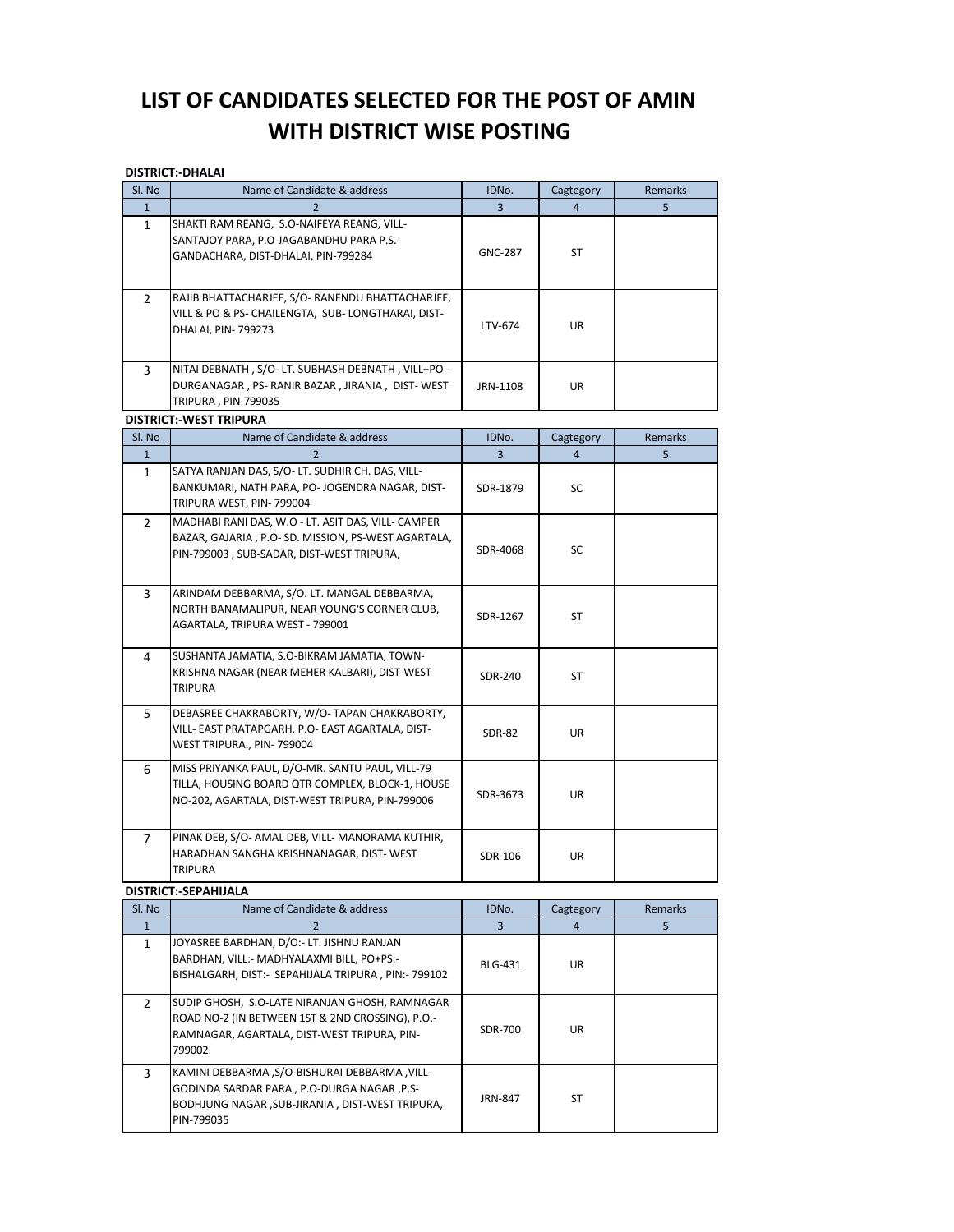# LIST OF CANDIDATES SELECTED FOR THE POST OF AMIN WITH DISTRICT WISE POSTING

#### **DISTRICT:-DHALAI**

| Sl. No         | Name of Candidate & address                                                                                                                                  | IDNo.          | Cagtegory      | Remarks |
|----------------|--------------------------------------------------------------------------------------------------------------------------------------------------------------|----------------|----------------|---------|
| $\mathbf{1}$   | 2                                                                                                                                                            | $\overline{3}$ | $\overline{4}$ | 5       |
| $\mathbf{1}$   | SHAKTI RAM REANG, S.O-NAIFEYA REANG, VILL-<br>SANTAJOY PARA, P.O-JAGABANDHU PARA P.S.-<br>GANDACHARA, DIST-DHALAI, PIN-799284                                | <b>GNC-287</b> | ST             |         |
| $\overline{2}$ | RAJIB BHATTACHARJEE, S/O- RANENDU BHATTACHARJEE,<br>VILL & PO & PS- CHAILENGTA, SUB- LONGTHARAI, DIST-<br>DHALAI, PIN-799273                                 | LTV-674        | <b>UR</b>      |         |
| 3              | NITAI DEBNATH, S/O-LT. SUBHASH DEBNATH, VILL+PO -<br>DURGANAGAR, PS-RANIR BAZAR, JIRANIA, DIST-WEST<br>TRIPURA, PIN-799035                                   | JRN-1108       | UR             |         |
|                | <b>DISTRICT:-WEST TRIPURA</b>                                                                                                                                |                |                |         |
| Sl. No         | Name of Candidate & address                                                                                                                                  | IDNo.          | Cagtegory      | Remarks |
| $\mathbf{1}$   | $\overline{2}$                                                                                                                                               | $\overline{3}$ | $\overline{4}$ | 5       |
| $\mathbf{1}$   | SATYA RANJAN DAS, S/O- LT. SUDHIR CH. DAS, VILL-<br>BANKUMARI, NATH PARA, PO- JOGENDRA NAGAR, DIST-<br>TRIPURA WEST, PIN-799004                              | SDR-1879       | SC.            |         |
| $\overline{2}$ | MADHABI RANI DAS, W.O - LT. ASIT DAS, VILL- CAMPER<br>BAZAR, GAJARIA, P.O-SD. MISSION, PS-WEST AGARTALA,<br>PIN-799003, SUB-SADAR, DIST-WEST TRIPURA,        | SDR-4068       | SC             |         |
| $\overline{3}$ | ARINDAM DEBBARMA, S/O. LT. MANGAL DEBBARMA,<br>NORTH BANAMALIPUR, NEAR YOUNG'S CORNER CLUB,<br>AGARTALA, TRIPURA WEST - 799001                               | SDR-1267       | <b>ST</b>      |         |
| 4              | SUSHANTA JAMATIA, S.O-BIKRAM JAMATIA, TOWN-<br>KRISHNA NAGAR (NEAR MEHER KALBARI), DIST-WEST<br><b>TRIPURA</b>                                               | SDR-240        | <b>ST</b>      |         |
| 5              | DEBASREE CHAKRABORTY, W/O- TAPAN CHAKRABORTY,<br>VILL- EAST PRATAPGARH, P.O- EAST AGARTALA, DIST-<br>WEST TRIPURA., PIN-799004                               | <b>SDR-82</b>  | UR             |         |
| 6              | MISS PRIYANKA PAUL, D/O-MR. SANTU PAUL, VILL-79<br>TILLA, HOUSING BOARD QTR COMPLEX, BLOCK-1, HOUSE<br>NO-202, AGARTALA, DIST-WEST TRIPURA, PIN-799006       | SDR-3673       | <b>UR</b>      |         |
| $\overline{7}$ | PINAK DEB, S/O- AMAL DEB, VILL- MANORAMA KUTHIR,<br>HARADHAN SANGHA KRISHNANAGAR, DIST-WEST<br>TRIPURA                                                       | SDR-106        | UR             |         |
|                | <b>DISTRICT:-SEPAHIJALA</b>                                                                                                                                  |                |                |         |
| Sl. No         | Name of Candidate & address                                                                                                                                  | IDNo.          | Cagtegory      | Remarks |
| $\mathbf{1}$   | 2                                                                                                                                                            | 3              | $\overline{4}$ | 5       |
| $\mathbf{1}$   | JOYASREE BARDHAN, D/O:- LT. JISHNU RANJAN<br>BARDHAN, VILL:- MADHYALAXMI BILL, PO+PS:-<br>BISHALGARH, DIST: - SEPAHIJALA TRIPURA, PIN: - 799102              | <b>BLG-431</b> | UR             |         |
| $\overline{2}$ | SUDIP GHOSH, S.O-LATE NIRANJAN GHOSH, RAMNAGAR<br>ROAD NO-2 (IN BETWEEN 1ST & 2ND CROSSING), P.O.-<br>RAMNAGAR, AGARTALA, DIST-WEST TRIPURA, PIN-<br>799002  | <b>SDR-700</b> | UR             |         |
| $\overline{3}$ | KAMINI DEBBARMA ,S/O-BISHURAI DEBBARMA ,VILL-<br>GODINDA SARDAR PARA, P.O-DURGA NAGAR, P.S-<br>BODHJUNG NAGAR, SUB-JIRANIA, DIST-WEST TRIPURA,<br>PIN-799035 | JRN-847        | <b>ST</b>      |         |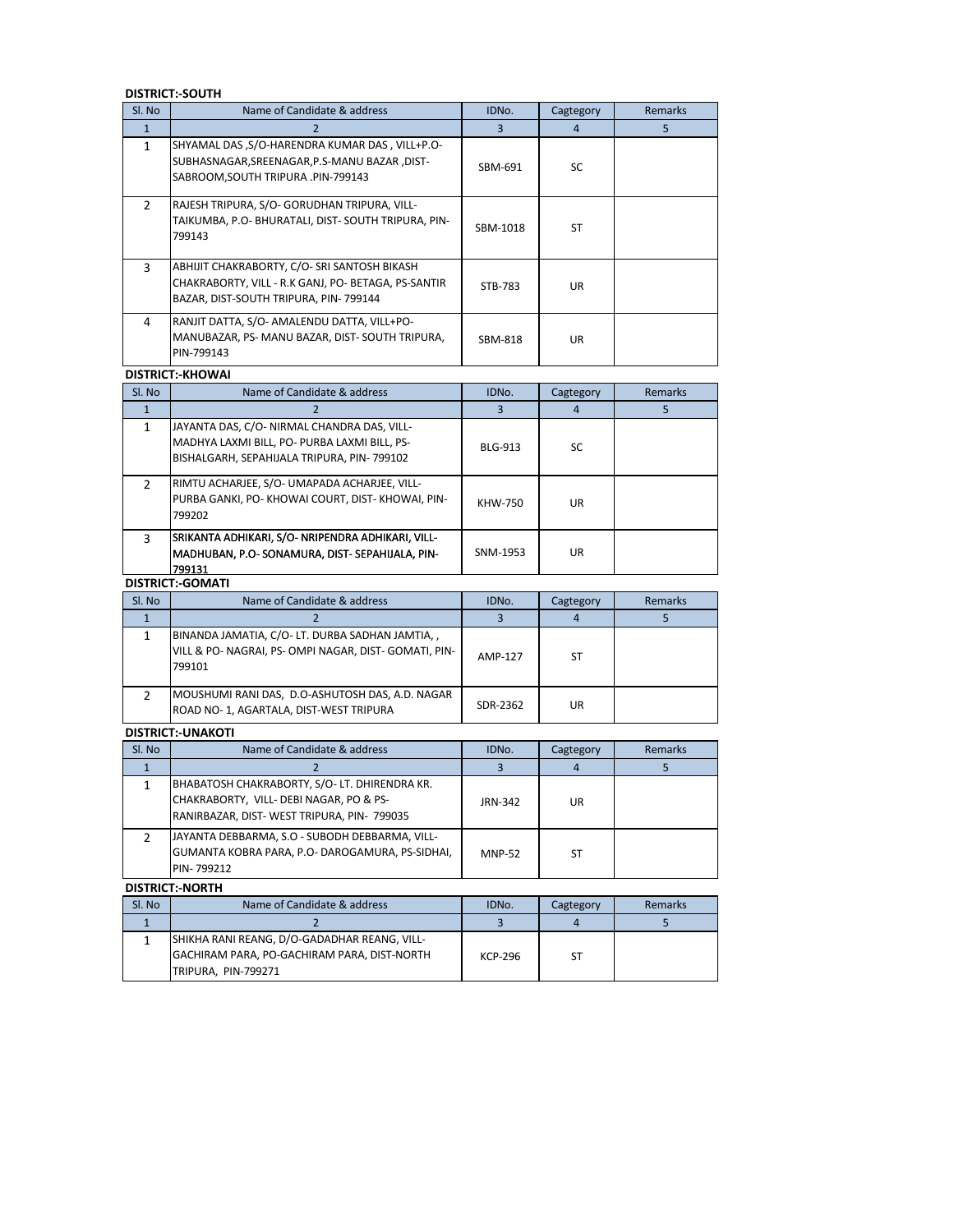#### **DISTRICT:-SOUTH**

| Sl. No         | Name of Candidate & address                                                                                                                   | IDNo.          | Cagtegory      | <b>Remarks</b> |
|----------------|-----------------------------------------------------------------------------------------------------------------------------------------------|----------------|----------------|----------------|
| $\mathbf{1}$   | 2                                                                                                                                             | 3              | $\overline{4}$ | 5              |
| $\mathbf{1}$   | SHYAMAL DAS , S/O-HARENDRA KUMAR DAS, VILL+P.O-<br>SUBHASNAGAR, SREENAGAR, P.S-MANU BAZAR, DIST-<br>SABROOM, SOUTH TRIPURA .PIN-799143        | SBM-691        | SC             |                |
| $\overline{2}$ | RAJESH TRIPURA, S/O- GORUDHAN TRIPURA, VILL-<br>TAIKUMBA, P.O- BHURATALI, DIST- SOUTH TRIPURA, PIN-<br>799143                                 | SBM-1018       | <b>ST</b>      |                |
| $\overline{3}$ | ABHIJIT CHAKRABORTY, C/O- SRI SANTOSH BIKASH<br>CHAKRABORTY, VILL - R.K GANJ, PO- BETAGA, PS-SANTIR<br>BAZAR, DIST-SOUTH TRIPURA, PIN- 799144 | STB-783        | <b>UR</b>      |                |
| $\overline{4}$ | RANJIT DATTA, S/O- AMALENDU DATTA, VILL+PO-<br>MANUBAZAR, PS- MANU BAZAR, DIST-SOUTH TRIPURA,<br>PIN-799143                                   | SBM-818        | UR             |                |
|                | <b>DISTRICT:-KHOWAI</b>                                                                                                                       |                |                |                |
| Sl. No         | Name of Candidate & address                                                                                                                   | IDNo.          | Cagtegory      | Remarks        |
| $\mathbf{1}$   | 2                                                                                                                                             | 3              | $\overline{4}$ | 5              |
| $\mathbf{1}$   | JAYANTA DAS, C/O- NIRMAL CHANDRA DAS, VILL-<br>MADHYA LAXMI BILL, PO- PURBA LAXMI BILL, PS-<br>BISHALGARH, SEPAHIJALA TRIPURA, PIN-799102     | <b>BLG-913</b> | SC             |                |
| $2^{\circ}$    | RIMTU ACHARJEE, S/O- UMAPADA ACHARJEE, VILL-<br>PURBA GANKI, PO- KHOWAI COURT, DIST- KHOWAI, PIN-<br>799202                                   | <b>KHW-750</b> | <b>UR</b>      |                |
| 3              | SRIKANTA ADHIKARI, S/O- NRIPENDRA ADHIKARI, VILL-<br>MADHUBAN, P.O- SONAMURA, DIST- SEPAHIJALA, PIN-<br>799131                                | SNM-1953       | UR             |                |
|                | <b>DISTRICT:-GOMATI</b>                                                                                                                       |                |                |                |
| Sl. No         | Name of Candidate & address                                                                                                                   | IDNo.          | Cagtegory      | Remarks        |
| $\mathbf{1}$   | 2                                                                                                                                             | 3              | 4              | 5              |
| $\mathbf{1}$   | BINANDA JAMATIA, C/O-LT. DURBA SADHAN JAMTIA,,<br>VILL & PO- NAGRAI, PS- OMPI NAGAR, DIST- GOMATI, PIN-<br>799101                             | <b>AMP-127</b> | <b>ST</b>      |                |
| $\overline{2}$ | MOUSHUMI RANI DAS, D.O-ASHUTOSH DAS, A.D. NAGAR<br>ROAD NO-1, AGARTALA, DIST-WEST TRIPURA                                                     | SDR-2362       | UR.            |                |
|                | <b>DISTRICT:-UNAKOTI</b>                                                                                                                      |                |                |                |
| Sl. No         | Name of Candidate & address                                                                                                                   | IDNo.          | Cagtegory      | <b>Remarks</b> |
| $\mathbf{1}$   | 2                                                                                                                                             | $\overline{3}$ | $\overline{4}$ | 5              |
| $\mathbf{1}$   | BHABATOSH CHAKRABORTY, S/O-LT. DHIRENDRA KR.<br>CHAKRABORTY, VILL- DEBI NAGAR, PO & PS-<br>RANIRBAZAR, DIST-WEST TRIPURA, PIN- 799035         | <b>JRN-342</b> | UR             |                |
| $\overline{2}$ | JAYANTA DEBBARMA, S.O - SUBODH DEBBARMA, VILL-<br>GUMANTA KOBRA PARA, P.O- DAROGAMURA, PS-SIDHAI,<br>PIN-799212                               | <b>MNP-52</b>  | <b>ST</b>      |                |
|                | <b>DISTRICT:-NORTH</b>                                                                                                                        |                |                |                |
| Sl. No         | Name of Candidate & address                                                                                                                   | IDNo.          | Cagtegory      | Remarks        |
| $\mathbf{1}$   | $\overline{2}$                                                                                                                                | $\mathbf{3}$   | $\overline{a}$ | 5              |

|        | .                                            |                    |           |                |
|--------|----------------------------------------------|--------------------|-----------|----------------|
| SI. No | Name of Candidate & address                  | IDN <sub>O</sub> . | Cagtegory | <b>Remarks</b> |
|        |                                              |                    |           |                |
|        | SHIKHA RANI REANG, D/O-GADADHAR REANG, VILL- |                    |           |                |
|        | GACHIRAM PARA, PO-GACHIRAM PARA, DIST-NORTH  | KCP-296            |           |                |
|        | TRIPURA, PIN-799271                          |                    |           |                |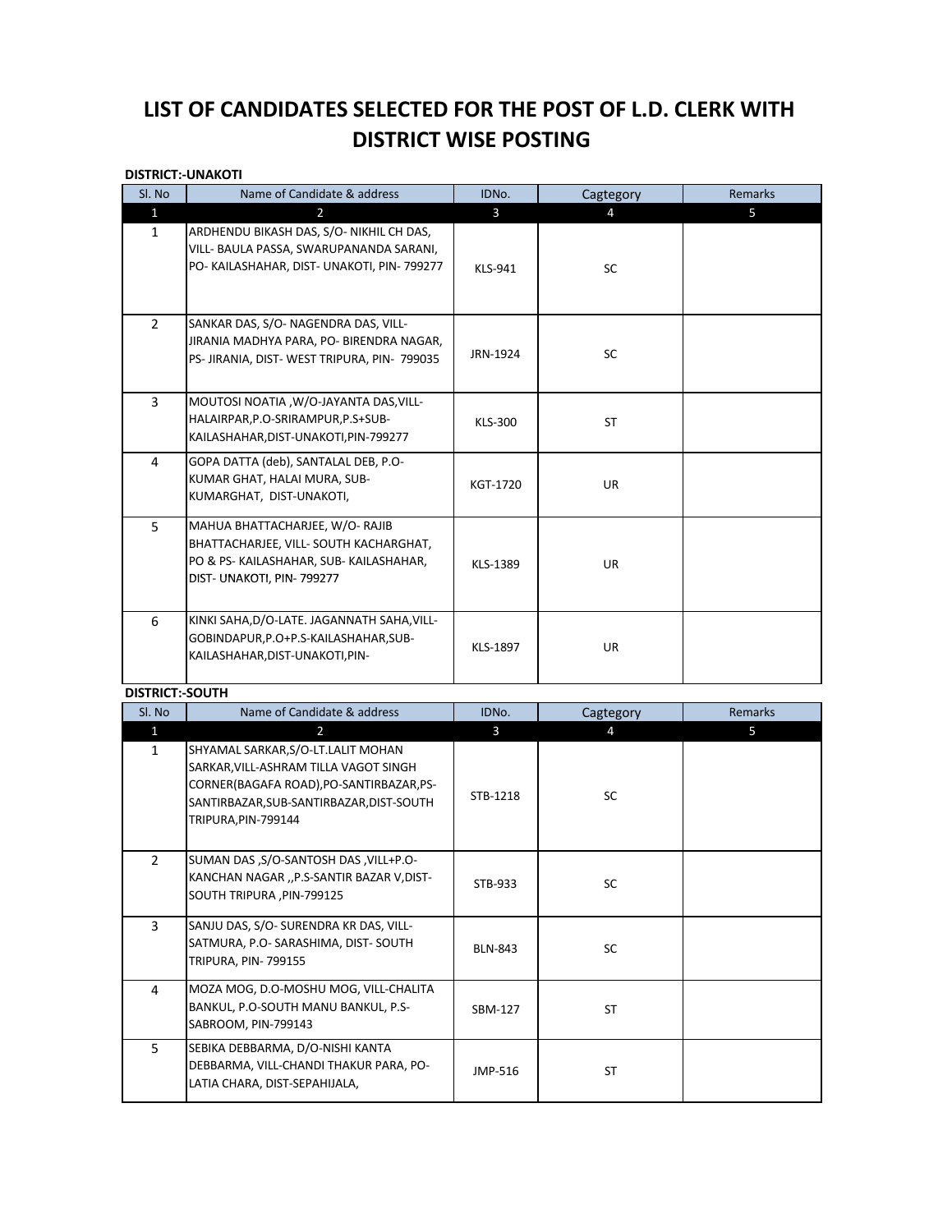# LIST OF CANDIDATES SELECTED FOR THE POST OF L.D. CLERK WITH **DISTRICT WISE POSTING**

#### **DISTRICT:-UNAKOTI**

| Sl. No                 | Name of Candidate & address                                                                                                                                                                | IDNo.          | Cagtegory | Remarks |
|------------------------|--------------------------------------------------------------------------------------------------------------------------------------------------------------------------------------------|----------------|-----------|---------|
| $\mathbf{1}$           | $\overline{2}$                                                                                                                                                                             | $\mathbf{3}$   | 4         | 5       |
| $\mathbf{1}$           | ARDHENDU BIKASH DAS, S/O- NIKHIL CH DAS,<br>VILL- BAULA PASSA, SWARUPANANDA SARANI,<br>PO- KAILASHAHAR, DIST- UNAKOTI, PIN- 799277                                                         | <b>KLS-941</b> | SC        |         |
| $\overline{2}$         | SANKAR DAS, S/O- NAGENDRA DAS, VILL-<br>JIRANIA MADHYA PARA, PO- BIRENDRA NAGAR,<br>PS- JIRANIA, DIST-WEST TRIPURA, PIN- 799035                                                            | JRN-1924       | SC        |         |
| $\overline{3}$         | MOUTOSI NOATIA, W/O-JAYANTA DAS, VILL-<br>HALAIRPAR, P.O-SRIRAMPUR, P.S+SUB-<br>KAILASHAHAR, DIST-UNAKOTI, PIN-799277                                                                      | <b>KLS-300</b> | ST        |         |
| 4                      | GOPA DATTA (deb), SANTALAL DEB, P.O-<br>KUMAR GHAT, HALAI MURA, SUB-<br>KUMARGHAT, DIST-UNAKOTI,                                                                                           | KGT-1720       | UR        |         |
| 5                      | MAHUA BHATTACHARJEE, W/O-RAJIB<br>BHATTACHARJEE, VILL- SOUTH KACHARGHAT,<br>PO & PS- KAILASHAHAR, SUB- KAILASHAHAR,<br>DIST- UNAKOTI, PIN- 799277                                          | KLS-1389       | UR        |         |
| 6                      | KINKI SAHA, D/O-LATE. JAGANNATH SAHA, VILL-<br>GOBINDAPUR, P.O+P.S-KAILASHAHAR, SUB-<br>KAILASHAHAR, DIST-UNAKOTI, PIN-                                                                    | KLS-1897       | UR        |         |
| <b>DISTRICT:-SOUTH</b> |                                                                                                                                                                                            |                |           |         |
| Sl. No                 | Name of Candidate & address                                                                                                                                                                | IDNo.          | Cagtegory | Remarks |
| $\mathbf{1}$           | $\overline{2}$                                                                                                                                                                             | 3              | 4         | 5       |
| $\mathbf{1}$           | SHYAMAL SARKAR, S/O-LT.LALIT MOHAN<br>SARKAR, VILL-ASHRAM TILLA VAGOT SINGH<br>CORNER(BAGAFA ROAD), PO-SANTIRBAZAR, PS-<br>SANTIRBAZAR, SUB-SANTIRBAZAR, DIST-SOUTH<br>TRIPURA, PIN-799144 | STB-1218       | SC        |         |
| $\overline{2}$         | SUMAN DAS , S/O-SANTOSH DAS , VILL+P.O-<br>KANCHAN NAGAR "P.S-SANTIR BAZAR V, DIST-<br>SOUTH TRIPURA, PIN-799125                                                                           | STB-933        | <b>SC</b> |         |
| $\overline{3}$         | SANJU DAS, S/O- SURENDRA KR DAS, VILL-<br>SATMURA, P.O- SARASHIMA, DIST- SOUTH<br><b>TRIPURA, PIN-799155</b>                                                                               | <b>BLN-843</b> | SC        |         |
| 4                      | MOZA MOG, D.O-MOSHU MOG, VILL-CHALITA<br>BANKUL, P.O-SOUTH MANU BANKUL, P.S-<br>SABROOM, PIN-799143                                                                                        | SBM-127        | ST        |         |
| 5 <sup>1</sup>         | SEBIKA DEBBARMA, D/O-NISHI KANTA<br>DEBBARMA, VILL-CHANDI THAKUR PARA, PO-<br>LATIA CHARA, DIST-SEPAHIJALA,                                                                                | JMP-516        | ST        |         |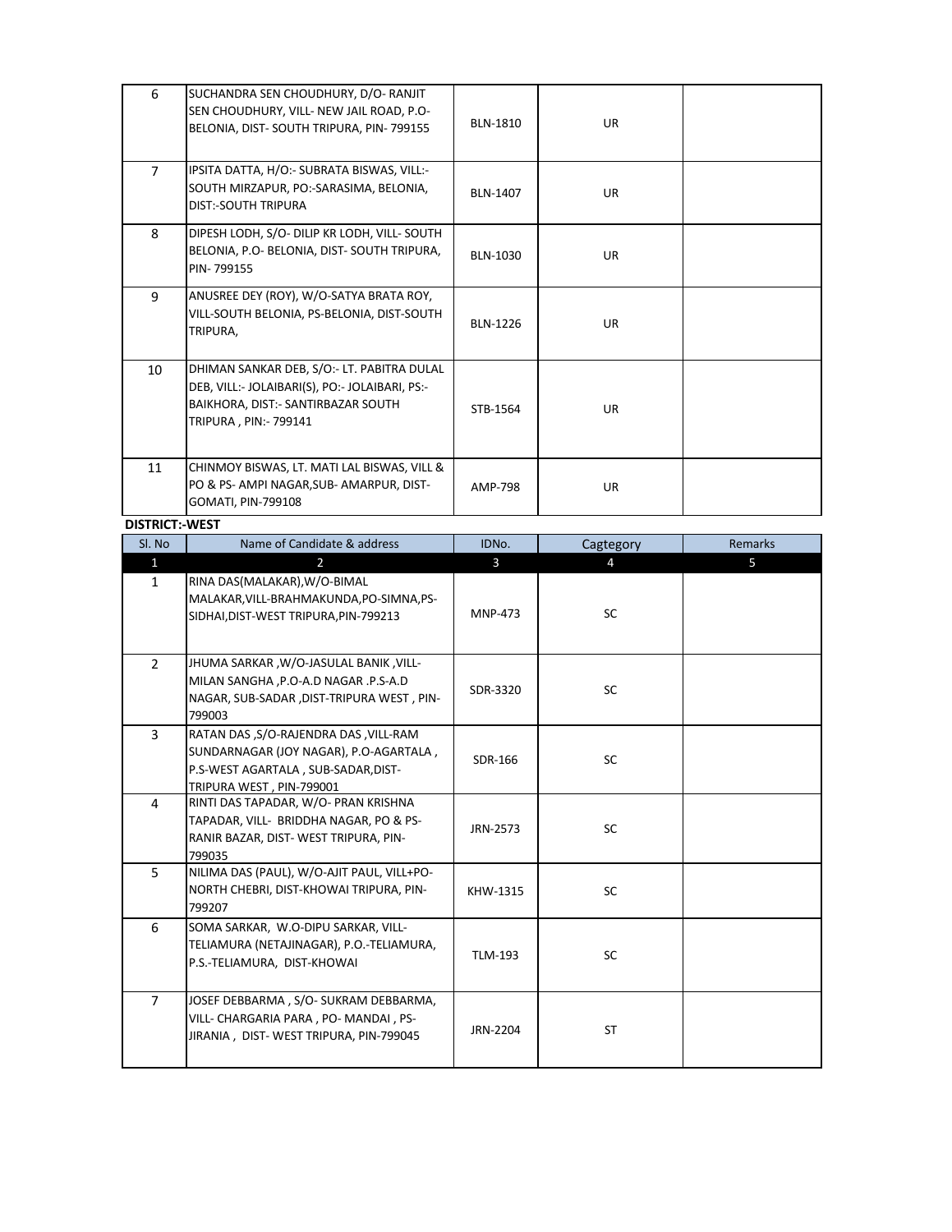| 6              | SUCHANDRA SEN CHOUDHURY, D/O-RANJIT<br>SEN CHOUDHURY, VILL- NEW JAIL ROAD, P.O-<br>BELONIA, DIST-SOUTH TRIPURA, PIN-799155                                 | <b>BLN-1810</b> | <b>UR</b> |  |
|----------------|------------------------------------------------------------------------------------------------------------------------------------------------------------|-----------------|-----------|--|
| $\overline{7}$ | IPSITA DATTA, H/O:- SUBRATA BISWAS, VILL:-<br>SOUTH MIRZAPUR, PO:-SARASIMA, BELONIA,<br><b>DIST:-SOUTH TRIPURA</b>                                         | <b>BLN-1407</b> | <b>UR</b> |  |
| 8              | DIPESH LODH, S/O- DILIP KR LODH, VILL- SOUTH<br>BELONIA, P.O- BELONIA, DIST- SOUTH TRIPURA,<br>PIN-799155                                                  | BLN-1030        | <b>UR</b> |  |
| 9              | ANUSREE DEY (ROY), W/O-SATYA BRATA ROY,<br>VILL-SOUTH BELONIA, PS-BELONIA, DIST-SOUTH<br>TRIPURA,                                                          | <b>BLN-1226</b> | <b>UR</b> |  |
| 10             | DHIMAN SANKAR DEB, S/O:- LT. PABITRA DULAL<br>DEB, VILL:- JOLAIBARI(S), PO:- JOLAIBARI, PS:-<br>BAIKHORA, DIST:- SANTIRBAZAR SOUTH<br>TRIPURA, PIN: 799141 | STB-1564        | <b>UR</b> |  |
| 11             | CHINMOY BISWAS, LT. MATI LAL BISWAS, VILL &<br>PO & PS- AMPI NAGAR, SUB- AMARPUR, DIST-<br>GOMATI, PIN-799108                                              | AMP-798         | <b>UR</b> |  |

#### **DISTRICT:-WEST**

| Sl. No         | Name of Candidate & address                                                                                                                        | IDNo.          | Cagtegory | <b>Remarks</b> |
|----------------|----------------------------------------------------------------------------------------------------------------------------------------------------|----------------|-----------|----------------|
| $\mathbf{1}$   | 2                                                                                                                                                  | $\mathbf{3}$   | 4         | 5              |
| $\mathbf{1}$   | RINA DAS(MALAKAR), W/O-BIMAL<br>MALAKAR, VILL-BRAHMAKUNDA, PO-SIMNA, PS-<br>SIDHAI, DIST-WEST TRIPURA, PIN-799213                                  | <b>MNP-473</b> | SC        |                |
| $\overline{2}$ | JHUMA SARKAR, W/O-JASULAL BANIK, VILL-<br>MILAN SANGHA , P.O-A.D NAGAR . P.S-A.D<br>NAGAR, SUB-SADAR , DIST-TRIPURA WEST, PIN-<br>799003           | SDR-3320       | SC        |                |
| $\overline{3}$ | RATAN DAS, S/O-RAJENDRA DAS, VILL-RAM<br>SUNDARNAGAR (JOY NAGAR), P.O-AGARTALA,<br>P.S-WEST AGARTALA, SUB-SADAR, DIST-<br>TRIPURA WEST, PIN-799001 | SDR-166        | SC        |                |
| $\overline{4}$ | RINTI DAS TAPADAR, W/O- PRAN KRISHNA<br>TAPADAR, VILL- BRIDDHA NAGAR, PO & PS-<br>RANIR BAZAR, DIST-WEST TRIPURA, PIN-<br>799035                   | JRN-2573       | <b>SC</b> |                |
| 5              | NILIMA DAS (PAUL), W/O-AJIT PAUL, VILL+PO-<br>NORTH CHEBRI, DIST-KHOWAI TRIPURA, PIN-<br>799207                                                    | KHW-1315       | SC        |                |
| 6              | SOMA SARKAR, W.O-DIPU SARKAR, VILL-<br>TELIAMURA (NETAJINAGAR), P.O.-TELIAMURA,<br>P.S.-TELIAMURA, DIST-KHOWAI                                     | <b>TLM-193</b> | SC        |                |
| $\overline{7}$ | JOSEF DEBBARMA, S/O- SUKRAM DEBBARMA,<br>VILL- CHARGARIA PARA, PO-MANDAI, PS-<br>JIRANIA, DIST-WEST TRIPURA, PIN-799045                            | JRN-2204       | ST        |                |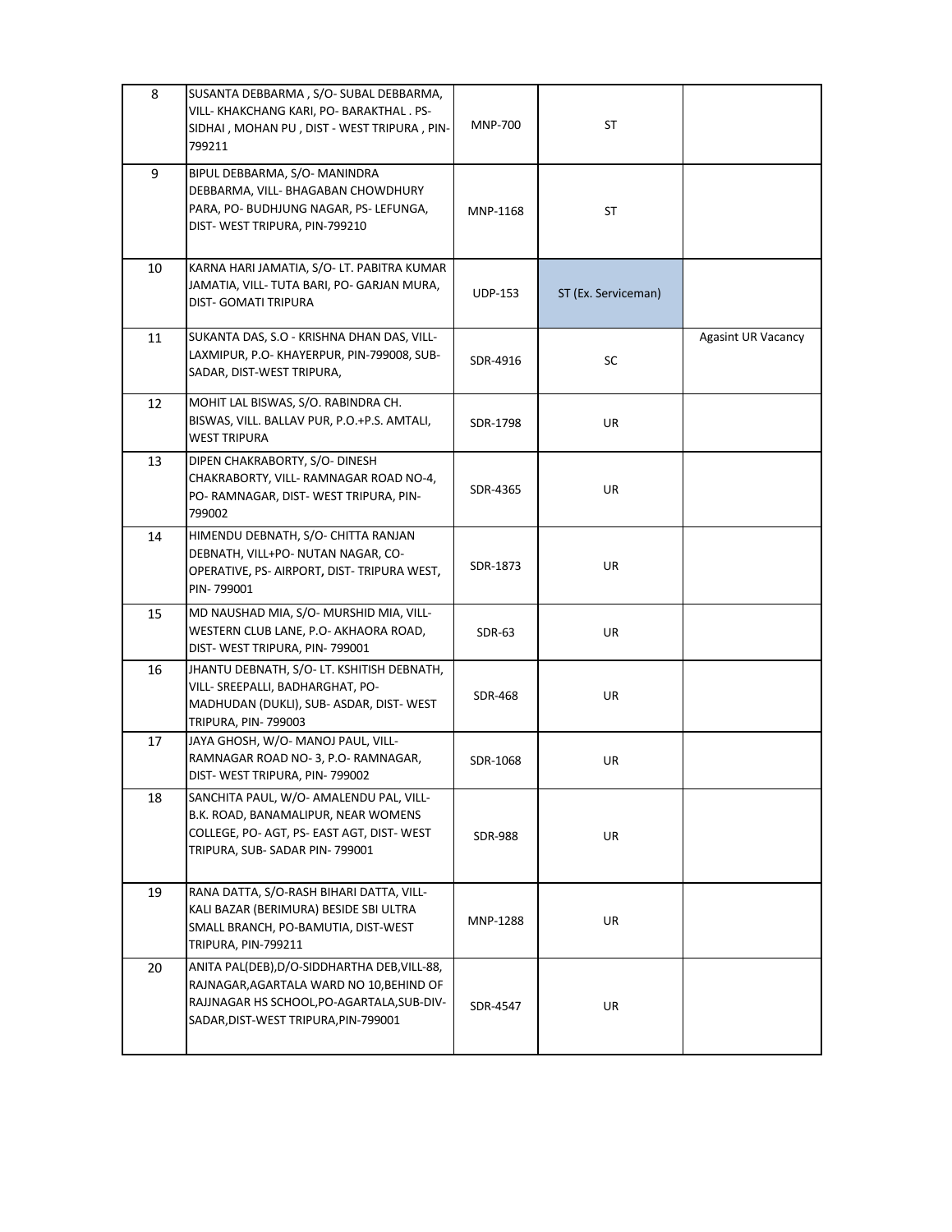| 8  | SUSANTA DEBBARMA, S/O-SUBAL DEBBARMA,<br>VILL- KHAKCHANG KARI, PO- BARAKTHAL. PS-<br>SIDHAI, MOHAN PU, DIST - WEST TRIPURA, PIN-<br>799211                                     | <b>MNP-700</b> | ST                  |                           |
|----|--------------------------------------------------------------------------------------------------------------------------------------------------------------------------------|----------------|---------------------|---------------------------|
| 9  | BIPUL DEBBARMA, S/O- MANINDRA<br>DEBBARMA, VILL- BHAGABAN CHOWDHURY<br>PARA, PO- BUDHJUNG NAGAR, PS- LEFUNGA,<br>DIST- WEST TRIPURA, PIN-799210                                | MNP-1168       | ST                  |                           |
| 10 | KARNA HARI JAMATIA, S/O- LT. PABITRA KUMAR<br>JAMATIA, VILL- TUTA BARI, PO- GARJAN MURA,<br><b>DIST- GOMATI TRIPURA</b>                                                        | <b>UDP-153</b> | ST (Ex. Serviceman) |                           |
| 11 | SUKANTA DAS, S.O - KRISHNA DHAN DAS, VILL-<br>LAXMIPUR, P.O- KHAYERPUR, PIN-799008, SUB-<br>SADAR, DIST-WEST TRIPURA,                                                          | SDR-4916       | SC                  | <b>Agasint UR Vacancy</b> |
| 12 | MOHIT LAL BISWAS, S/O. RABINDRA CH.<br>BISWAS, VILL. BALLAV PUR, P.O.+P.S. AMTALI,<br><b>WEST TRIPURA</b>                                                                      | SDR-1798       | UR                  |                           |
| 13 | DIPEN CHAKRABORTY, S/O- DINESH<br>CHAKRABORTY, VILL-RAMNAGAR ROAD NO-4,<br>PO- RAMNAGAR, DIST- WEST TRIPURA, PIN-<br>799002                                                    | SDR-4365       | UR                  |                           |
| 14 | HIMENDU DEBNATH, S/O- CHITTA RANJAN<br>DEBNATH, VILL+PO- NUTAN NAGAR, CO-<br>OPERATIVE, PS- AIRPORT, DIST- TRIPURA WEST,<br>PIN-799001                                         | SDR-1873       | UR                  |                           |
| 15 | MD NAUSHAD MIA, S/O- MURSHID MIA, VILL-<br>WESTERN CLUB LANE, P.O- AKHAORA ROAD,<br>DIST- WEST TRIPURA, PIN-799001                                                             | SDR-63         | UR                  |                           |
| 16 | JHANTU DEBNATH, S/O- LT. KSHITISH DEBNATH,<br>VILL- SREEPALLI, BADHARGHAT, PO-<br>MADHUDAN (DUKLI), SUB- ASDAR, DIST-WEST<br>TRIPURA, PIN- 799003                              | <b>SDR-468</b> | UR                  |                           |
| 17 | JAYA GHOSH, W/O-MANOJ PAUL, VILL-<br>RAMNAGAR ROAD NO-3, P.O-RAMNAGAR,<br>DIST- WEST TRIPURA, PIN- 799002                                                                      | SDR-1068       | UR                  |                           |
| 18 | SANCHITA PAUL, W/O- AMALENDU PAL, VILL-<br>B.K. ROAD, BANAMALIPUR, NEAR WOMENS<br>COLLEGE, PO- AGT, PS- EAST AGT, DIST- WEST<br>TRIPURA, SUB-SADAR PIN-799001                  | <b>SDR-988</b> | UR                  |                           |
| 19 | RANA DATTA, S/O-RASH BIHARI DATTA, VILL-<br>KALI BAZAR (BERIMURA) BESIDE SBI ULTRA<br>SMALL BRANCH, PO-BAMUTIA, DIST-WEST<br>TRIPURA, PIN-799211                               | MNP-1288       | UR                  |                           |
| 20 | ANITA PAL(DEB), D/O-SIDDHARTHA DEB, VILL-88,<br>RAJNAGAR, AGARTALA WARD NO 10, BEHIND OF<br>RAJJNAGAR HS SCHOOL, PO-AGARTALA, SUB-DIV-<br>SADAR, DIST-WEST TRIPURA, PIN-799001 | SDR-4547       | UR                  |                           |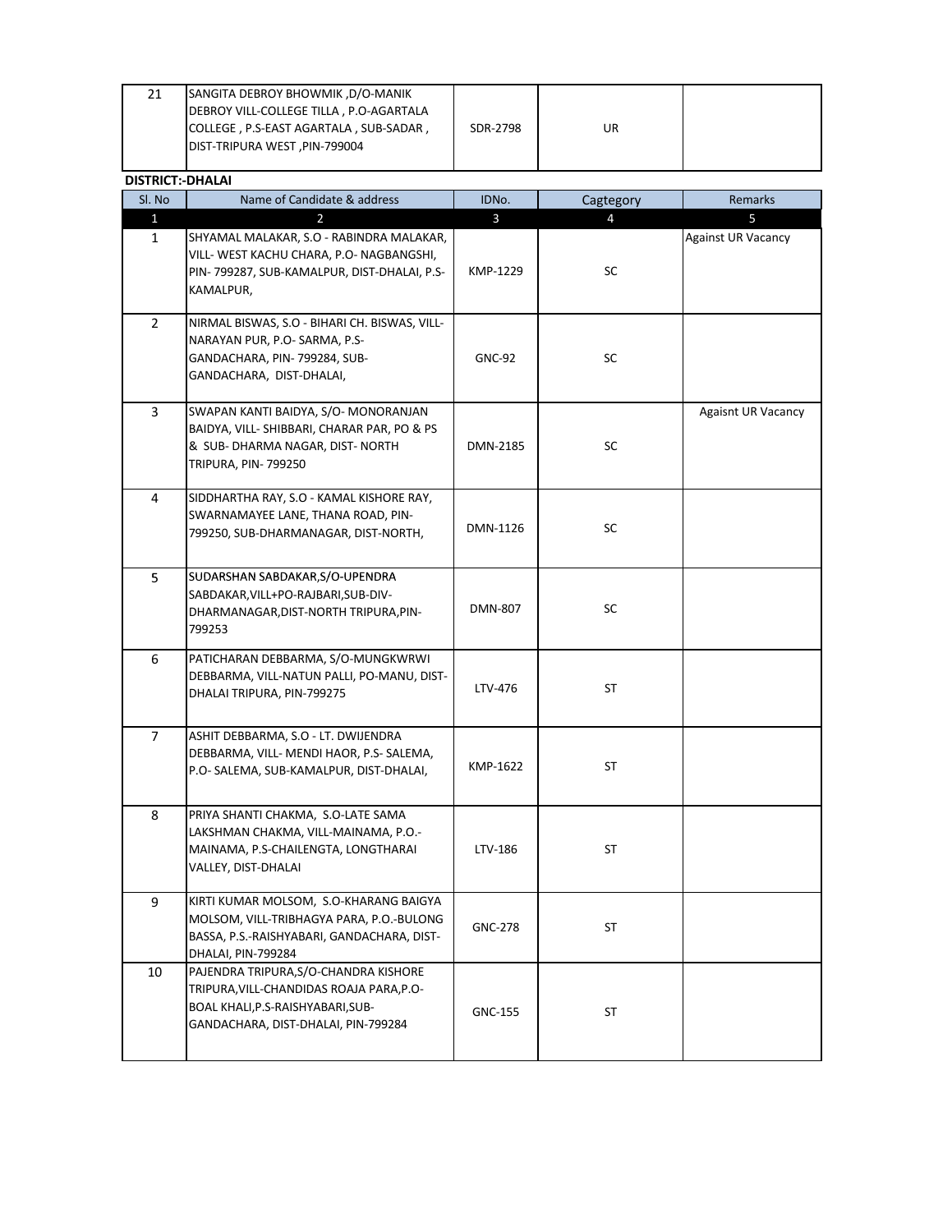| 21                      | SANGITA DEBROY BHOWMIK, D/O-MANIK<br>DEBROY VILL-COLLEGE TILLA, P.O-AGARTALA<br>COLLEGE, P.S-EAST AGARTALA, SUB-SADAR,<br>DIST-TRIPURA WEST, PIN-799004       | SDR-2798       | UR             |                           |
|-------------------------|---------------------------------------------------------------------------------------------------------------------------------------------------------------|----------------|----------------|---------------------------|
| <b>DISTRICT:-DHALAI</b> |                                                                                                                                                               |                |                |                           |
| Sl. No                  | Name of Candidate & address                                                                                                                                   | IDNo.          | Cagtegory      | Remarks                   |
| $\mathbf{1}$            | $\overline{2}$                                                                                                                                                | $\mathbf{3}$   | $\overline{4}$ | 5                         |
| $\mathbf{1}$            | SHYAMAL MALAKAR, S.O - RABINDRA MALAKAR,<br>VILL- WEST KACHU CHARA, P.O- NAGBANGSHI,<br>PIN-799287, SUB-KAMALPUR, DIST-DHALAI, P.S-<br>KAMALPUR,              | KMP-1229       | SC             | <b>Against UR Vacancy</b> |
| $\overline{2}$          | NIRMAL BISWAS, S.O - BIHARI CH. BISWAS, VILL-<br>NARAYAN PUR, P.O- SARMA, P.S-<br>GANDACHARA, PIN- 799284, SUB-<br>GANDACHARA, DIST-DHALAI,                   | <b>GNC-92</b>  | <b>SC</b>      |                           |
| $\overline{3}$          | SWAPAN KANTI BAIDYA, S/O- MONORANJAN<br>BAIDYA, VILL- SHIBBARI, CHARAR PAR, PO & PS<br>& SUB- DHARMA NAGAR, DIST- NORTH<br><b>TRIPURA, PIN-799250</b>         | DMN-2185       | SC             | <b>Agaisnt UR Vacancy</b> |
| 4                       | SIDDHARTHA RAY, S.O - KAMAL KISHORE RAY,<br>SWARNAMAYEE LANE, THANA ROAD, PIN-<br>799250, SUB-DHARMANAGAR, DIST-NORTH,                                        | DMN-1126       | <b>SC</b>      |                           |
| 5                       | SUDARSHAN SABDAKAR, S/O-UPENDRA<br>SABDAKAR, VILL+PO-RAJBARI, SUB-DIV-<br>DHARMANAGAR, DIST-NORTH TRIPURA, PIN-<br>799253                                     | <b>DMN-807</b> | <b>SC</b>      |                           |
| 6                       | PATICHARAN DEBBARMA, S/O-MUNGKWRWI<br>DEBBARMA, VILL-NATUN PALLI, PO-MANU, DIST-<br>DHALAI TRIPURA, PIN-799275                                                | LTV-476        | ST             |                           |
| $\overline{7}$          | ASHIT DEBBARMA, S.O - LT. DWIJENDRA<br>DEBBARMA, VILL- MENDI HAOR, P.S- SALEMA,<br>P.O- SALEMA, SUB-KAMALPUR, DIST-DHALAI,                                    | KMP-1622       | ST             |                           |
| 8                       | PRIYA SHANTI CHAKMA, S.O-LATE SAMA<br>LAKSHMAN CHAKMA, VILL-MAINAMA, P.O.-<br>MAINAMA, P.S-CHAILENGTA, LONGTHARAI<br>VALLEY, DIST-DHALAI                      | LTV-186        | ST             |                           |
| 9                       | KIRTI KUMAR MOLSOM, S.O-KHARANG BAIGYA<br>MOLSOM, VILL-TRIBHAGYA PARA, P.O.-BULONG<br>BASSA, P.S.-RAISHYABARI, GANDACHARA, DIST-<br>DHALAI, PIN-799284        | <b>GNC-278</b> | ST             |                           |
| 10                      | PAJENDRA TRIPURA, S/O-CHANDRA KISHORE<br>TRIPURA, VILL-CHANDIDAS ROAJA PARA, P.O-<br>BOAL KHALI, P.S-RAISHYABARI, SUB-<br>GANDACHARA, DIST-DHALAI, PIN-799284 | <b>GNC-155</b> | ST             |                           |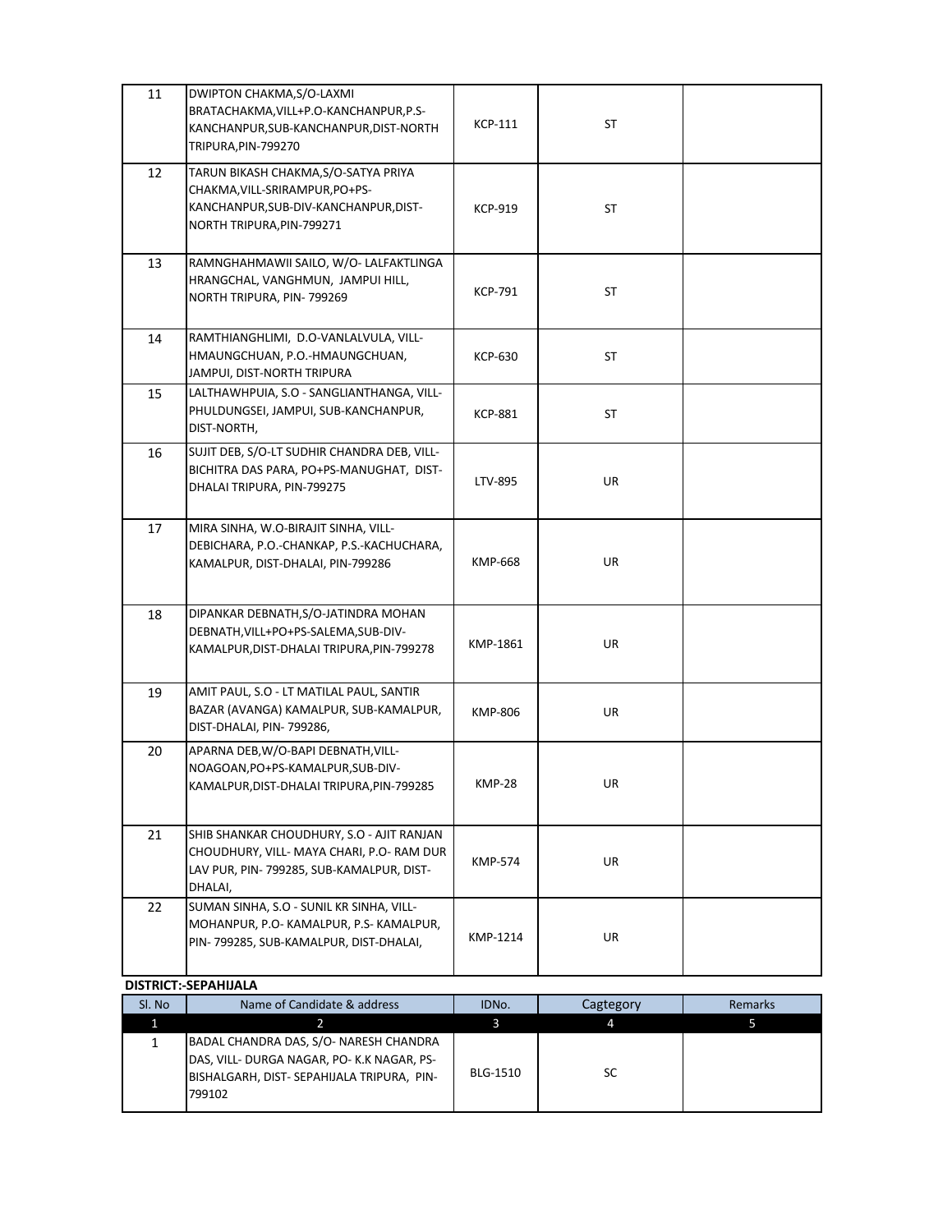| 11 | DWIPTON CHAKMA, S/O-LAXMI<br>BRATACHAKMA, VILL+P.O-KANCHANPUR, P.S-<br>KANCHANPUR, SUB-KANCHANPUR, DIST-NORTH<br>TRIPURA, PIN-799270           | <b>KCP-111</b> | <b>ST</b> |  |
|----|------------------------------------------------------------------------------------------------------------------------------------------------|----------------|-----------|--|
| 12 | TARUN BIKASH CHAKMA, S/O-SATYA PRIYA<br>CHAKMA, VILL-SRIRAMPUR, PO+PS-<br>KANCHANPUR, SUB-DIV-KANCHANPUR, DIST-<br>NORTH TRIPURA, PIN-799271   | <b>KCP-919</b> | <b>ST</b> |  |
| 13 | RAMNGHAHMAWII SAILO, W/O- LALFAKTLINGA<br>HRANGCHAL, VANGHMUN, JAMPUI HILL,<br>NORTH TRIPURA, PIN-799269                                       | <b>KCP-791</b> | <b>ST</b> |  |
| 14 | RAMTHIANGHLIMI, D.O-VANLALVULA, VILL-<br>HMAUNGCHUAN, P.O.-HMAUNGCHUAN,<br>JAMPUI, DIST-NORTH TRIPURA                                          | <b>KCP-630</b> | <b>ST</b> |  |
| 15 | LALTHAWHPUIA, S.O - SANGLIANTHANGA, VILL-<br>PHULDUNGSEI, JAMPUI, SUB-KANCHANPUR,<br>DIST-NORTH,                                               | KCP-881        | ST        |  |
| 16 | SUJIT DEB, S/O-LT SUDHIR CHANDRA DEB, VILL-<br>BICHITRA DAS PARA, PO+PS-MANUGHAT, DIST-<br>DHALAI TRIPURA, PIN-799275                          | LTV-895        | UR        |  |
| 17 | MIRA SINHA, W.O-BIRAJIT SINHA, VILL-<br>DEBICHARA, P.O.-CHANKAP, P.S.-KACHUCHARA,<br>KAMALPUR, DIST-DHALAI, PIN-799286                         | <b>KMP-668</b> | <b>UR</b> |  |
| 18 | DIPANKAR DEBNATH, S/O-JATINDRA MOHAN<br>DEBNATH, VILL+PO+PS-SALEMA, SUB-DIV-<br>KAMALPUR, DIST-DHALAI TRIPURA, PIN-799278                      | KMP-1861       | UR        |  |
| 19 | AMIT PAUL, S.O - LT MATILAL PAUL, SANTIR<br>BAZAR (AVANGA) KAMALPUR, SUB-KAMALPUR,<br>DIST-DHALAI, PIN-799286,                                 | <b>KMP-806</b> | <b>UR</b> |  |
| 20 | APARNA DEB, W/O-BAPI DEBNATH, VILL-<br>NOAGOAN, PO+PS-KAMALPUR, SUB-DIV-<br>KAMALPUR, DIST-DHALAI TRIPURA, PIN-799285                          | <b>KMP-28</b>  | UR        |  |
| 21 | SHIB SHANKAR CHOUDHURY, S.O - AJIT RANJAN<br>CHOUDHURY, VILL- MAYA CHARI, P.O- RAM DUR<br>LAV PUR, PIN- 799285, SUB-KAMALPUR, DIST-<br>DHALAI, | <b>KMP-574</b> | <b>UR</b> |  |
| 22 | SUMAN SINHA, S.O - SUNIL KR SINHA, VILL-<br>MOHANPUR, P.O- KAMALPUR, P.S- KAMALPUR,<br>PIN-799285, SUB-KAMALPUR, DIST-DHALAI,                  | KMP-1214       | <b>UR</b> |  |

#### **DISTRICT:-SEPAHIJALA**

| SI. No | Name of Candidate & address                                                                                                                  | IDNo.           | Cagtegory | Remarks |
|--------|----------------------------------------------------------------------------------------------------------------------------------------------|-----------------|-----------|---------|
|        |                                                                                                                                              |                 |           |         |
|        | BADAL CHANDRA DAS, S/O- NARESH CHANDRA<br>DAS, VILL- DURGA NAGAR, PO- K.K NAGAR, PS-<br>BISHALGARH, DIST- SEPAHIJALA TRIPURA, PIN-<br>799102 | <b>BLG-1510</b> | SC        |         |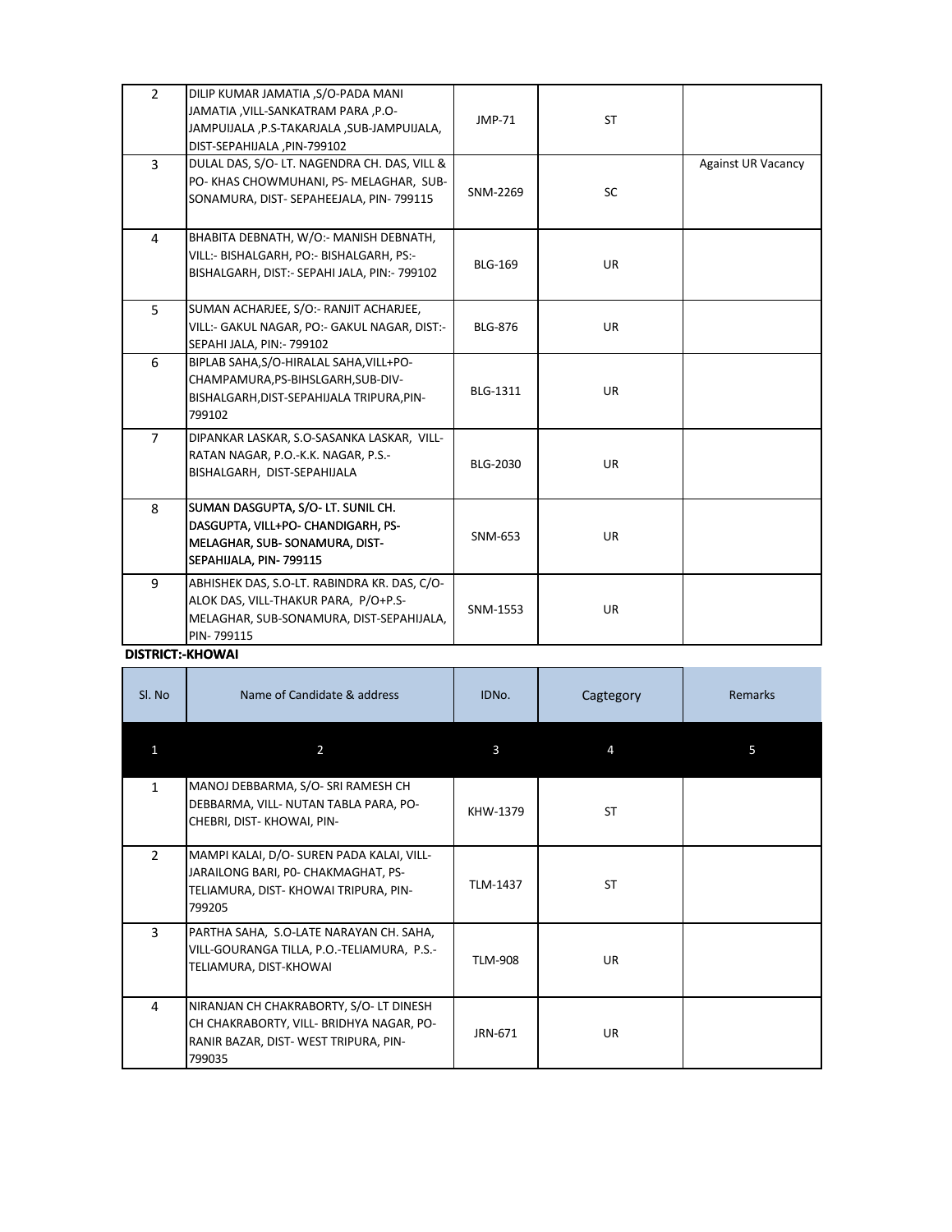| $\overline{2}$ | DILIP KUMAR JAMATIA ,S/O-PADA MANI<br>JAMATIA, VILL-SANKATRAM PARA, P.O-<br>JAMPUIJALA, P.S-TAKARJALA, SUB-JAMPUIJALA,<br>DIST-SEPAHIJALA, PIN-799102 | JMP-71          | <b>ST</b> |                           |
|----------------|-------------------------------------------------------------------------------------------------------------------------------------------------------|-----------------|-----------|---------------------------|
| $\overline{3}$ | DULAL DAS, S/O- LT. NAGENDRA CH. DAS, VILL &<br>PO- KHAS CHOWMUHANI, PS- MELAGHAR, SUB-<br>SONAMURA, DIST- SEPAHEEJALA, PIN- 799115                   | SNM-2269        | SC        | <b>Against UR Vacancy</b> |
| 4              | BHABITA DEBNATH, W/O:- MANISH DEBNATH,<br>VILL:- BISHALGARH, PO:- BISHALGARH, PS:-<br>BISHALGARH, DIST:- SEPAHI JALA, PIN:- 799102                    | <b>BLG-169</b>  | <b>UR</b> |                           |
| 5              | SUMAN ACHARJEE, S/O:- RANJIT ACHARJEE,<br>VILL:- GAKUL NAGAR, PO:- GAKUL NAGAR, DIST:-<br>SEPAHI JALA, PIN:- 799102                                   | <b>BLG-876</b>  | <b>UR</b> |                           |
| 6              | BIPLAB SAHA, S/O-HIRALAL SAHA, VILL+PO-<br>CHAMPAMURA, PS-BIHSLGARH, SUB-DIV-<br>BISHALGARH, DIST-SEPAHIJALA TRIPURA, PIN-<br>799102                  | <b>BLG-1311</b> | UR        |                           |
| $\overline{7}$ | DIPANKAR LASKAR, S.O-SASANKA LASKAR, VILL-<br>RATAN NAGAR, P.O.-K.K. NAGAR, P.S.-<br>BISHALGARH, DIST-SEPAHIJALA                                      | BLG-2030        | <b>UR</b> |                           |
| 8              | SUMAN DASGUPTA, S/O- LT. SUNIL CH.<br>DASGUPTA, VILL+PO- CHANDIGARH, PS-<br>MELAGHAR, SUB-SONAMURA, DIST-<br>SEPAHIJALA, PIN-799115                   | SNM-653         | UR        |                           |
| 9              | ABHISHEK DAS, S.O-LT. RABINDRA KR. DAS, C/O-<br>ALOK DAS, VILL-THAKUR PARA, P/O+P.S-<br>MELAGHAR, SUB-SONAMURA, DIST-SEPAHIJALA,<br>PIN-799115        | SNM-1553        | UR        |                           |

**DISTRICT:-KHOWAI** 

| SI. No         | Name of Candidate & address                                                                                                           | IDNo.          | Cagtegory | <b>Remarks</b> |
|----------------|---------------------------------------------------------------------------------------------------------------------------------------|----------------|-----------|----------------|
|                | $\overline{2}$                                                                                                                        | 3              | 4         | 5              |
| $\mathbf{1}$   | MANOJ DEBBARMA, S/O- SRI RAMESH CH<br>DEBBARMA, VILL- NUTAN TABLA PARA, PO-<br>CHEBRI, DIST-KHOWAI, PIN-                              | KHW-1379       | ST        |                |
| $\overline{2}$ | MAMPI KALAI, D/O- SUREN PADA KALAI, VILL-<br>JARAILONG BARI, PO- CHAKMAGHAT, PS-<br>TELIAMURA, DIST-KHOWAI TRIPURA, PIN-<br>799205    | TLM-1437       | ST        |                |
| 3              | PARTHA SAHA, S.O-LATE NARAYAN CH. SAHA,<br>VILL-GOURANGA TILLA, P.O.-TELIAMURA, P.S.-<br>TELIAMURA, DIST-KHOWAI                       | <b>TLM-908</b> | <b>UR</b> |                |
| 4              | NIRANJAN CH CHAKRABORTY, S/O- LT DINESH<br>CH CHAKRABORTY, VILL- BRIDHYA NAGAR, PO-<br>RANIR BAZAR, DIST-WEST TRIPURA, PIN-<br>799035 | JRN-671        | <b>UR</b> |                |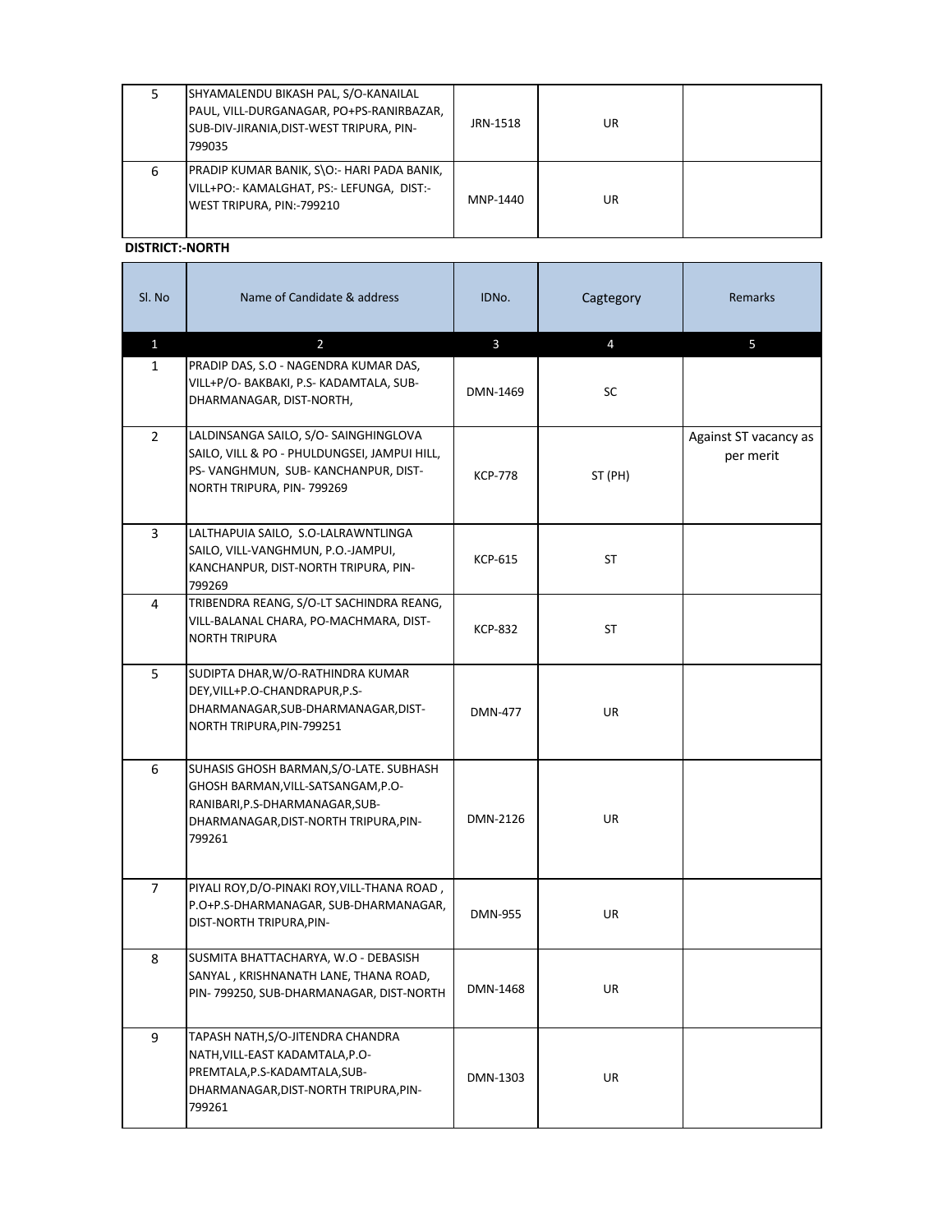|   | SHYAMALENDU BIKASH PAL, S/O-KANAILAL<br>PAUL, VILL-DURGANAGAR, PO+PS-RANIRBAZAR,<br>SUB-DIV-JIRANIA, DIST-WEST TRIPURA, PIN-<br>799035 | JRN-1518 | UR |  |
|---|----------------------------------------------------------------------------------------------------------------------------------------|----------|----|--|
| 6 | PRADIP KUMAR BANIK, S\O:- HARI PADA BANIK,<br>VILL+PO:- KAMALGHAT, PS:- LEFUNGA, DIST:-<br>WEST TRIPURA, PIN:-799210                   | MNP-1440 | UR |  |

**DISTRICT:-NORTH** 

| SI. No         | Name of Candidate & address                                                                                                                                         | IDNo.          | Cagtegory      | <b>Remarks</b>                     |
|----------------|---------------------------------------------------------------------------------------------------------------------------------------------------------------------|----------------|----------------|------------------------------------|
| $\mathbf{1}$   | $\overline{2}$                                                                                                                                                      | $\mathbf{3}$   | $\overline{4}$ | 5                                  |
| $\mathbf{1}$   | PRADIP DAS, S.O - NAGENDRA KUMAR DAS,<br>VILL+P/O- BAKBAKI, P.S- KADAMTALA, SUB-<br>DHARMANAGAR, DIST-NORTH,                                                        | DMN-1469       | SC             |                                    |
| $\overline{2}$ | LALDINSANGA SAILO, S/O-SAINGHINGLOVA<br>SAILO, VILL & PO - PHULDUNGSEI, JAMPUI HILL,<br>PS-VANGHMUN, SUB-KANCHANPUR, DIST-<br>NORTH TRIPURA, PIN-799269             | <b>KCP-778</b> | ST (PH)        | Against ST vacancy as<br>per merit |
| 3              | LALTHAPUIA SAILO, S.O-LALRAWNTLINGA<br>SAILO, VILL-VANGHMUN, P.O.-JAMPUI,<br>KANCHANPUR, DIST-NORTH TRIPURA, PIN-<br>799269                                         | <b>KCP-615</b> | <b>ST</b>      |                                    |
| 4              | TRIBENDRA REANG, S/O-LT SACHINDRA REANG,<br>VILL-BALANAL CHARA, PO-MACHMARA, DIST-<br><b>NORTH TRIPURA</b>                                                          | <b>KCP-832</b> | <b>ST</b>      |                                    |
| 5              | SUDIPTA DHAR, W/O-RATHINDRA KUMAR<br>DEY, VILL+P.O-CHANDRAPUR, P.S-<br>DHARMANAGAR, SUB-DHARMANAGAR, DIST-<br>NORTH TRIPURA, PIN-799251                             | <b>DMN-477</b> | <b>UR</b>      |                                    |
| 6              | SUHASIS GHOSH BARMAN, S/O-LATE. SUBHASH<br>GHOSH BARMAN, VILL-SATSANGAM, P.O-<br>RANIBARI, P.S-DHARMANAGAR, SUB-<br>DHARMANAGAR, DIST-NORTH TRIPURA, PIN-<br>799261 | DMN-2126       | UR             |                                    |
| $\overline{7}$ | PIYALI ROY, D/O-PINAKI ROY, VILL-THANA ROAD,<br>P.O+P.S-DHARMANAGAR, SUB-DHARMANAGAR,<br>DIST-NORTH TRIPURA, PIN-                                                   | <b>DMN-955</b> | UR             |                                    |
| 8              | SUSMITA BHATTACHARYA, W.O - DEBASISH<br>SANYAL, KRISHNANATH LANE, THANA ROAD,<br>PIN-799250, SUB-DHARMANAGAR, DIST-NORTH                                            | DMN-1468       | <b>UR</b>      |                                    |
| 9              | TAPASH NATH, S/O-JITENDRA CHANDRA<br>NATH, VILL-EAST KADAMTALA, P.O-<br>PREMTALA, P.S-KADAMTALA, SUB-<br>DHARMANAGAR, DIST-NORTH TRIPURA, PIN-<br>799261            | DMN-1303       | <b>UR</b>      |                                    |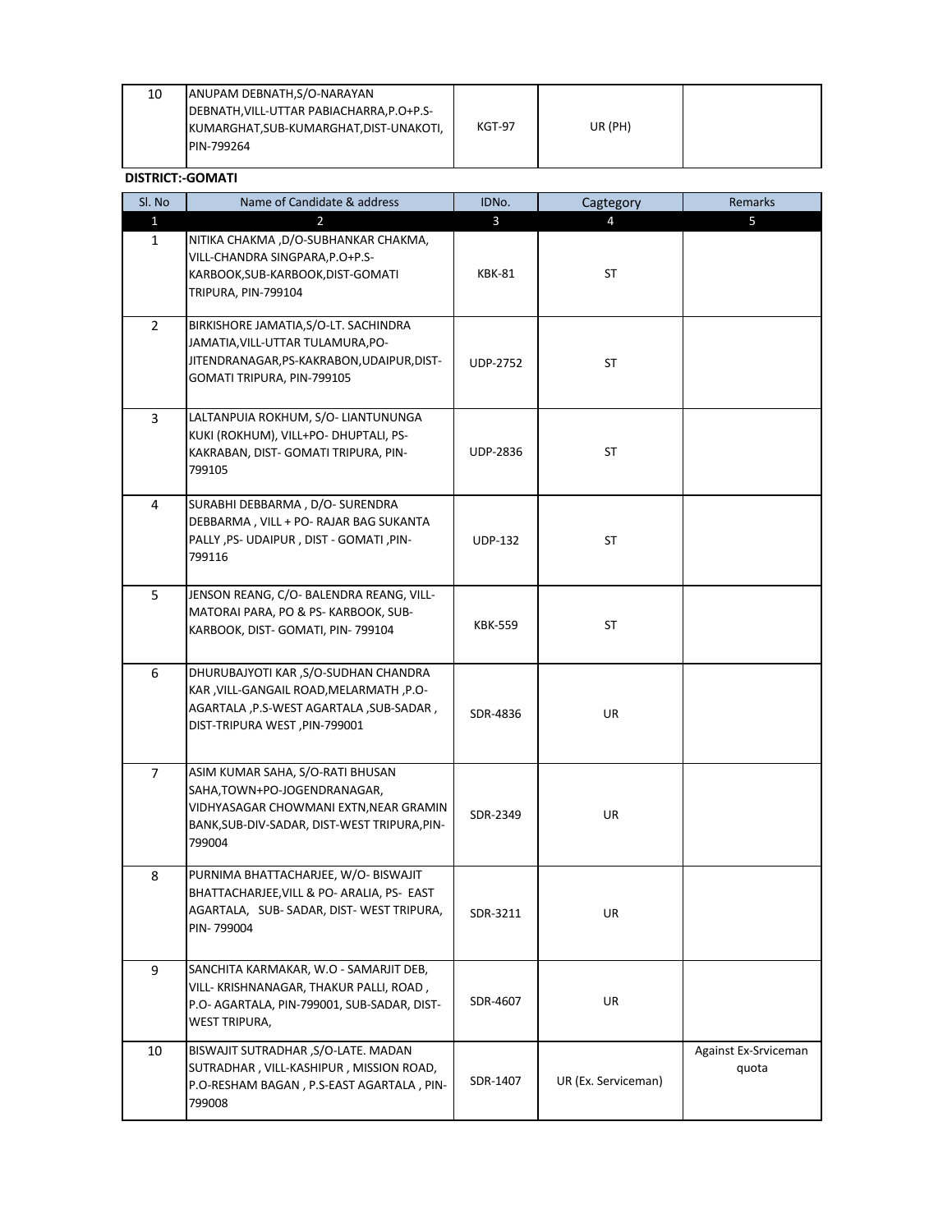| SI. No          | Name of Candidate & address                                                                                                                                          | IDNo.           | Cagtegory           | Remarks                       |
|-----------------|----------------------------------------------------------------------------------------------------------------------------------------------------------------------|-----------------|---------------------|-------------------------------|
| $1\overline{ }$ | $\overline{2}$                                                                                                                                                       | $\overline{3}$  | $\overline{4}$      | 5                             |
| $\mathbf{1}$    | NITIKA CHAKMA ,D/O-SUBHANKAR CHAKMA,<br>VILL-CHANDRA SINGPARA, P.O+P.S-<br>KARBOOK, SUB-KARBOOK, DIST-GOMATI<br>TRIPURA, PIN-799104                                  | <b>KBK-81</b>   | <b>ST</b>           |                               |
| $\overline{2}$  | BIRKISHORE JAMATIA, S/O-LT. SACHINDRA<br>JAMATIA, VILL-UTTAR TULAMURA, PO-<br>JITENDRANAGAR, PS-KAKRABON, UDAIPUR, DIST-<br>GOMATI TRIPURA, PIN-799105               | <b>UDP-2752</b> | ST                  |                               |
| 3               | LALTANPUIA ROKHUM, S/O- LIANTUNUNGA<br>KUKI (ROKHUM), VILL+PO- DHUPTALI, PS-<br>KAKRABAN, DIST- GOMATI TRIPURA, PIN-<br>799105                                       | <b>UDP-2836</b> | <b>ST</b>           |                               |
| 4               | SURABHI DEBBARMA, D/O- SURENDRA<br>DEBBARMA, VILL + PO- RAJAR BAG SUKANTA<br>PALLY, PS- UDAIPUR, DIST - GOMATI, PIN-<br>799116                                       | <b>UDP-132</b>  | ST                  |                               |
| 5               | JENSON REANG, C/O- BALENDRA REANG, VILL-<br>MATORAI PARA, PO & PS- KARBOOK, SUB-<br>KARBOOK, DIST- GOMATI, PIN- 799104                                               | <b>KBK-559</b>  | ST                  |                               |
| 6               | DHURUBAJYOTI KAR, S/O-SUDHAN CHANDRA<br>KAR, VILL-GANGAIL ROAD, MELARMATH, P.O-<br>AGARTALA, P.S-WEST AGARTALA, SUB-SADAR,<br>DIST-TRIPURA WEST, PIN-799001          | SDR-4836        | UR                  |                               |
| $\overline{7}$  | ASIM KUMAR SAHA, S/O-RATI BHUSAN<br>SAHA, TOWN+PO-JOGENDRANAGAR,<br>VIDHYASAGAR CHOWMANI EXTN, NEAR GRAMIN<br>BANK, SUB-DIV-SADAR, DIST-WEST TRIPURA, PIN-<br>799004 | SDR-2349        | UR                  |                               |
| 8               | PURNIMA BHATTACHARJEE, W/O- BISWAJIT<br>BHATTACHARJEE, VILL & PO- ARALIA, PS- EAST<br>AGARTALA, SUB-SADAR, DIST-WEST TRIPURA,<br>PIN-799004                          | SDR-3211        | UR                  |                               |
| 9               | SANCHITA KARMAKAR, W.O - SAMARJIT DEB,<br>VILL- KRISHNANAGAR, THAKUR PALLI, ROAD,<br>P.O- AGARTALA, PIN-799001, SUB-SADAR, DIST-<br><b>WEST TRIPURA,</b>             | SDR-4607        | UR                  |                               |
| 10              | BISWAJIT SUTRADHAR, S/O-LATE. MADAN<br>SUTRADHAR, VILL-KASHIPUR, MISSION ROAD,<br>P.O-RESHAM BAGAN, P.S-EAST AGARTALA, PIN-<br>799008                                | SDR-1407        | UR (Ex. Serviceman) | Against Ex-Srviceman<br>quota |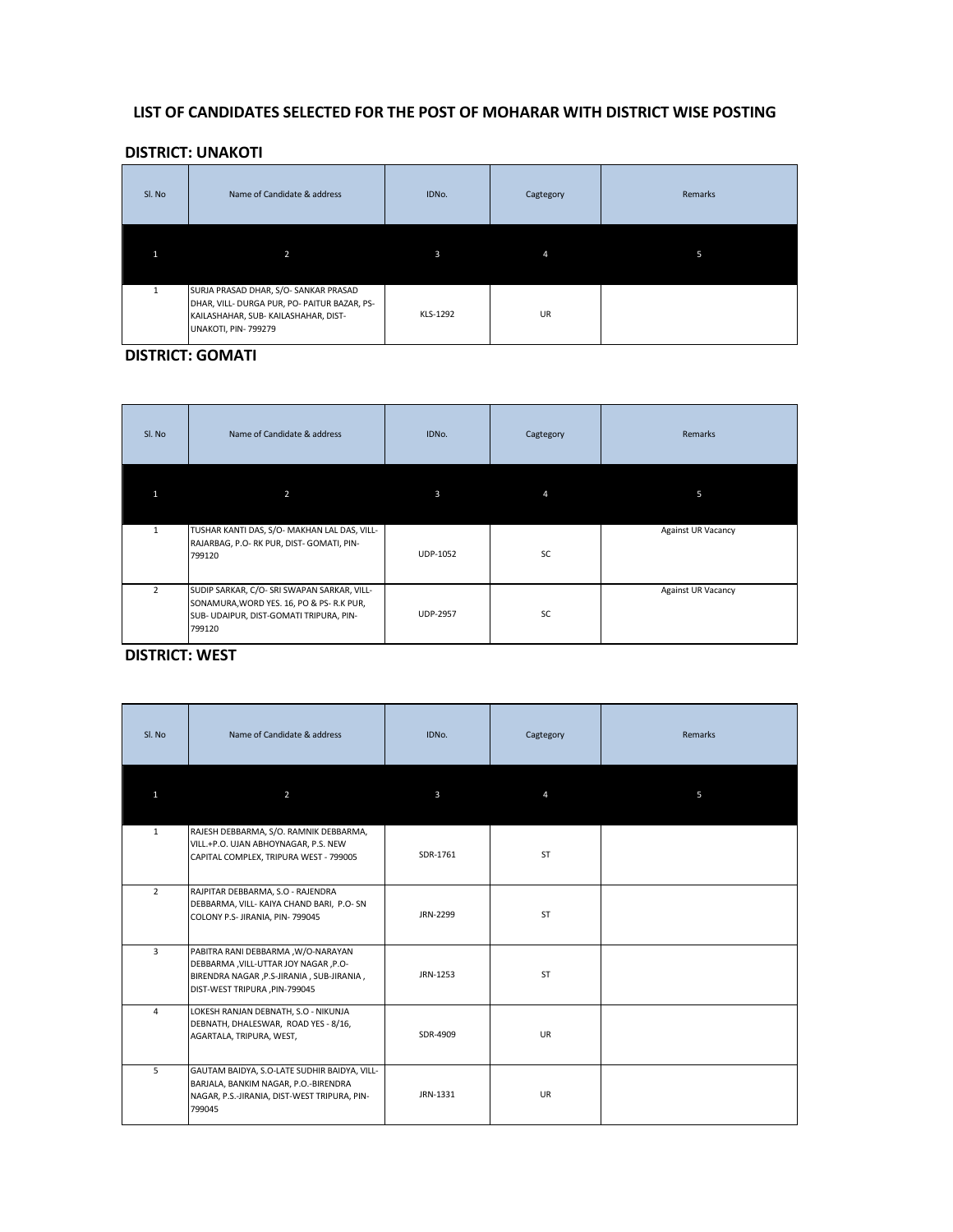## LIST OF CANDIDATES SELECTED FOR THE POST OF MOHARAR WITH DISTRICT WISE POSTING

## **DISTRICT: UNAKOTI**

| Sl. No | Name of Candidate & address                                                                                                                         | IDNo.    | Cagtegory | Remarks |
|--------|-----------------------------------------------------------------------------------------------------------------------------------------------------|----------|-----------|---------|
|        | $\overline{2}$                                                                                                                                      | 3        |           | 5       |
|        | SURJA PRASAD DHAR, S/O- SANKAR PRASAD<br>DHAR, VILL- DURGA PUR, PO- PAITUR BAZAR, PS-<br>KAILASHAHAR, SUB-KAILASHAHAR, DIST-<br>UNAKOTI, PIN-799279 | KLS-1292 | <b>UR</b> |         |

## **DISTRICT: GOMATI**

| Sl. No         | Name of Candidate & address                                                                                                                  | IDNo.           | Cagtegory | Remarks                   |
|----------------|----------------------------------------------------------------------------------------------------------------------------------------------|-----------------|-----------|---------------------------|
|                | 2                                                                                                                                            | $\mathbf{3}$    | 4         | 5                         |
| $\mathbf{1}$   | TUSHAR KANTI DAS, S/O- MAKHAN LAL DAS, VILL-<br>RAJARBAG, P.O-RK PUR, DIST-GOMATI, PIN-<br>799120                                            | <b>UDP-1052</b> | SC        | <b>Against UR Vacancy</b> |
| $\overline{2}$ | SUDIP SARKAR, C/O- SRI SWAPAN SARKAR, VILL-<br>SONAMURA, WORD YES. 16, PO & PS-R.K PUR,<br>SUB- UDAIPUR, DIST-GOMATI TRIPURA, PIN-<br>799120 | <b>UDP-2957</b> | <b>SC</b> | <b>Against UR Vacancy</b> |

# **DISTRICT: WEST**

| Sl. No         | Name of Candidate & address                                                                                                                               | IDNo.        | Cagtegory | Remarks |
|----------------|-----------------------------------------------------------------------------------------------------------------------------------------------------------|--------------|-----------|---------|
| 1              | $\overline{2}$                                                                                                                                            | $\mathbf{3}$ |           | 5       |
| $\mathbf{1}$   | RAJESH DEBBARMA, S/O. RAMNIK DEBBARMA,<br>VILL.+P.O. UJAN ABHOYNAGAR, P.S. NEW<br>CAPITAL COMPLEX, TRIPURA WEST - 799005                                  | SDR-1761     | <b>ST</b> |         |
| $2^{\circ}$    | RAJPITAR DEBBARMA, S.O - RAJENDRA<br>DEBBARMA, VILL- KAIYA CHAND BARI, P.O- SN<br>COLONY P.S- JIRANIA, PIN-799045                                         | JRN-2299     | <b>ST</b> |         |
| $\overline{3}$ | PABITRA RANI DEBBARMA , W/O-NARAYAN<br>DEBBARMA, VILL-UTTAR JOY NAGAR, P.O-<br>BIRENDRA NAGAR, P.S-JIRANIA, SUB-JIRANIA,<br>DIST-WEST TRIPURA, PIN-799045 | JRN-1253     | <b>ST</b> |         |
| 4              | LOKESH RANJAN DEBNATH, S.O - NIKUNJA<br>DEBNATH, DHALESWAR, ROAD YES - 8/16,<br>AGARTALA, TRIPURA, WEST,                                                  | SDR-4909     | <b>UR</b> |         |
| 5 <sub>1</sub> | GAUTAM BAIDYA, S.O-LATE SUDHIR BAIDYA, VILL-<br>BARJALA, BANKIM NAGAR, P.O.-BIRENDRA<br>NAGAR, P.S.-JIRANIA, DIST-WEST TRIPURA, PIN-<br>799045            | JRN-1331     | <b>UR</b> |         |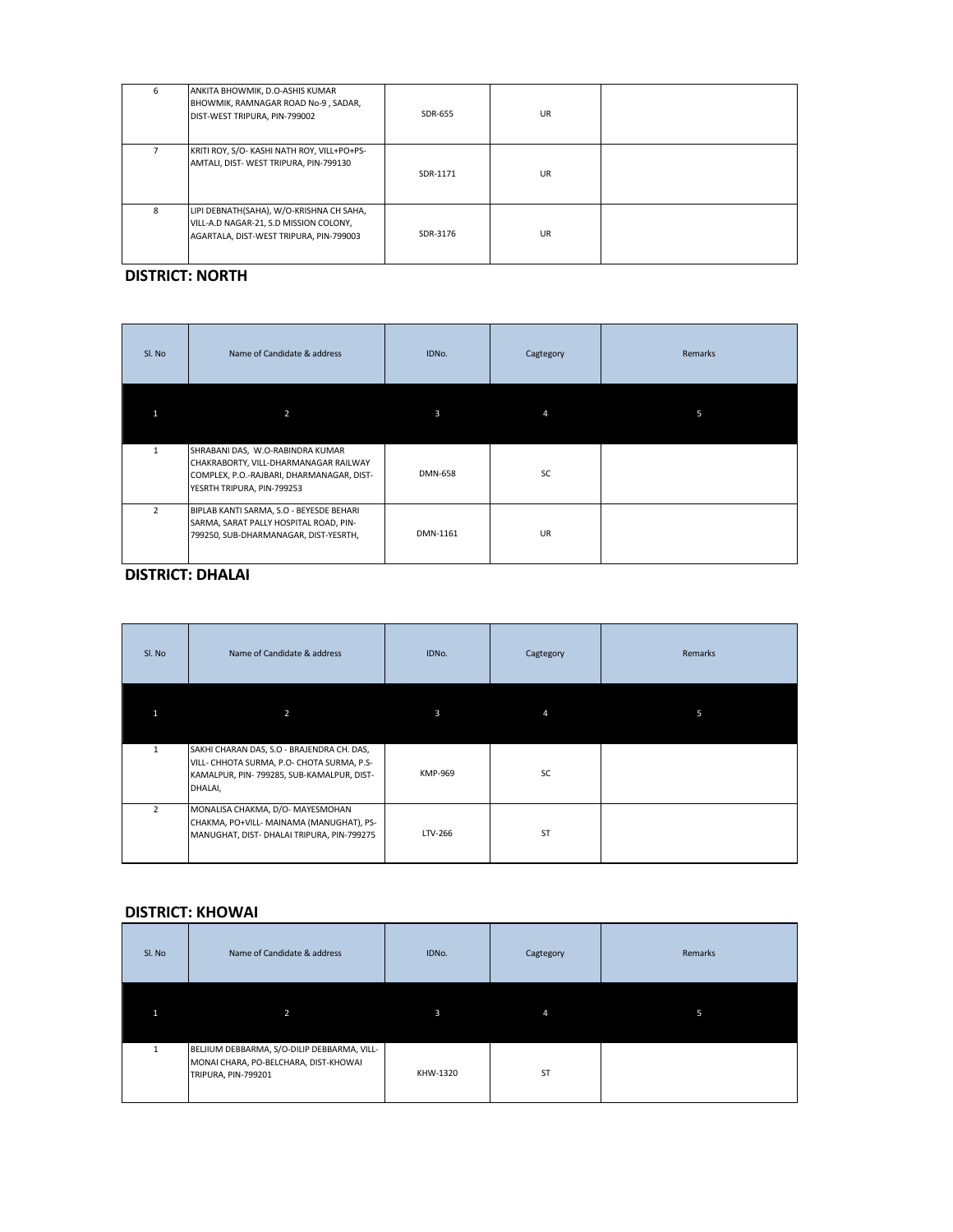| 6 | ANKITA BHOWMIK, D.O-ASHIS KUMAR<br>BHOWMIK, RAMNAGAR ROAD No-9, SADAR,<br>DIST-WEST TRIPURA, PIN-799002                       | SDR-655  | <b>UR</b> |  |
|---|-------------------------------------------------------------------------------------------------------------------------------|----------|-----------|--|
|   | KRITI ROY, S/O- KASHI NATH ROY, VILL+PO+PS-<br>AMTALI, DIST-WEST TRIPURA, PIN-799130                                          | SDR-1171 | <b>UR</b> |  |
| 8 | LIPI DEBNATH(SAHA), W/O-KRISHNA CH SAHA,<br>VILL-A.D NAGAR-21, S.D MISSION COLONY,<br>AGARTALA, DIST-WEST TRIPURA, PIN-799003 | SDR-3176 | <b>UR</b> |  |

## **DISTRICT: NORTH**

| Sl. No         | Name of Candidate & address                                                                                                                          | IDNo.          | Cagtegory | Remarks |
|----------------|------------------------------------------------------------------------------------------------------------------------------------------------------|----------------|-----------|---------|
|                | 2                                                                                                                                                    | 3              |           | 5       |
| $\mathbf{1}$   | SHRABANI DAS, W.O-RABINDRA KUMAR<br>CHAKRABORTY, VILL-DHARMANAGAR RAILWAY<br>COMPLEX, P.O.-RAJBARI, DHARMANAGAR, DIST-<br>YESRTH TRIPURA, PIN-799253 | <b>DMN-658</b> | SC        |         |
| $\overline{2}$ | BIPLAB KANTI SARMA, S.O - BEYESDE BEHARI<br>SARMA, SARAT PALLY HOSPITAL ROAD, PIN-<br>799250, SUB-DHARMANAGAR, DIST-YESRTH,                          | DMN-1161       | <b>UR</b> |         |

## **DISTRICT: DHALAI**

| Sl. No        | Name of Candidate & address                                                                                                                       | IDNo.   | Cagtegory | Remarks |
|---------------|---------------------------------------------------------------------------------------------------------------------------------------------------|---------|-----------|---------|
|               | 2                                                                                                                                                 | 3       | 4         | 5       |
|               | SAKHI CHARAN DAS, S.O - BRAJENDRA CH. DAS,<br>VILL- CHHOTA SURMA, P.O- CHOTA SURMA, P.S-<br>KAMALPUR, PIN- 799285, SUB-KAMALPUR, DIST-<br>DHALAI, | KMP-969 | SC        |         |
| $\mathcal{P}$ | MONALISA CHAKMA, D/O- MAYESMOHAN<br>CHAKMA, PO+VILL- MAINAMA (MANUGHAT), PS-<br>MANUGHAT, DIST- DHALAI TRIPURA, PIN-799275                        | LTV-266 | <b>ST</b> |         |

## **DISTRICT: KHOWAI**

| Sl. No | Name of Candidate & address                                                                                 | IDNo.    | Cagtegory | Remarks |
|--------|-------------------------------------------------------------------------------------------------------------|----------|-----------|---------|
|        | $\overline{2}$                                                                                              | 3        |           | 51      |
|        | BELJIUM DEBBARMA, S/O-DILIP DEBBARMA, VILL-<br>MONAI CHARA, PO-BELCHARA, DIST-KHOWAI<br>TRIPURA, PIN-799201 | KHW-1320 | <b>ST</b> |         |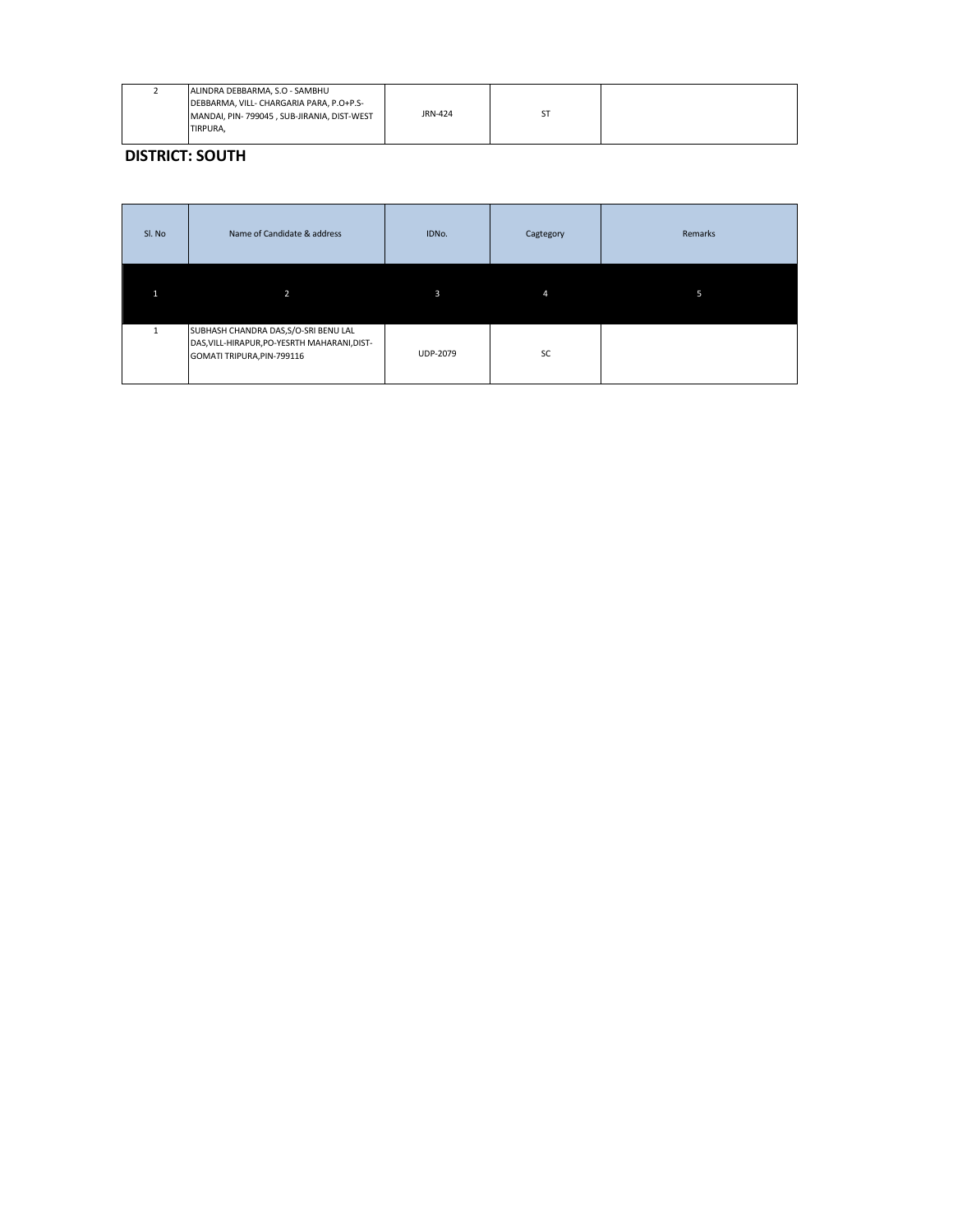|  | ALINDRA DEBBARMA, S.O - SAMBHU<br>DEBBARMA, VILL- CHARGARIA PARA, P.O+P.S-<br>MANDAI, PIN-799045, SUB-JIRANIA, DIST-WEST<br><b>ITIRPURA,</b> | JRN-424 |  |  |
|--|----------------------------------------------------------------------------------------------------------------------------------------------|---------|--|--|
|--|----------------------------------------------------------------------------------------------------------------------------------------------|---------|--|--|

**DISTRICT: SOUTH** 

| Sl. No | Name of Candidate & address                                                                                         | IDNo.           | Cagtegory | Remarks |
|--------|---------------------------------------------------------------------------------------------------------------------|-----------------|-----------|---------|
|        | $\overline{2}$                                                                                                      | 3               | 4         | 5       |
|        | SUBHASH CHANDRA DAS, S/O-SRI BENU LAL<br>DAS, VILL-HIRAPUR, PO-YESRTH MAHARANI, DIST-<br>GOMATI TRIPURA, PIN-799116 | <b>UDP-2079</b> | <b>SC</b> |         |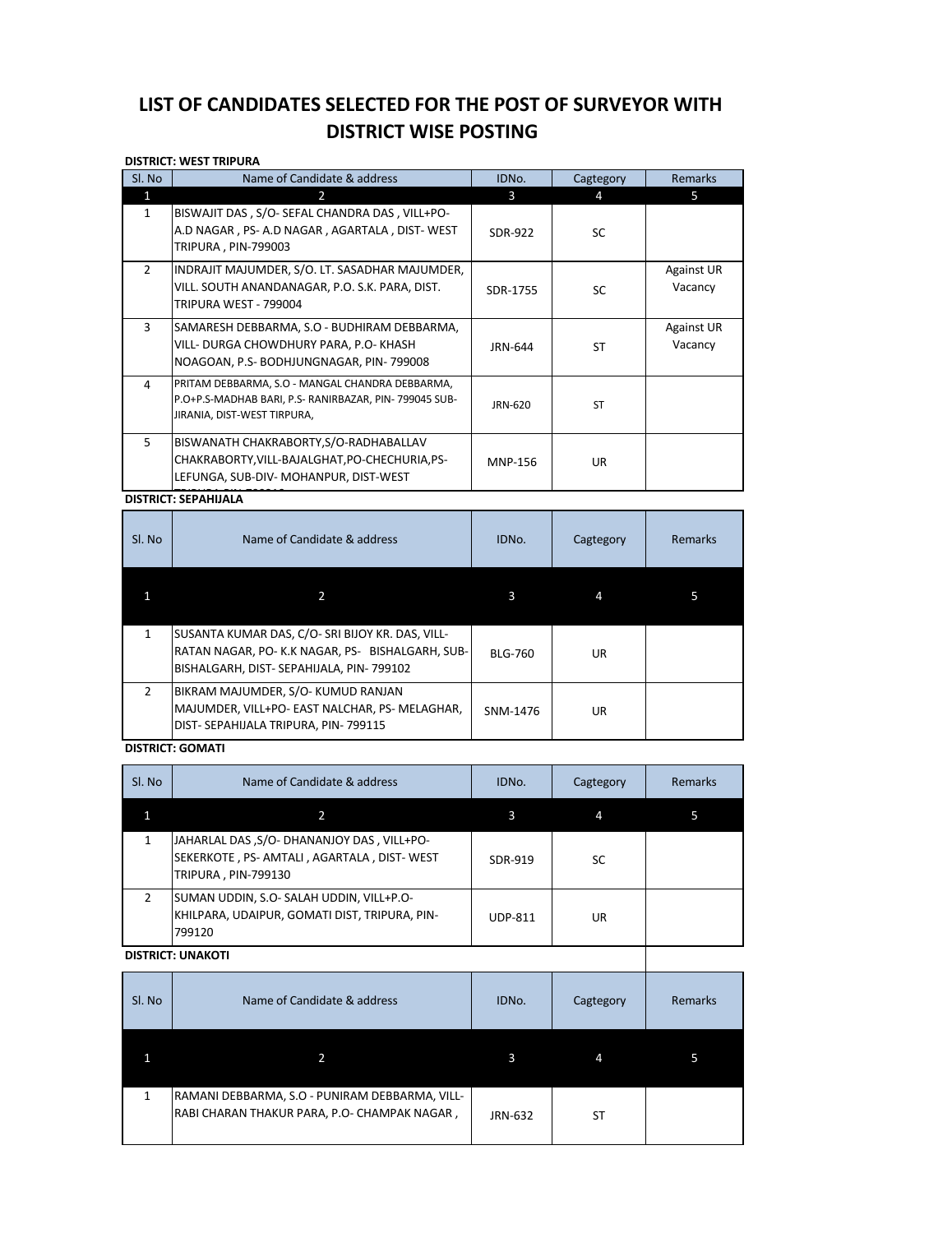# LIST OF CANDIDATES SELECTED FOR THE POST OF SURVEYOR WITH **DISTRICT WISE POSTING**

|                | <b>DISTRICT: WEST TRIPURA</b>                                                                                         |                |           |                   |  |
|----------------|-----------------------------------------------------------------------------------------------------------------------|----------------|-----------|-------------------|--|
| Sl. No         | Name of Candidate & address                                                                                           | IDNo.          | Cagtegory | <b>Remarks</b>    |  |
| 1              | $\overline{2}$                                                                                                        | 3              | 4         | 5.                |  |
| $\mathbf{1}$   | BISWAJIT DAS, S/O- SEFAL CHANDRA DAS, VILL+PO-<br>A.D NAGAR, PS-A.D NAGAR, AGARTALA, DIST-WEST<br>TRIPURA, PIN-799003 | <b>SDR-922</b> | <b>SC</b> |                   |  |
| $\overline{2}$ | INDRAJIT MAJUMDER, S/O. LT. SASADHAR MAJUMDER,                                                                        |                |           | <b>Against UR</b> |  |
|                | VILL. SOUTH ANANDANAGAR, P.O. S.K. PARA, DIST.<br>TRIPURA WEST - 799004                                               | SDR-1755       | <b>SC</b> | Vacancy           |  |
| 3              | SAMARESH DEBBARMA, S.O - BUDHIRAM DEBBARMA,                                                                           |                |           | <b>Against UR</b> |  |
|                | VILL- DURGA CHOWDHURY PARA, P.O- KHASH<br>NOAGOAN, P.S- BODHJUNGNAGAR, PIN-799008                                     | JRN-644        | ST        | Vacancy           |  |
| 4              | PRITAM DEBBARMA, S.O - MANGAL CHANDRA DEBBARMA,                                                                       |                |           |                   |  |
|                | P.O+P.S-MADHAB BARI, P.S- RANIRBAZAR, PIN-799045 SUB-<br>JIRANIA, DIST-WEST TIRPURA,                                  | JRN-620        | <b>ST</b> |                   |  |
| 5              | BISWANATH CHAKRABORTY, S/O-RADHABALLAV                                                                                |                |           |                   |  |
|                | CHAKRABORTY, VILL-BAJALGHAT, PO-CHECHURIA, PS-                                                                        | <b>MNP-156</b> | UR        |                   |  |
|                | LEFUNGA, SUB-DIV- MOHANPUR, DIST-WEST                                                                                 |                |           |                   |  |
|                |                                                                                                                       |                |           |                   |  |

# **DISTRICT: SEPAHIJALA**

| Sl. No        | Name of Candidate & address                                                                                                                    | IDNO.          | Cagtegory | Remarks |
|---------------|------------------------------------------------------------------------------------------------------------------------------------------------|----------------|-----------|---------|
|               |                                                                                                                                                | 3              | 4         |         |
|               | SUSANTA KUMAR DAS, C/O-SRI BIJOY KR. DAS, VILL-<br>RATAN NAGAR, PO-K.K NAGAR, PS-BISHALGARH, SUB-<br>BISHALGARH, DIST- SEPAHIJALA, PIN- 799102 | <b>BLG-760</b> | UR.       |         |
| $\mathcal{P}$ | BIKRAM MAJUMDER, S/O-KUMUD RANJAN<br>MAJUMDER, VILL+PO- EAST NALCHAR, PS- MELAGHAR,<br>DIST-SEPAHIJALA TRIPURA, PIN-799115                     | SNM-1476       | UR        |         |

### **DISTRICT: GOMATI**

| SI. No                   | Name of Candidate & address                                                                                   | IDNO.          | Cagtegory | Remarks |
|--------------------------|---------------------------------------------------------------------------------------------------------------|----------------|-----------|---------|
|                          |                                                                                                               | 3              | 4         |         |
|                          | JAHARLAL DAS, S/O-DHANANJOY DAS, VILL+PO-<br>SEKERKOTE, PS-AMTALI, AGARTALA, DIST-WEST<br>TRIPURA, PIN-799130 | SDR-919        | SC.       |         |
| 2                        | SUMAN UDDIN, S.O- SALAH UDDIN, VILL+P.O-<br>KHILPARA, UDAIPUR, GOMATI DIST, TRIPURA, PIN-<br>799120           | <b>UDP-811</b> | UR.       |         |
| <b>DISTRICT: UNAKOTI</b> |                                                                                                               |                |           |         |

#### **DISTRICT: UNAKOTI**

| Sl. No | Name of Candidate & address                                                                    | IDNO.   | Cagtegory | Remarks |
|--------|------------------------------------------------------------------------------------------------|---------|-----------|---------|
|        |                                                                                                | 3       | 4         |         |
| 1      | RAMANI DEBBARMA, S.O - PUNIRAM DEBBARMA, VILL-<br>RABI CHARAN THAKUR PARA, P.O- CHAMPAK NAGAR, | JRN-632 | ST        |         |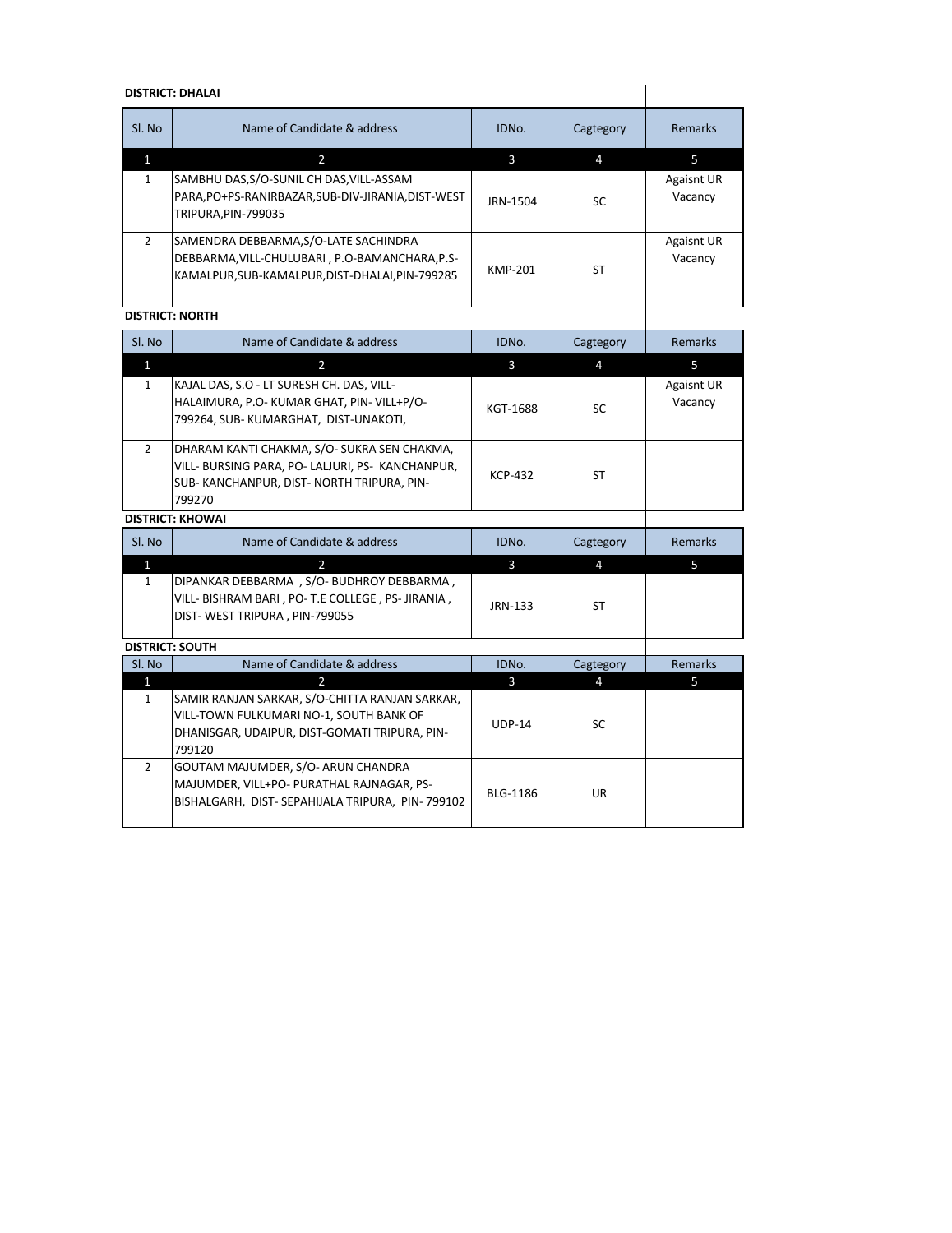## **DISTRICT: DHALAI**

| <b>DISTRICT: DHALAI</b> |                                                                                                                                         |          |           |                              |
|-------------------------|-----------------------------------------------------------------------------------------------------------------------------------------|----------|-----------|------------------------------|
| SI. No                  | Name of Candidate & address                                                                                                             | IDNO.    | Cagtegory | <b>Remarks</b>               |
|                         | $\overline{2}$                                                                                                                          | 3        | 4         | 5                            |
| 1                       | SAMBHU DAS, S/O-SUNIL CH DAS, VILL-ASSAM<br>PARA,PO+PS-RANIRBAZAR,SUB-DIV-JIRANIA,DIST-WEST<br>TRIPURA, PIN-799035                      | JRN-1504 | <b>SC</b> | <b>Agaisnt UR</b><br>Vacancy |
| $\mathcal{P}$           | SAMENDRA DEBBARMA, S/O-LATE SACHINDRA<br>DEBBARMA, VILL-CHULUBARI, P.O-BAMANCHARA, P.S-<br>KAMALPUR,SUB-KAMALPUR,DIST-DHALAI,PIN-799285 | KMP-201  | <b>ST</b> | <b>Agaisnt UR</b><br>Vacancy |
|                         | <b>DISTRICT: NORTH</b>                                                                                                                  |          |           |                              |

## **DISTRICT: NORTH**

| Sl. No         | Name of Candidate & address                                                                                                                          | IDNO.          | Cagtegory | Remarks                      |
|----------------|------------------------------------------------------------------------------------------------------------------------------------------------------|----------------|-----------|------------------------------|
| $\mathbf{1}$   | 2                                                                                                                                                    | 3              | 4         | 5                            |
| $\mathbf{1}$   | KAJAL DAS, S.O - LT SURESH CH. DAS, VILL-<br>HALAIMURA, P.O- KUMAR GHAT, PIN- VILL+P/O-<br>799264, SUB-KUMARGHAT, DIST-UNAKOTI,                      | KGT-1688       | <b>SC</b> | <b>Agaisnt UR</b><br>Vacancy |
| $\overline{2}$ | DHARAM KANTI CHAKMA, S/O-SUKRA SEN CHAKMA,<br>VILL- BURSING PARA, PO- LALJURI, PS- KANCHANPUR,<br>SUB-KANCHANPUR, DIST-NORTH TRIPURA, PIN-<br>799270 | <b>KCP-432</b> | ST.       |                              |
|                | <b>DISTRICT: KHOWAI</b>                                                                                                                              |                |           |                              |
| SI. No         | Name of Candidate & address                                                                                                                          | IDNO.          | Cagtegory | <b>Remarks</b>               |
| $\mathbf{1}$   | $\overline{2}$                                                                                                                                       | $\overline{3}$ | 4         | 5                            |
| $\mathbf{1}$   | DIPANKAR DEBBARMA, S/O-BUDHROY DEBBARMA,<br>VILL- BISHRAM BARI, PO-T.E COLLEGE, PS-JIRANIA,<br>DIST-WEST TRIPURA, PIN-799055                         | JRN-133        | <b>ST</b> |                              |
|                | <b>DISTRICT: SOUTH</b>                                                                                                                               |                |           |                              |
| Sl. No         | Name of Candidate & address                                                                                                                          | IDNO.          | Cagtegory | Remarks                      |
| 1              | 2.                                                                                                                                                   | 3              | Δ         | 5.                           |

|                                                 |          | Δ   |  |
|-------------------------------------------------|----------|-----|--|
| SAMIR RANJAN SARKAR, S/O-CHITTA RANJAN SARKAR,  |          |     |  |
| VILL-TOWN FULKUMARI NO-1, SOUTH BANK OF         | $UDP-14$ | SC. |  |
| DHANISGAR, UDAIPUR, DIST-GOMATI TRIPURA, PIN-   |          |     |  |
| 799120                                          |          |     |  |
| GOUTAM MAJUMDER, S/O- ARUN CHANDRA              |          |     |  |
| MAJUMDER, VILL+PO- PURATHAL RAJNAGAR, PS-       | BLG-1186 | UR  |  |
| BISHALGARH, DIST-SEPAHIJALA TRIPURA, PIN-799102 |          |     |  |
|                                                 |          |     |  |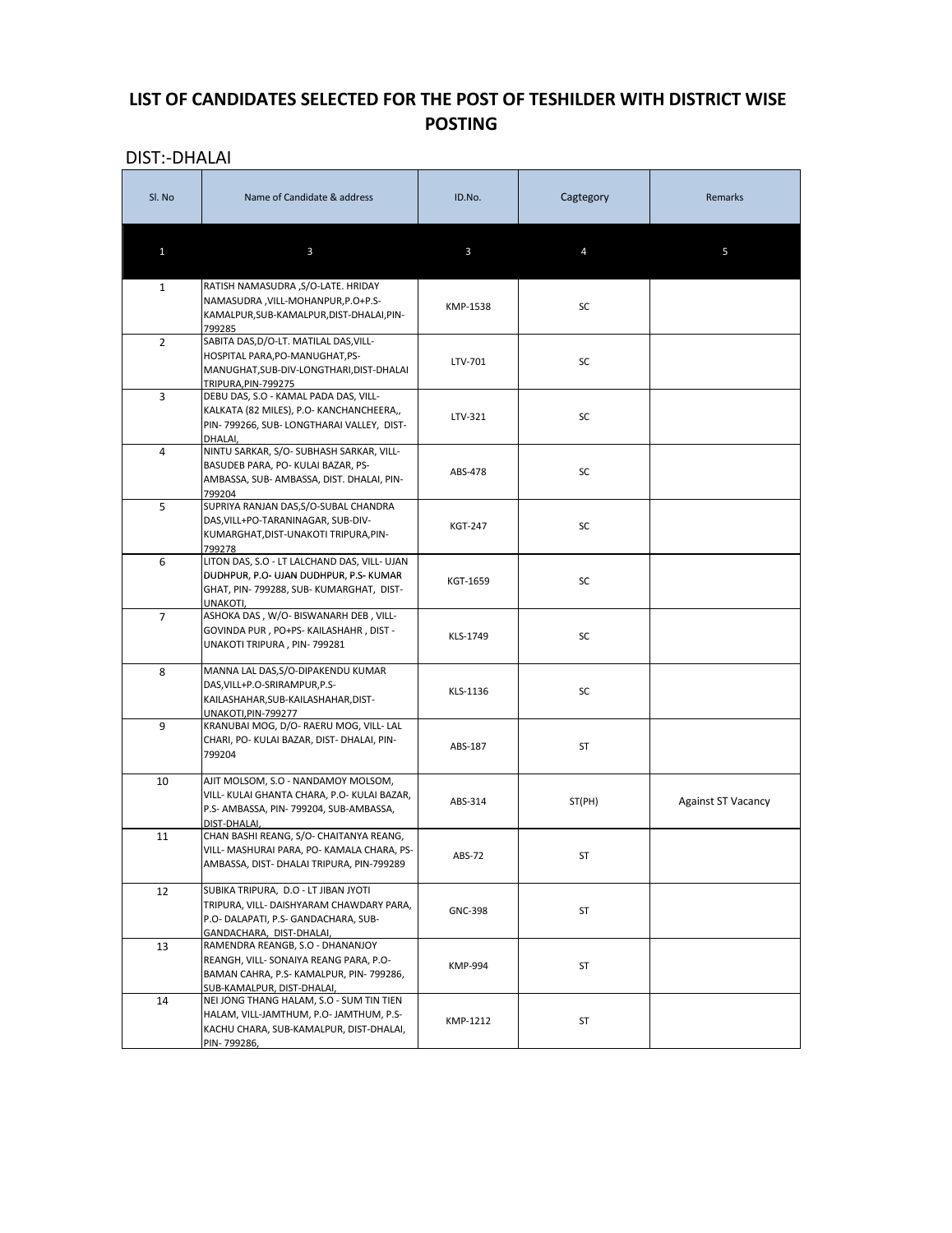# LIST OF CANDIDATES SELECTED FOR THE POST OF TESHILDER WITH DISTRICT WISE **POSTING**

| <b>DIST:-DHALAI</b> |                                                                                                                                                      |                |           |                           |
|---------------------|------------------------------------------------------------------------------------------------------------------------------------------------------|----------------|-----------|---------------------------|
| Sl. No              | Name of Candidate & address                                                                                                                          | ID.No.         | Cagtegory | Remarks                   |
| $\mathbf{1}$        | $\mathbf{3}$                                                                                                                                         | $\mathbf{3}$   | 4         | 5                         |
| $\mathbf{1}$        | RATISH NAMASUDRA, S/O-LATE. HRIDAY<br>NAMASUDRA, VILL-MOHANPUR, P.O+P.S-<br>KAMALPUR, SUB-KAMALPUR, DIST-DHALAI, PIN-<br>799285                      | KMP-1538       | SC        |                           |
| $\overline{2}$      | SABITA DAS, D/O-LT. MATILAL DAS, VILL-<br>HOSPITAL PARA, PO-MANUGHAT, PS-<br>MANUGHAT, SUB-DIV-LONGTHARI, DIST-DHALAI<br>TRIPURA, PIN-799275         | LTV-701        | SC        |                           |
| $\mathbf{3}$        | DEBU DAS, S.O - KAMAL PADA DAS, VILL-<br>KALKATA (82 MILES), P.O- KANCHANCHEERA,,<br>PIN-799266, SUB-LONGTHARAI VALLEY, DIST-<br>DHALAI,             | LTV-321        | SC        |                           |
| 4                   | NINTU SARKAR, S/O- SUBHASH SARKAR, VILL-<br>BASUDEB PARA, PO- KULAI BAZAR, PS-<br>AMBASSA, SUB- AMBASSA, DIST. DHALAI, PIN-<br>799204                | ABS-478        | SC        |                           |
| 5                   | SUPRIYA RANJAN DAS, S/O-SUBAL CHANDRA<br>DAS, VILL+PO-TARANINAGAR, SUB-DIV-<br>KUMARGHAT, DIST-UNAKOTI TRIPURA, PIN-<br>799278                       | <b>KGT-247</b> | <b>SC</b> |                           |
| 6                   | LITON DAS, S.O - LT LALCHAND DAS, VILL- UJAN<br>DUDHPUR, P.O- UJAN DUDHPUR, P.S- KUMAR<br>GHAT, PIN- 799288, SUB-KUMARGHAT, DIST-<br>UNAKOTI,        | KGT-1659       | SC        |                           |
| 7                   | ASHOKA DAS, W/O- BISWANARH DEB, VILL-<br>GOVINDA PUR, PO+PS- KAILASHAHR, DIST -<br>UNAKOTI TRIPURA, PIN-799281                                       | KLS-1749       | SC        |                           |
| 8                   | MANNA LAL DAS, S/O-DIPAKENDU KUMAR<br>DAS, VILL+P.O-SRIRAMPUR, P.S-<br>KAILASHAHAR, SUB-KAILASHAHAR, DIST-<br>UNAKOTI, PIN-799277                    | KLS-1136       | <b>SC</b> |                           |
| 9                   | KRANUBAI MOG, D/O- RAERU MOG, VILL- LAL<br>CHARI, PO- KULAI BAZAR, DIST- DHALAI, PIN-<br>799204                                                      | ABS-187        | <b>ST</b> |                           |
| 10                  | AJIT MOLSOM, S.O - NANDAMOY MOLSOM,<br>VILL- KULAI GHANTA CHARA, P.O- KULAI BAZAR,<br>P.S- AMBASSA, PIN-799204, SUB-AMBASSA,<br>DIST-DHALAI,         | ABS-314        | ST(PH)    | <b>Against ST Vacancy</b> |
| 11                  | CHAN BASHI REANG, S/O- CHAITANYA REANG,<br>VILL- MASHURAI PARA, PO- KAMALA CHARA, PS-<br>AMBASSA, DIST- DHALAI TRIPURA, PIN-799289                   | ABS-72         | ST        |                           |
| 12                  | SUBIKA TRIPURA, D.O - LT JIBAN JYOTI<br>TRIPURA, VILL- DAISHYARAM CHAWDARY PARA,<br>P.O- DALAPATI, P.S- GANDACHARA, SUB-<br>GANDACHARA, DIST-DHALAI, | <b>GNC-398</b> | ST        |                           |
| 13                  | RAMENDRA REANGB, S.O - DHANANJOY<br>REANGH, VILL-SONAIYA REANG PARA, P.O-<br>BAMAN CAHRA, P.S- KAMALPUR, PIN-799286.                                 | KMP-994        | ST        |                           |

|    | ISUB-KAMALPUR. DIST-DHALAI.               |          |  |
|----|-------------------------------------------|----------|--|
| 14 | INEI JONG THANG HALAM, S.O - SUM TIN TIEN |          |  |
|    | HALAM, VILL-JAMTHUM, P.O-JAMTHUM, P.S-    | KMP-1212 |  |
|    | IKACHU CHARA, SUB-KAMALPUR, DIST-DHALAI,  |          |  |
|    | PIN-799286,                               |          |  |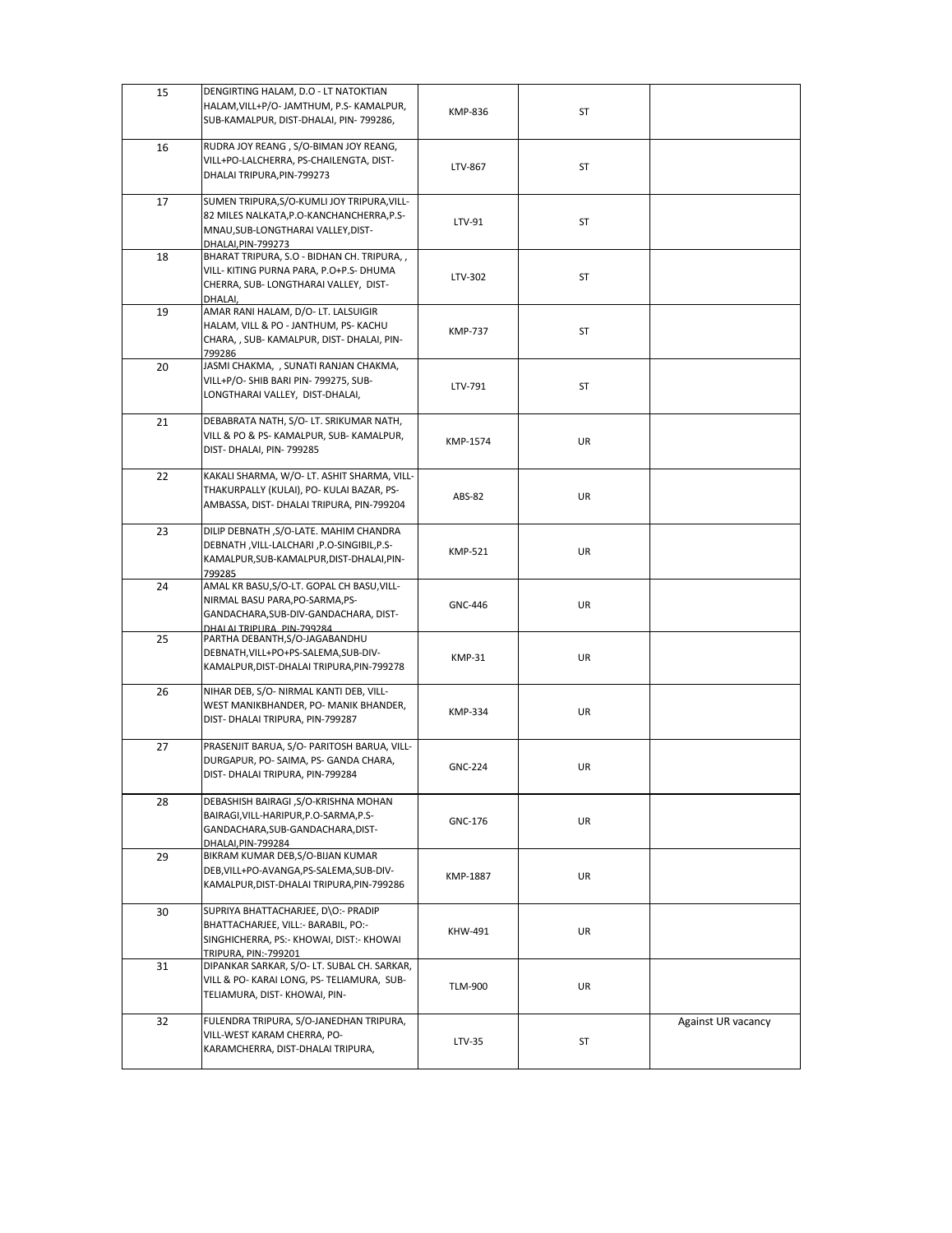| 15 | DENGIRTING HALAM, D.O - LT NATOKTIAN<br>HALAM, VILL+P/O- JAMTHUM, P.S- KAMALPUR,<br>SUB-KAMALPUR, DIST-DHALAI, PIN- 799286,                           | <b>KMP-836</b> | ST        |                           |
|----|-------------------------------------------------------------------------------------------------------------------------------------------------------|----------------|-----------|---------------------------|
| 16 | RUDRA JOY REANG, S/O-BIMAN JOY REANG,                                                                                                                 |                |           |                           |
|    | VILL+PO-LALCHERRA, PS-CHAILENGTA, DIST-<br>DHALAI TRIPURA, PIN-799273                                                                                 | LTV-867        | ST        |                           |
| 17 | SUMEN TRIPURA, S/O-KUMLI JOY TRIPURA, VILL-<br>82 MILES NALKATA, P.O-KANCHANCHERRA, P.S-<br>MNAU, SUB-LONGTHARAI VALLEY, DIST-<br>DHALAI, PIN-799273  | LTV-91         | ST        |                           |
| 18 | BHARAT TRIPURA, S.O - BIDHAN CH. TRIPURA,,<br>VILL- KITING PURNA PARA, P.O+P.S- DHUMA<br>CHERRA, SUB-LONGTHARAI VALLEY, DIST-<br>DHALAI,              | LTV-302        | ST        |                           |
| 19 | AMAR RANI HALAM, D/O- LT. LALSUIGIR<br>HALAM, VILL & PO - JANTHUM, PS- KACHU<br>CHARA, , SUB- KAMALPUR, DIST- DHALAI, PIN-<br>799286                  | <b>KMP-737</b> | ST        |                           |
| 20 | JASMI CHAKMA, , SUNATI RANJAN CHAKMA,<br>VILL+P/O- SHIB BARI PIN- 799275, SUB-<br>LONGTHARAI VALLEY, DIST-DHALAI,                                     | LTV-791        | ST        |                           |
| 21 | DEBABRATA NATH, S/O-LT. SRIKUMAR NATH,<br>VILL & PO & PS- KAMALPUR, SUB- KAMALPUR,<br>DIST-DHALAI, PIN-799285                                         | KMP-1574       | UR        |                           |
| 22 | KAKALI SHARMA, W/O- LT. ASHIT SHARMA, VILL-<br>THAKURPALLY (KULAI), PO- KULAI BAZAR, PS-<br>AMBASSA, DIST- DHALAI TRIPURA, PIN-799204                 | ABS-82         | UR        |                           |
| 23 | DILIP DEBNATH, S/O-LATE. MAHIM CHANDRA<br>DEBNATH, VILL-LALCHARI, P.O-SINGIBIL, P.S-<br>KAMALPUR, SUB-KAMALPUR, DIST-DHALAI, PIN-<br>799285           | <b>KMP-521</b> | <b>UR</b> |                           |
| 24 | AMAL KR BASU, S/O-LT. GOPAL CH BASU, VILL-<br>NIRMAL BASU PARA, PO-SARMA, PS-<br>GANDACHARA, SUB-DIV-GANDACHARA, DIST-<br>DHALAI TRIPLIRA PIN-799284  | <b>GNC-446</b> | <b>UR</b> |                           |
| 25 | PARTHA DEBANTH, S/O-JAGABANDHU<br>DEBNATH, VILL+PO+PS-SALEMA, SUB-DIV-<br>KAMALPUR, DIST-DHALAI TRIPURA, PIN-799278                                   | KMP-31         | UR        |                           |
| 26 | NIHAR DEB, S/O- NIRMAL KANTI DEB, VILL-<br>WEST MANIKBHANDER, PO- MANIK BHANDER,<br>DIST- DHALAI TRIPURA, PIN-799287                                  | <b>KMP-334</b> | UR        |                           |
| 27 | PRASENJIT BARUA, S/O- PARITOSH BARUA, VILL-<br>DURGAPUR, PO-SAIMA, PS-GANDA CHARA,<br>DIST- DHALAI TRIPURA, PIN-799284                                | <b>GNC-224</b> | UR        |                           |
| 28 | DEBASHISH BAIRAGI , S/O-KRISHNA MOHAN<br>BAIRAGI, VILL-HARIPUR, P.O-SARMA, P.S-<br>GANDACHARA, SUB-GANDACHARA, DIST-<br>DHALAI, PIN-799284            | GNC-176        | UR        |                           |
| 29 | BIKRAM KUMAR DEB, S/O-BIJAN KUMAR<br>DEB, VILL+PO-AVANGA, PS-SALEMA, SUB-DIV-<br>KAMALPUR, DIST-DHALAI TRIPURA, PIN-799286                            | KMP-1887       | UR        |                           |
| 30 | SUPRIYA BHATTACHARJEE, D\O:- PRADIP<br>BHATTACHARJEE, VILL:- BARABIL, PO:-<br>SINGHICHERRA, PS:- KHOWAI, DIST:- KHOWAI<br><b>TRIPURA, PIN:-799201</b> | KHW-491        | <b>UR</b> |                           |
| 31 | DIPANKAR SARKAR, S/O- LT. SUBAL CH. SARKAR,<br>VILL & PO- KARAI LONG, PS- TELIAMURA, SUB-<br>TELIAMURA, DIST-KHOWAI, PIN-                             | <b>TLM-900</b> | UR        |                           |
| 32 | FULENDRA TRIPURA, S/O-JANEDHAN TRIPURA,<br>VILL-WEST KARAM CHERRA, PO-<br>KARAMCHERRA, DIST-DHALAI TRIPURA,                                           | LTV-35         | ST        | <b>Against UR vacancy</b> |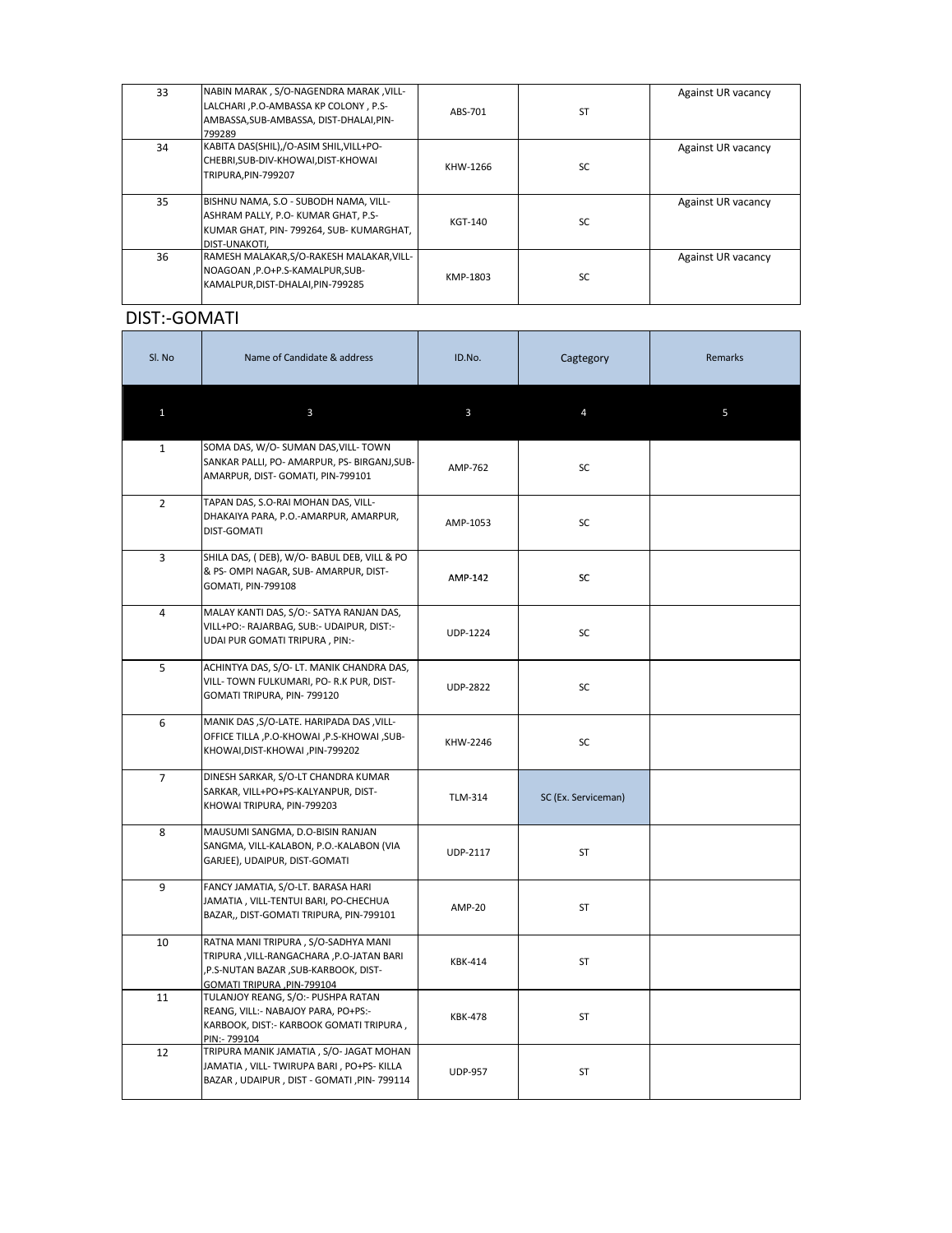| 33 | NABIN MARAK, S/O-NAGENDRA MARAK, VILL-<br>LALCHARI, P.O-AMBASSA KP COLONY, P.S-<br>AMBASSA, SUB-AMBASSA, DIST-DHALAI, PIN-<br>799289        | ABS-701  | <b>ST</b> | Against UR vacancy |
|----|---------------------------------------------------------------------------------------------------------------------------------------------|----------|-----------|--------------------|
| 34 | KABITA DAS(SHIL),/O-ASIM SHIL, VILL+PO-<br>CHEBRI, SUB-DIV-KHOWAI, DIST-KHOWAI<br>TRIPURA, PIN-799207                                       | KHW-1266 | <b>SC</b> | Against UR vacancy |
| 35 | BISHNU NAMA, S.O - SUBODH NAMA, VILL-<br>ASHRAM PALLY, P.O- KUMAR GHAT, P.S-<br> KUMAR GHAT, PIN- 799264, SUB- KUMARGHAT,<br>IDIST-UNAKOTI. | KGT-140  | <b>SC</b> | Against UR vacancy |
| 36 | RAMESH MALAKAR, S/O-RAKESH MALAKAR, VILL-<br>NOAGOAN , P.O+P.S-KAMALPUR, SUB-<br>KAMALPUR,DIST-DHALAI,PIN-799285                            | KMP-1803 | <b>SC</b> | Against UR vacancy |

# DIST:-GOMATI

| Sl. No         | Name of Candidate & address                                                                                                                           | ID.No.          | Cagtegory           | <b>Remarks</b> |
|----------------|-------------------------------------------------------------------------------------------------------------------------------------------------------|-----------------|---------------------|----------------|
| 1              | $\mathbf{3}$                                                                                                                                          | 3               | $\overline{4}$      | 5              |
| $\mathbf{1}$   | SOMA DAS, W/O- SUMAN DAS, VILL- TOWN<br>SANKAR PALLI, PO- AMARPUR, PS- BIRGANJ, SUB-<br>AMARPUR, DIST- GOMATI, PIN-799101                             | AMP-762         | SC                  |                |
| $2^{\circ}$    | TAPAN DAS, S.O-RAI MOHAN DAS, VILL-<br>DHAKAIYA PARA, P.O.-AMARPUR, AMARPUR,<br><b>DIST-GOMATI</b>                                                    | AMP-1053        | SC                  |                |
| $\overline{3}$ | SHILA DAS, (DEB), W/O- BABUL DEB, VILL & PO<br>& PS-OMPI NAGAR, SUB-AMARPUR, DIST-<br>GOMATI, PIN-799108                                              | AMP-142         | <b>SC</b>           |                |
| $\overline{4}$ | MALAY KANTI DAS, S/O:- SATYA RANJAN DAS,<br>VILL+PO:- RAJARBAG, SUB:- UDAIPUR, DIST:-<br>UDAI PUR GOMATI TRIPURA, PIN:-                               | <b>UDP-1224</b> | <b>SC</b>           |                |
| 5              | ACHINTYA DAS, S/O- LT. MANIK CHANDRA DAS,<br>VILL-TOWN FULKUMARI, PO-R.K PUR, DIST-<br>GOMATI TRIPURA, PIN-799120                                     | <b>UDP-2822</b> | SC                  |                |
| 6              | MANIK DAS, S/O-LATE. HARIPADA DAS, VILL-<br>OFFICE TILLA, P.O-KHOWAI, P.S-KHOWAI, SUB-<br>KHOWAI, DIST-KHOWAI, PIN-799202                             | KHW-2246        | <b>SC</b>           |                |
| $\overline{7}$ | DINESH SARKAR, S/O-LT CHANDRA KUMAR<br>SARKAR, VILL+PO+PS-KALYANPUR, DIST-<br>KHOWAI TRIPURA, PIN-799203                                              | <b>TLM-314</b>  | SC (Ex. Serviceman) |                |
| 8              | MAUSUMI SANGMA, D.O-BISIN RANJAN<br>SANGMA, VILL-KALABON, P.O.-KALABON (VIA<br>GARJEE), UDAIPUR, DIST-GOMATI                                          | <b>UDP-2117</b> | ST                  |                |
| $\overline{9}$ | FANCY JAMATIA, S/O-LT. BARASA HARI<br>JAMATIA, VILL-TENTUI BARI, PO-CHECHUA<br>BAZAR,, DIST-GOMATI TRIPURA, PIN-799101                                | AMP-20          | ST                  |                |
| 10             | RATNA MANI TRIPURA, S/O-SADHYA MANI<br>TRIPURA, VILL-RANGACHARA, P.O-JATAN BARI<br>,P.S-NUTAN BAZAR ,SUB-KARBOOK, DIST-<br>GOMATI TRIPURA, PIN-799104 | <b>KBK-414</b>  | ST                  |                |
| 11             | TULANJOY REANG, S/O:- PUSHPA RATAN<br>REANG, VILL:- NABAJOY PARA, PO+PS:-<br>KARBOOK, DIST:- KARBOOK GOMATI TRIPURA,<br>PIN:- 799104                  | <b>KBK-478</b>  | ST                  |                |
| 12             | TRIPURA MANIK JAMATIA, S/O- JAGAT MOHAN<br>JAMATIA, VILL-TWIRUPA BARI, PO+PS-KILLA<br>BAZAR, UDAIPUR, DIST - GOMATI, PIN-799114                       | <b>UDP-957</b>  | <b>ST</b>           |                |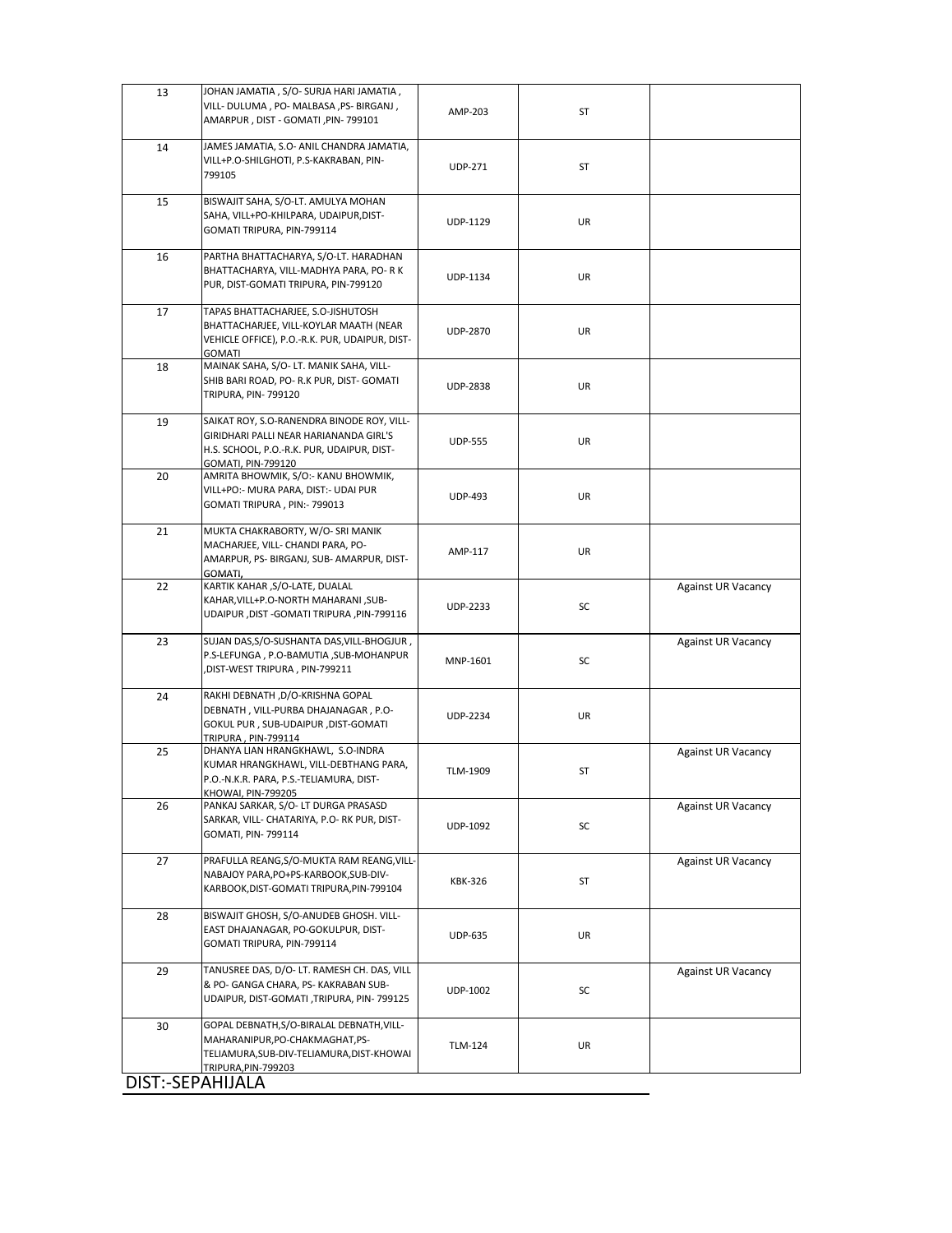| 13 | JOHAN JAMATIA, S/O- SURJA HARI JAMATIA,<br>VILL- DULUMA, PO- MALBASA, PS- BIRGANJ,                                                                              |                 |           |                           |
|----|-----------------------------------------------------------------------------------------------------------------------------------------------------------------|-----------------|-----------|---------------------------|
|    | AMARPUR, DIST - GOMATI, PIN-799101                                                                                                                              | AMP-203         | <b>ST</b> |                           |
| 14 | JAMES JAMATIA, S.O- ANIL CHANDRA JAMATIA,<br>VILL+P.O-SHILGHOTI, P.S-KAKRABAN, PIN-<br>799105                                                                   | <b>UDP-271</b>  | <b>ST</b> |                           |
| 15 | BISWAJIT SAHA, S/O-LT. AMULYA MOHAN<br>SAHA, VILL+PO-KHILPARA, UDAIPUR, DIST-<br>GOMATI TRIPURA, PIN-799114                                                     | UDP-1129        | <b>UR</b> |                           |
| 16 | PARTHA BHATTACHARYA, S/O-LT. HARADHAN<br>BHATTACHARYA, VILL-MADHYA PARA, PO- R K<br>PUR, DIST-GOMATI TRIPURA, PIN-799120                                        | UDP-1134        | <b>UR</b> |                           |
| 17 | TAPAS BHATTACHARJEE, S.O-JISHUTOSH<br>BHATTACHARJEE, VILL-KOYLAR MAATH (NEAR<br>VEHICLE OFFICE), P.O.-R.K. PUR, UDAIPUR, DIST-<br><b>GOMATI</b>                 | <b>UDP-2870</b> | UR        |                           |
| 18 | MAINAK SAHA, S/O- LT. MANIK SAHA, VILL-<br>SHIB BARI ROAD, PO- R.K PUR, DIST- GOMATI<br><b>TRIPURA, PIN-799120</b>                                              | <b>UDP-2838</b> | UR        |                           |
| 19 | SAIKAT ROY, S.O-RANENDRA BINODE ROY, VILL-<br>GIRIDHARI PALLI NEAR HARIANANDA GIRL'S<br>H.S. SCHOOL, P.O.-R.K. PUR, UDAIPUR, DIST-<br><b>GOMATI, PIN-799120</b> | <b>UDP-555</b>  | UR        |                           |
| 20 | AMRITA BHOWMIK, S/O:- KANU BHOWMIK,<br>VILL+PO:- MURA PARA, DIST:- UDAI PUR<br>GOMATI TRIPURA, PIN:- 799013                                                     | <b>UDP-493</b>  | UR        |                           |
| 21 | MUKTA CHAKRABORTY, W/O- SRI MANIK<br>MACHARJEE, VILL- CHANDI PARA, PO-<br>AMARPUR, PS- BIRGANJ, SUB- AMARPUR, DIST-<br>GOMATI,                                  | AMP-117         | <b>UR</b> |                           |
| 22 | KARTIK KAHAR , S/O-LATE, DUALAL<br>KAHAR, VILL+P.O-NORTH MAHARANI, SUB-<br>UDAIPUR, DIST - GOMATI TRIPURA, PIN-799116                                           | <b>UDP-2233</b> | SC        | <b>Against UR Vacancy</b> |
| 23 | SUJAN DAS, S/O-SUSHANTA DAS, VILL-BHOGJUR,<br>P.S-LEFUNGA, P.O-BAMUTIA, SUB-MOHANPUR<br>DIST-WEST TRIPURA, PIN-799211,                                          | MNP-1601        | SC        | <b>Against UR Vacancy</b> |
| 24 | RAKHI DEBNATH ,D/O-KRISHNA GOPAL<br>DEBNATH, VILL-PURBA DHAJANAGAR, P.O-<br>GOKUL PUR, SUB-UDAIPUR, DIST-GOMATI<br>TRIPURA, PIN-799114                          | <b>UDP-2234</b> | <b>UR</b> |                           |
| 25 | DHANYA LIAN HRANGKHAWL, S.O-INDRA<br>KUMAR HRANGKHAWL, VILL-DEBTHANG PARA,<br>P.O.-N.K.R. PARA, P.S.-TELIAMURA, DIST-<br>KHOWAI, PIN-799205                     | TLM-1909        | ST        | <b>Against UR Vacancy</b> |
| 26 | PANKAJ SARKAR, S/O- LT DURGA PRASASD<br>SARKAR, VILL- CHATARIYA, P.O- RK PUR, DIST-<br>GOMATI, PIN- 799114                                                      | UDP-1092        | SC        | <b>Against UR Vacancy</b> |
| 27 | PRAFULLA REANG, S/O-MUKTA RAM REANG, VILL-<br>NABAJOY PARA, PO+PS-KARBOOK, SUB-DIV-<br>KARBOOK, DIST-GOMATI TRIPURA, PIN-799104                                 | <b>KBK-326</b>  | <b>ST</b> | <b>Against UR Vacancy</b> |
| 28 | BISWAJIT GHOSH, S/O-ANUDEB GHOSH. VILL-<br>EAST DHAJANAGAR, PO-GOKULPUR, DIST-<br>GOMATI TRIPURA, PIN-799114                                                    | <b>UDP-635</b>  | UR        |                           |
| 29 | TANUSREE DAS, D/O- LT. RAMESH CH. DAS, VILL<br>& PO- GANGA CHARA, PS- KAKRABAN SUB-<br>UDAIPUR, DIST-GOMATI, TRIPURA, PIN- 799125                               | UDP-1002        | SC        | <b>Against UR Vacancy</b> |
| 30 | GOPAL DEBNATH, S/O-BIRALAL DEBNATH, VILL-<br>MAHARANIPUR, PO-CHAKMAGHAT, PS-<br>TELIAMURA, SUB-DIV-TELIAMURA, DIST-KHOWAI<br>TRIPURA, PIN-799203                | <b>TLM-124</b>  | <b>UR</b> |                           |
|    | DIST:-SEPAHIJALA                                                                                                                                                |                 |           |                           |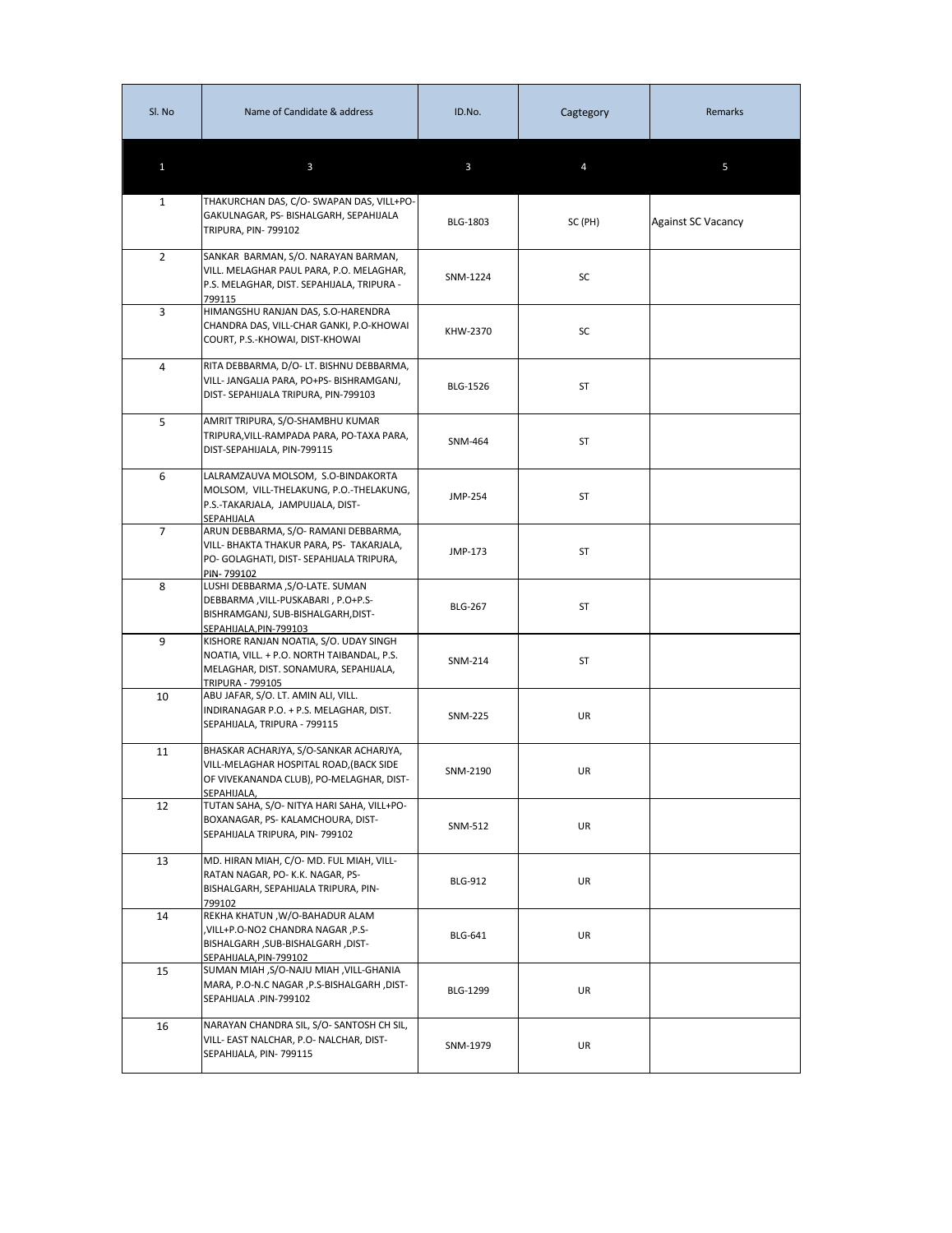| Sl. No         | Name of Candidate & address                                                                                                                              | ID.No.          | Cagtegory | Remarks                   |
|----------------|----------------------------------------------------------------------------------------------------------------------------------------------------------|-----------------|-----------|---------------------------|
| $\mathbf{1}$   | $\mathbf{3}$                                                                                                                                             | 3               |           | 5                         |
| $\mathbf{1}$   | THAKURCHAN DAS, C/O- SWAPAN DAS, VILL+PO-<br>GAKULNAGAR, PS- BISHALGARH, SEPAHIJALA<br><b>TRIPURA, PIN-799102</b>                                        | <b>BLG-1803</b> | SC (PH)   | <b>Against SC Vacancy</b> |
| $\overline{2}$ | SANKAR BARMAN, S/O. NARAYAN BARMAN,<br>VILL. MELAGHAR PAUL PARA, P.O. MELAGHAR,<br>P.S. MELAGHAR, DIST. SEPAHIJALA, TRIPURA -<br>799115                  | SNM-1224        | SC        |                           |
| 3              | HIMANGSHU RANJAN DAS, S.O-HARENDRA<br>CHANDRA DAS, VILL-CHAR GANKI, P.O-KHOWAI<br>COURT, P.S.-KHOWAI, DIST-KHOWAI                                        | KHW-2370        | SC        |                           |
| 4              | RITA DEBBARMA, D/O- LT. BISHNU DEBBARMA,<br>VILL- JANGALIA PARA, PO+PS- BISHRAMGANJ,<br>DIST- SEPAHIJALA TRIPURA, PIN-799103                             | <b>BLG-1526</b> | ST        |                           |
| 5              | AMRIT TRIPURA, S/O-SHAMBHU KUMAR<br>TRIPURA, VILL-RAMPADA PARA, PO-TAXA PARA,<br>DIST-SEPAHIJALA, PIN-799115                                             | SNM-464         | ST        |                           |
| 6              | LALRAMZAUVA MOLSOM, S.O-BINDAKORTA<br>MOLSOM, VILL-THELAKUNG, P.O.-THELAKUNG,<br>P.S.-TAKARJALA, JAMPUIJALA, DIST-<br><b>SEPAHIJALA</b>                  | JMP-254         | ST        |                           |
| $\overline{7}$ | ARUN DEBBARMA, S/O-RAMANI DEBBARMA,<br>VILL- BHAKTA THAKUR PARA, PS- TAKARJALA,<br>PO- GOLAGHATI, DIST- SEPAHIJALA TRIPURA,<br>PIN-799102                | JMP-173         | ST        |                           |
| 8              | LUSHI DEBBARMA ,S/O-LATE. SUMAN<br>DEBBARMA, VILL-PUSKABARI, P.O+P.S-<br>BISHRAMGANJ, SUB-BISHALGARH, DIST-<br>SEPAHIJALA, PIN-799103                    | <b>BLG-267</b>  | ST        |                           |
| 9              | KISHORE RANJAN NOATIA, S/O. UDAY SINGH<br>NOATIA, VILL. + P.O. NORTH TAIBANDAL, P.S.<br>MELAGHAR, DIST. SONAMURA, SEPAHIJALA,<br><b>TRIPURA - 799105</b> | SNM-214         | ST        |                           |
| 10             | ABU JAFAR, S/O. LT. AMIN ALI, VILL.<br>INDIRANAGAR P.O. + P.S. MELAGHAR, DIST.<br>SEPAHIJALA, TRIPURA - 799115                                           | SNM-225         | <b>UR</b> |                           |
| 11             | BHASKAR ACHARJYA, S/O-SANKAR ACHARJYA,<br>VILL-MELAGHAR HOSPITAL ROAD, (BACK SIDE<br>OF VIVEKANANDA CLUB), PO-MELAGHAR, DIST-<br>SEPAHIJALA,             | SNM-2190        | UR        |                           |
| 12             | TUTAN SAHA, S/O- NITYA HARI SAHA, VILL+PO-<br>BOXANAGAR, PS- KALAMCHOURA, DIST-<br>SEPAHIJALA TRIPURA, PIN-799102                                        | SNM-512         | UR        |                           |
| 13             | MD. HIRAN MIAH, C/O-MD. FUL MIAH, VILL-<br>RATAN NAGAR, PO- K.K. NAGAR, PS-<br>BISHALGARH, SEPAHIJALA TRIPURA, PIN-<br>799102                            | <b>BLG-912</b>  | UR        |                           |
| 14             | REKHA KHATUN, W/O-BAHADUR ALAM<br>,VILL+P.O-NO2 CHANDRA NAGAR, P.S-<br>BISHALGARH, SUB-BISHALGARH, DIST-<br>SEPAHIJALA, PIN-799102                       | <b>BLG-641</b>  | <b>UR</b> |                           |
| 15             | SUMAN MIAH, S/O-NAJU MIAH, VILL-GHANIA<br>MARA, P.O-N.C NAGAR , P.S-BISHALGARH, DIST-<br>SEPAHIJALA .PIN-799102                                          | <b>BLG-1299</b> | UR        |                           |
| 16             | NARAYAN CHANDRA SIL, S/O- SANTOSH CH SIL,<br>VILL- EAST NALCHAR, P.O- NALCHAR, DIST-<br>SEPAHIJALA, PIN-799115                                           | SNM-1979        | UR        |                           |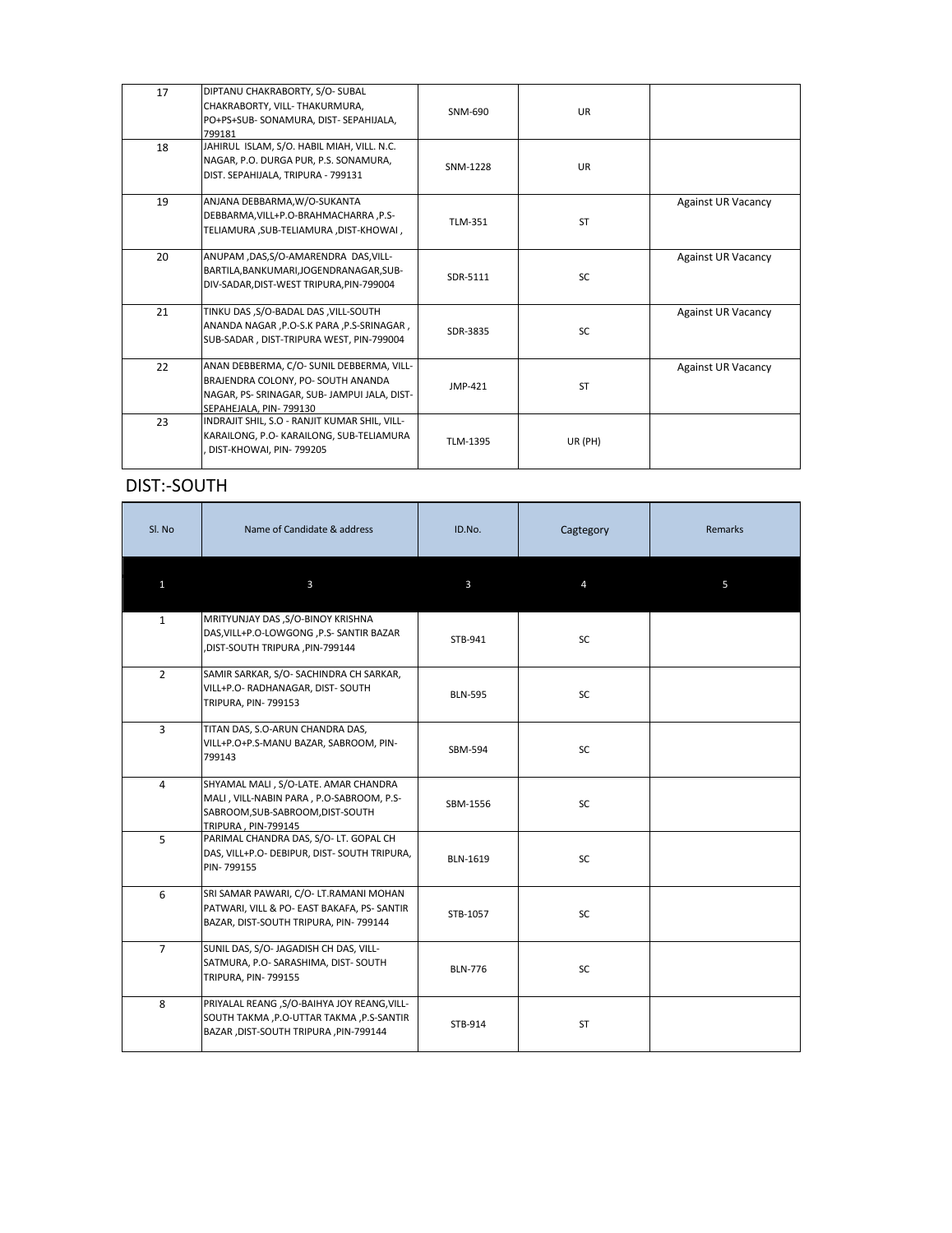| 17 | DIPTANU CHAKRABORTY, S/O- SUBAL<br>CHAKRABORTY, VILL- THAKURMURA,<br>PO+PS+SUB-SONAMURA, DIST-SEPAHIJALA,<br>799181                                       | SNM-690        | <b>UR</b> |                           |
|----|-----------------------------------------------------------------------------------------------------------------------------------------------------------|----------------|-----------|---------------------------|
| 18 | JAHIRUL ISLAM, S/O. HABIL MIAH, VILL. N.C.<br>NAGAR, P.O. DURGA PUR, P.S. SONAMURA,<br>DIST. SEPAHIJALA, TRIPURA - 799131                                 | SNM-1228       | <b>UR</b> |                           |
| 19 | ANJANA DEBBARMA, W/O-SUKANTA<br>DEBBARMA, VILL+P.O-BRAHMACHARRA, P.S-<br>TELIAMURA, SUB-TELIAMURA, DIST-KHOWAI,                                           | <b>TLM-351</b> | <b>ST</b> | <b>Against UR Vacancy</b> |
| 20 | ANUPAM ,DAS,S/O-AMARENDRA DAS, VILL-<br>BARTILA, BANKUMARI, JOGENDRANAGAR, SUB-<br>DIV-SADAR, DIST-WEST TRIPURA, PIN-799004                               | SDR-5111       | SC        | <b>Against UR Vacancy</b> |
| 21 | TINKU DAS, S/O-BADAL DAS, VILL-SOUTH<br>ANANDA NAGAR , P.O-S.K PARA , P.S-SRINAGAR,<br>SUB-SADAR, DIST-TRIPURA WEST, PIN-799004                           | SDR-3835       | <b>SC</b> | <b>Against UR Vacancy</b> |
| 22 | ANAN DEBBERMA, C/O- SUNIL DEBBERMA, VILL-<br>BRAJENDRA COLONY, PO- SOUTH ANANDA<br>NAGAR, PS- SRINAGAR, SUB- JAMPUI JALA, DIST-<br>SEPAHEJALA, PIN-799130 | JMP-421        | <b>ST</b> | <b>Against UR Vacancy</b> |
| 23 | INDRAJIT SHIL, S.O - RANJIT KUMAR SHIL, VILL-<br>KARAILONG, P.O- KARAILONG, SUB-TELIAMURA<br>DIST-KHOWAI, PIN-799205                                      | TLM-1395       | UR (PH)   |                           |

# **DIST:-SOUTH**

| Sl. No         | Name of Candidate & address                                                                                                                 | ID.No.          | Cagtegory | <b>Remarks</b> |
|----------------|---------------------------------------------------------------------------------------------------------------------------------------------|-----------------|-----------|----------------|
| $\mathbf{1}$   | $\mathbf{3}$                                                                                                                                | $\mathbf{3}$    | 4         | 5              |
| $\mathbf{1}$   | MRITYUNJAY DAS , S/O-BINOY KRISHNA<br>DAS, VILL+P.O-LOWGONG, P.S- SANTIR BAZAR<br>,DIST-SOUTH TRIPURA ,PIN-799144                           | STB-941         | <b>SC</b> |                |
| $2^{\circ}$    | SAMIR SARKAR, S/O-SACHINDRA CH SARKAR,<br>VILL+P.O- RADHANAGAR, DIST- SOUTH<br><b>TRIPURA, PIN-799153</b>                                   | <b>BLN-595</b>  | SC        |                |
| $\mathbf{3}$   | TITAN DAS, S.O-ARUN CHANDRA DAS,<br>VILL+P.O+P.S-MANU BAZAR, SABROOM, PIN-<br>799143                                                        | SBM-594         | <b>SC</b> |                |
| 4              | SHYAMAL MALI, S/O-LATE. AMAR CHANDRA<br>MALI, VILL-NABIN PARA, P.O-SABROOM, P.S-<br>SABROOM, SUB-SABROOM, DIST-SOUTH<br>TRIPURA, PIN-799145 | SBM-1556        | SC        |                |
| 5              | PARIMAL CHANDRA DAS, S/O- LT. GOPAL CH<br>DAS, VILL+P.O- DEBIPUR, DIST- SOUTH TRIPURA,<br>PIN-799155                                        | <b>BLN-1619</b> | SC        |                |
| 6              | SRI SAMAR PAWARI, C/O- LT.RAMANI MOHAN<br>PATWARI, VILL & PO- EAST BAKAFA, PS- SANTIR<br>BAZAR, DIST-SOUTH TRIPURA, PIN- 799144             | STB-1057        | <b>SC</b> |                |
| $\overline{7}$ | SUNIL DAS, S/O- JAGADISH CH DAS, VILL-<br>SATMURA, P.O- SARASHIMA, DIST- SOUTH<br><b>TRIPURA, PIN-799155</b>                                | <b>BLN-776</b>  | <b>SC</b> |                |
| 8              | PRIYALAL REANG , S/O-BAIHYA JOY REANG, VILL-<br>SOUTH TAKMA , P.O-UTTAR TAKMA , P.S-SANTIR<br>BAZAR , DIST-SOUTH TRIPURA , PIN-799144       | STB-914         | <b>ST</b> |                |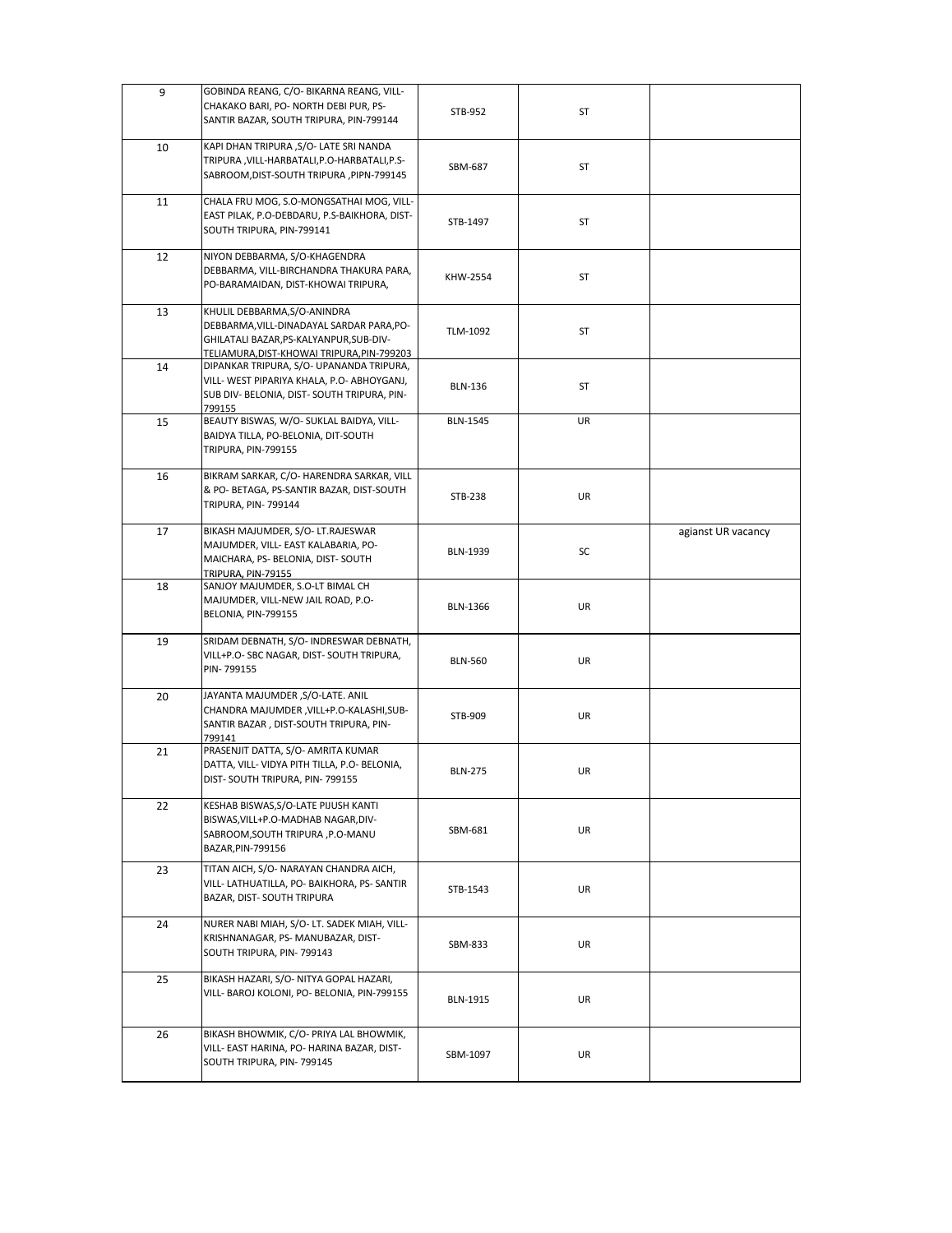| 9  | GOBINDA REANG, C/O- BIKARNA REANG, VILL-                                               |                 |           |                    |
|----|----------------------------------------------------------------------------------------|-----------------|-----------|--------------------|
|    | CHAKAKO BARI, PO- NORTH DEBI PUR, PS-                                                  | STB-952         | <b>ST</b> |                    |
|    | SANTIR BAZAR, SOUTH TRIPURA, PIN-799144                                                |                 |           |                    |
| 10 | KAPI DHAN TRIPURA , S/O- LATE SRI NANDA                                                |                 |           |                    |
|    | TRIPURA, VILL-HARBATALI, P.O-HARBATALI, P.S-                                           |                 |           |                    |
|    | SABROOM, DIST-SOUTH TRIPURA, PIPN-799145                                               | SBM-687         | <b>ST</b> |                    |
|    |                                                                                        |                 |           |                    |
| 11 | CHALA FRU MOG, S.O-MONGSATHAI MOG, VILL-                                               |                 |           |                    |
|    | EAST PILAK, P.O-DEBDARU, P.S-BAIKHORA, DIST-                                           | STB-1497        | <b>ST</b> |                    |
|    | SOUTH TRIPURA, PIN-799141                                                              |                 |           |                    |
| 12 | NIYON DEBBARMA, S/O-KHAGENDRA                                                          |                 |           |                    |
|    | DEBBARMA, VILL-BIRCHANDRA THAKURA PARA,                                                |                 |           |                    |
|    | PO-BARAMAIDAN, DIST-KHOWAI TRIPURA,                                                    | KHW-2554        | <b>ST</b> |                    |
|    |                                                                                        |                 |           |                    |
| 13 | KHULIL DEBBARMA, S/O-ANINDRA                                                           |                 |           |                    |
|    | DEBBARMA, VILL-DINADAYAL SARDAR PARA, PO-<br>GHILATALI BAZAR, PS-KALYANPUR, SUB-DIV-   | TLM-1092        | <b>ST</b> |                    |
|    | TELIAMURA, DIST-KHOWAI TRIPURA, PIN-799203                                             |                 |           |                    |
| 14 | DIPANKAR TRIPURA, S/O- UPANANDA TRIPURA,                                               |                 |           |                    |
|    | VILL- WEST PIPARIYA KHALA, P.O- ABHOYGANJ,                                             | <b>BLN-136</b>  | <b>ST</b> |                    |
|    | SUB DIV- BELONIA, DIST- SOUTH TRIPURA, PIN-                                            |                 |           |                    |
|    | 799155                                                                                 |                 |           |                    |
| 15 | BEAUTY BISWAS, W/O- SUKLAL BAIDYA, VILL-                                               | <b>BLN-1545</b> | UR        |                    |
|    | BAIDYA TILLA, PO-BELONIA, DIT-SOUTH                                                    |                 |           |                    |
|    | <b>TRIPURA, PIN-799155</b>                                                             |                 |           |                    |
| 16 | BIKRAM SARKAR, C/O- HARENDRA SARKAR, VILL                                              |                 |           |                    |
|    | & PO- BETAGA, PS-SANTIR BAZAR, DIST-SOUTH                                              |                 | UR        |                    |
|    | TRIPURA, PIN-799144                                                                    | <b>STB-238</b>  |           |                    |
|    |                                                                                        |                 |           |                    |
| 17 | BIKASH MAJUMDER, S/O- LT.RAJESWAR                                                      |                 |           | agianst UR vacancy |
|    | MAJUMDER, VILL- EAST KALABARIA, PO-<br>MAICHARA, PS- BELONIA, DIST- SOUTH              | <b>BLN-1939</b> | SC        |                    |
|    | TRIPURA, PIN-79155                                                                     |                 |           |                    |
| 18 | SANJOY MAJUMDER, S.O-LT BIMAL CH                                                       |                 |           |                    |
|    | MAJUMDER, VILL-NEW JAIL ROAD, P.O-                                                     | BLN-1366        | UR        |                    |
|    | BELONIA, PIN-799155                                                                    |                 |           |                    |
| 19 | SRIDAM DEBNATH, S/O- INDRESWAR DEBNATH,                                                |                 |           |                    |
|    | VILL+P.O- SBC NAGAR, DIST- SOUTH TRIPURA,                                              |                 |           |                    |
|    | PIN-799155                                                                             | <b>BLN-560</b>  | UR        |                    |
|    |                                                                                        |                 |           |                    |
| 20 | JAYANTA MAJUMDER , S/O-LATE. ANIL                                                      |                 |           |                    |
|    | CHANDRA MAJUMDER, VILL+P.O-KALASHI, SUB-                                               | STB-909         | UR        |                    |
|    | SANTIR BAZAR, DIST-SOUTH TRIPURA, PIN-                                                 |                 |           |                    |
| 21 | 799141<br>PRASENJIT DATTA, S/O- AMRITA KUMAR                                           |                 |           |                    |
|    | DATTA, VILL- VIDYA PITH TILLA, P.O- BELONIA,                                           |                 |           |                    |
|    | DIST-SOUTH TRIPURA, PIN-799155                                                         | <b>BLN-275</b>  | <b>UR</b> |                    |
|    |                                                                                        |                 |           |                    |
| 22 | KESHAB BISWAS, S/O-LATE PIJUSH KANTI                                                   |                 |           |                    |
|    | BISWAS, VILL+P.O-MADHAB NAGAR, DIV-                                                    | SBM-681         | <b>UR</b> |                    |
|    | SABROOM, SOUTH TRIPURA, P.O-MANU<br>BAZAR, PIN-799156                                  |                 |           |                    |
|    |                                                                                        |                 |           |                    |
| 23 | TITAN AICH, S/O- NARAYAN CHANDRA AICH,                                                 |                 |           |                    |
|    | VILL- LATHUATILLA, PO- BAIKHORA, PS- SANTIR                                            | STB-1543        | UR        |                    |
|    | BAZAR, DIST- SOUTH TRIPURA                                                             |                 |           |                    |
| 24 | NURER NABI MIAH, S/O- LT. SADEK MIAH, VILL-                                            |                 |           |                    |
|    | KRISHNANAGAR, PS-MANUBAZAR, DIST-                                                      | SBM-833         | UR        |                    |
|    | SOUTH TRIPURA, PIN-799143                                                              |                 |           |                    |
|    |                                                                                        |                 |           |                    |
| 25 | BIKASH HAZARI, S/O- NITYA GOPAL HAZARI,<br>VILL- BAROJ KOLONI, PO- BELONIA, PIN-799155 |                 |           |                    |
|    |                                                                                        | <b>BLN-1915</b> | <b>UR</b> |                    |
|    |                                                                                        |                 |           |                    |
| 26 | BIKASH BHOWMIK, C/O- PRIYA LAL BHOWMIK,                                                |                 |           |                    |
|    | VILL- EAST HARINA, PO- HARINA BAZAR, DIST-                                             | SBM-1097        | UR        |                    |
|    | SOUTH TRIPURA, PIN-799145                                                              |                 |           |                    |
|    |                                                                                        |                 |           |                    |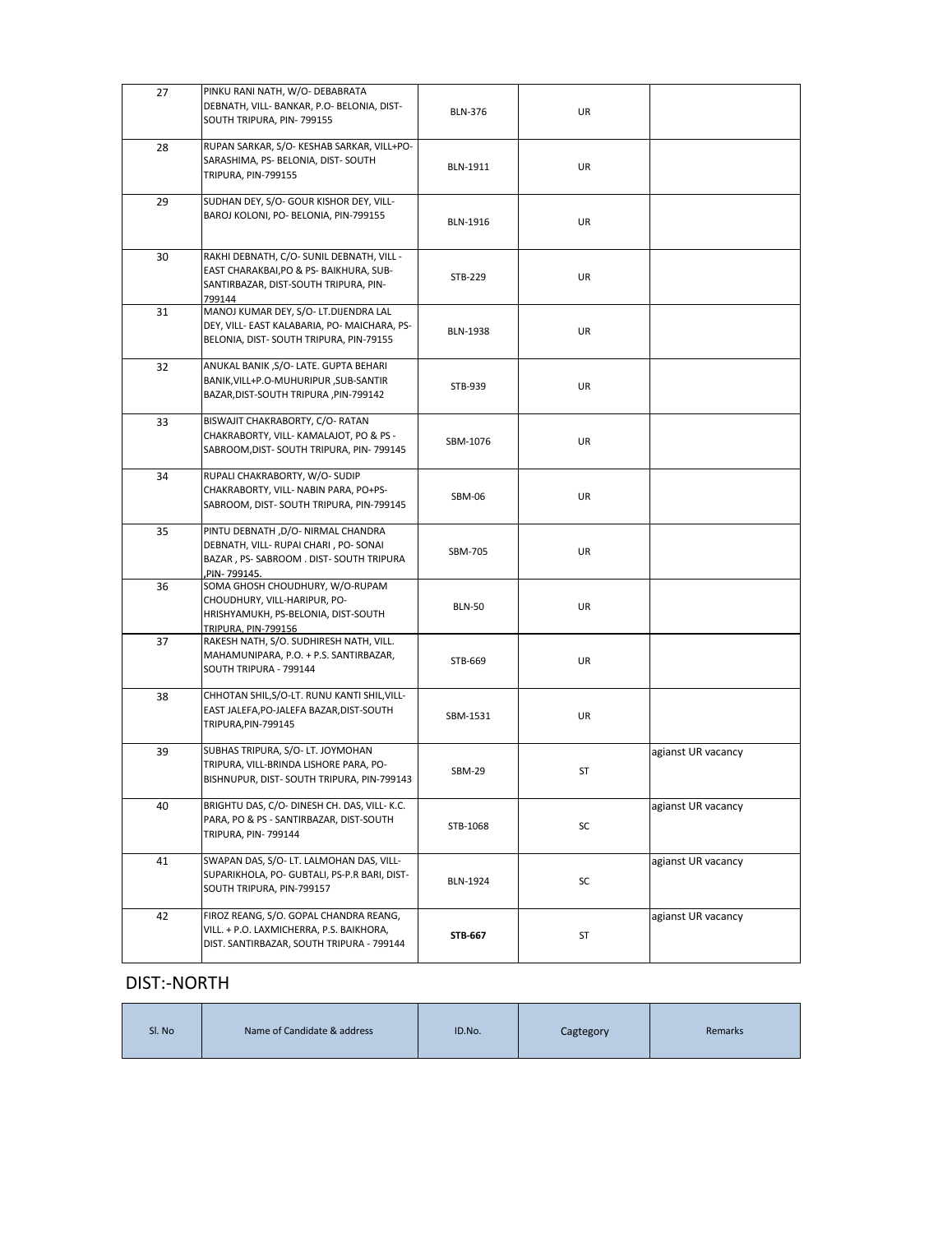| 27 | PINKU RANI NATH, W/O- DEBABRATA<br>DEBNATH, VILL- BANKAR, P.O- BELONIA, DIST-<br>SOUTH TRIPURA, PIN-799155                              | <b>BLN-376</b>  | UR |                    |
|----|-----------------------------------------------------------------------------------------------------------------------------------------|-----------------|----|--------------------|
| 28 | RUPAN SARKAR, S/O-KESHAB SARKAR, VILL+PO-<br>SARASHIMA, PS- BELONIA, DIST-SOUTH<br>TRIPURA, PIN-799155                                  | <b>BLN-1911</b> | UR |                    |
| 29 | SUDHAN DEY, S/O- GOUR KISHOR DEY, VILL-<br>BAROJ KOLONI, PO- BELONIA, PIN-799155                                                        | <b>BLN-1916</b> | UR |                    |
| 30 | RAKHI DEBNATH, C/O- SUNIL DEBNATH, VILL -<br>EAST CHARAKBAI, PO & PS- BAIKHURA, SUB-<br>SANTIRBAZAR, DIST-SOUTH TRIPURA, PIN-<br>799144 | STB-229         | UR |                    |
| 31 | MANOJ KUMAR DEY, S/O- LT.DIJENDRA LAL<br>DEY, VILL- EAST KALABARIA, PO- MAICHARA, PS-<br>BELONIA, DIST-SOUTH TRIPURA, PIN-79155         | <b>BLN-1938</b> | UR |                    |
| 32 | ANUKAL BANIK, S/O-LATE. GUPTA BEHARI<br>BANIK, VILL+P.O-MUHURIPUR, SUB-SANTIR<br>BAZAR, DIST-SOUTH TRIPURA, PIN-799142                  | STB-939         | UR |                    |
| 33 | BISWAJIT CHAKRABORTY, C/O-RATAN<br>CHAKRABORTY, VILL- KAMALAJOT, PO & PS -<br>SABROOM, DIST-SOUTH TRIPURA, PIN-799145                   | SBM-1076        | UR |                    |
| 34 | RUPALI CHAKRABORTY, W/O-SUDIP<br>CHAKRABORTY, VILL- NABIN PARA, PO+PS-<br>SABROOM, DIST-SOUTH TRIPURA, PIN-799145                       | SBM-06          | UR |                    |
| 35 | PINTU DEBNATH , D/O- NIRMAL CHANDRA<br>DEBNATH, VILL- RUPAI CHARI, PO-SONAI<br>BAZAR, PS-SABROOM. DIST-SOUTH TRIPURA<br>, PIN-799145.   | SBM-705         | UR |                    |
| 36 | SOMA GHOSH CHOUDHURY, W/O-RUPAM<br>CHOUDHURY, VILL-HARIPUR, PO-<br>HRISHYAMUKH, PS-BELONIA, DIST-SOUTH<br><b>TRIPURA, PIN-799156</b>    | <b>BLN-50</b>   | UR |                    |
| 37 | RAKESH NATH, S/O. SUDHIRESH NATH, VILL.<br>MAHAMUNIPARA, P.O. + P.S. SANTIRBAZAR,<br>SOUTH TRIPURA - 799144                             | STB-669         | UR |                    |
| 38 | CHHOTAN SHIL, S/O-LT. RUNU KANTI SHIL, VILL-<br>EAST JALEFA, PO-JALEFA BAZAR, DIST-SOUTH<br>TRIPURA, PIN-799145                         | SBM-1531        | UR |                    |
| 39 | SUBHAS TRIPURA, S/O-LT. JOYMOHAN<br>TRIPURA, VILL-BRINDA LISHORE PARA, PO-<br>BISHNUPUR, DIST- SOUTH TRIPURA, PIN-799143                | <b>SBM-29</b>   | ST | agianst UR vacancy |
| 40 | BRIGHTU DAS, C/O- DINESH CH. DAS, VILL- K.C.<br>PARA, PO & PS - SANTIRBAZAR, DIST-SOUTH<br>TRIPURA, PIN-799144                          | STB-1068        | SC | agianst UR vacancy |
| 41 | SWAPAN DAS, S/O- LT. LALMOHAN DAS, VILL-<br>SUPARIKHOLA, PO- GUBTALI, PS-P.R BARI, DIST-<br>SOUTH TRIPURA, PIN-799157                   | <b>BLN-1924</b> | SC | agianst UR vacancy |
| 42 | FIROZ REANG, S/O. GOPAL CHANDRA REANG,<br>VILL. + P.O. LAXMICHERRA, P.S. BAIKHORA,<br>DIST. SANTIRBAZAR, SOUTH TRIPURA - 799144         | STB-667         | ST | agianst UR vacancy |

#### DISI:-NORIH

| Sl. No<br>Name of Candidate & address | ID.No. | Cagtegory | Remarks |
|---------------------------------------|--------|-----------|---------|
|---------------------------------------|--------|-----------|---------|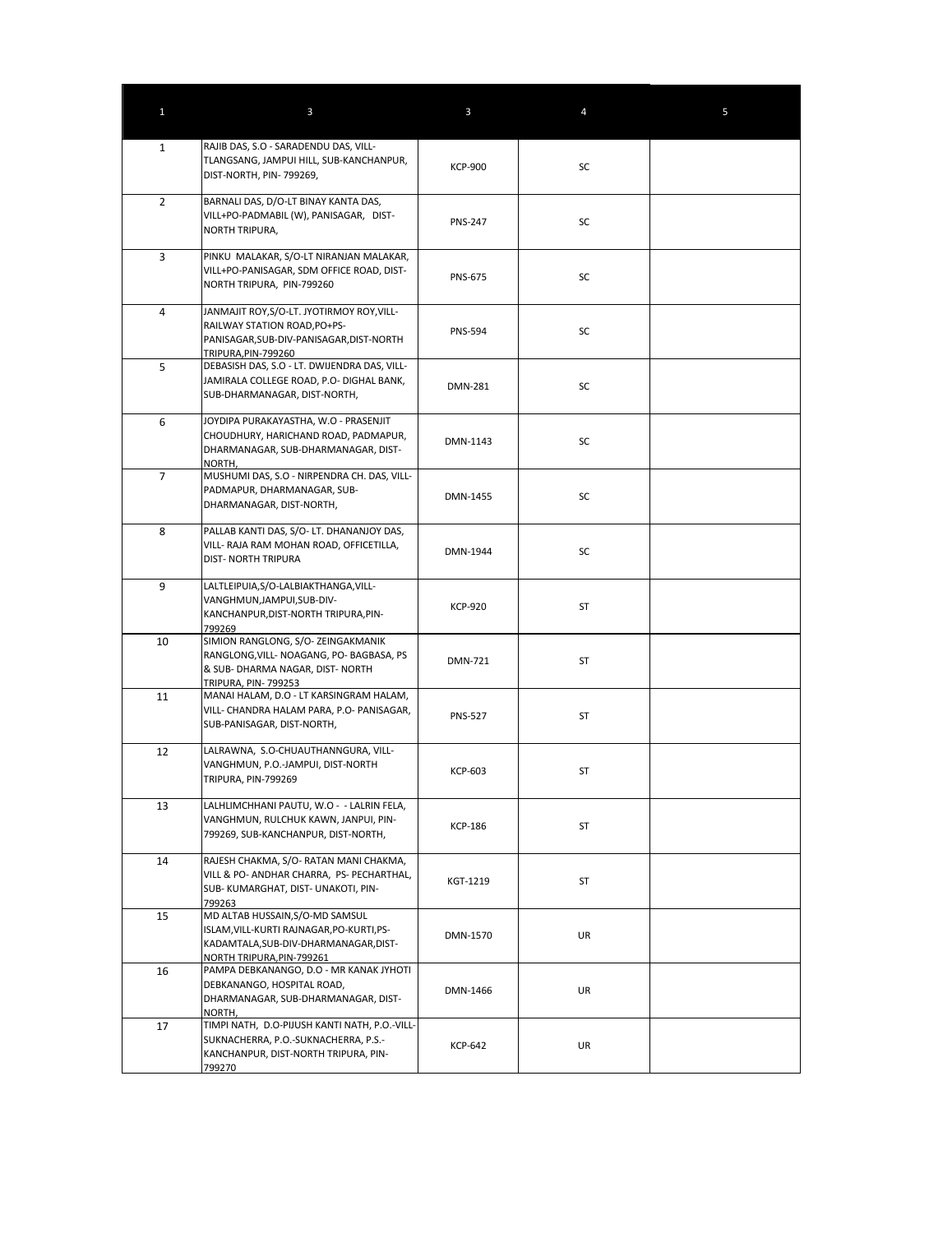| $\mathbf{1}$   | $\mathbf{3}$                                                                                                                                       | $\mathbf{3}$   | 4         | 5 |
|----------------|----------------------------------------------------------------------------------------------------------------------------------------------------|----------------|-----------|---|
| $\mathbf{1}$   | RAJIB DAS, S.O - SARADENDU DAS, VILL-<br>TLANGSANG, JAMPUI HILL, SUB-KANCHANPUR,<br>DIST-NORTH, PIN-799269,                                        | <b>KCP-900</b> | SC        |   |
| $2^{\circ}$    | BARNALI DAS, D/O-LT BINAY KANTA DAS,<br>VILL+PO-PADMABIL (W), PANISAGAR, DIST-<br>NORTH TRIPURA,                                                   | <b>PNS-247</b> | SC        |   |
| 3              | PINKU MALAKAR, S/O-LT NIRANJAN MALAKAR,<br>VILL+PO-PANISAGAR, SDM OFFICE ROAD, DIST-<br>NORTH TRIPURA, PIN-799260                                  | <b>PNS-675</b> | SC        |   |
| 4              | JANMAJIT ROY, S/O-LT. JYOTIRMOY ROY, VILL-<br>RAILWAY STATION ROAD, PO+PS-<br>PANISAGAR, SUB-DIV-PANISAGAR, DIST-NORTH<br>TRIPURA, PIN-799260      | <b>PNS-594</b> | SC        |   |
| 5              | DEBASISH DAS, S.O - LT. DWIJENDRA DAS, VILL-<br>JAMIRALA COLLEGE ROAD, P.O- DIGHAL BANK,<br>SUB-DHARMANAGAR, DIST-NORTH,                           | <b>DMN-281</b> | SC        |   |
| 6              | JOYDIPA PURAKAYASTHA, W.O - PRASENJIT<br>CHOUDHURY, HARICHAND ROAD, PADMAPUR,<br>DHARMANAGAR, SUB-DHARMANAGAR, DIST-<br>NORTH,                     | DMN-1143       | SC        |   |
| $\overline{7}$ | MUSHUMI DAS, S.O - NIRPENDRA CH. DAS, VILL-<br>PADMAPUR, DHARMANAGAR, SUB-<br>DHARMANAGAR, DIST-NORTH,                                             | DMN-1455       | SC        |   |
| 8              | PALLAB KANTI DAS, S/O- LT. DHANANJOY DAS,<br>VILL- RAJA RAM MOHAN ROAD, OFFICETILLA,<br><b>DIST- NORTH TRIPURA</b>                                 | DMN-1944       | SC        |   |
| 9              | LALTLEIPUIA, S/O-LALBIAKTHANGA, VILL-<br>VANGHMUN, JAMPUI, SUB-DIV-<br>KANCHANPUR, DIST-NORTH TRIPURA, PIN-<br>799269                              | <b>KCP-920</b> | <b>ST</b> |   |
| 10             | SIMION RANGLONG, S/O- ZEINGAKMANIK<br>RANGLONG, VILL- NOAGANG, PO- BAGBASA, PS<br>& SUB- DHARMA NAGAR, DIST- NORTH<br>TRIPURA, PIN- 799253         | <b>DMN-721</b> | <b>ST</b> |   |
| 11             | MANAI HALAM, D.O - LT KARSINGRAM HALAM,<br>VILL- CHANDRA HALAM PARA, P.O- PANISAGAR,<br>SUB-PANISAGAR, DIST-NORTH,                                 | <b>PNS-527</b> | ST        |   |
| 12             | LALRAWNA, S.O-CHUAUTHANNGURA, VILL-<br>VANGHMUN, P.O.-JAMPUI, DIST-NORTH<br>TRIPURA, PIN-799269                                                    | <b>KCP-603</b> | <b>ST</b> |   |
| 13             | LALHLIMCHHANI PAUTU, W.O - - LALRIN FELA,<br>VANGHMUN, RULCHUK KAWN, JANPUI, PIN-<br>799269, SUB-KANCHANPUR, DIST-NORTH,                           | <b>KCP-186</b> | <b>ST</b> |   |
| 14             | RAJESH CHAKMA, S/O- RATAN MANI CHAKMA,<br>VILL & PO- ANDHAR CHARRA, PS- PECHARTHAL,<br>SUB-KUMARGHAT, DIST-UNAKOTI, PIN-<br>799263                 | KGT-1219       | ST        |   |
| 15             | MD ALTAB HUSSAIN, S/O-MD SAMSUL<br>ISLAM, VILL-KURTI RAJNAGAR, PO-KURTI, PS-<br>KADAMTALA, SUB-DIV-DHARMANAGAR, DIST-<br>NORTH TRIPURA, PIN-799261 | DMN-1570       | UR        |   |
| 16             | PAMPA DEBKANANGO, D.O - MR KANAK JYHOTI<br>DEBKANANGO, HOSPITAL ROAD,<br>DHARMANAGAR, SUB-DHARMANAGAR, DIST-<br>NORTH,                             | DMN-1466       | UR        |   |
| 17             | TIMPI NATH, D.O-PIJUSH KANTI NATH, P.O.-VILL-<br>SUKNACHERRA, P.O.-SUKNACHERRA, P.S.-<br>KANCHANPUR, DIST-NORTH TRIPURA, PIN-<br>799270            | <b>KCP-642</b> | UR        |   |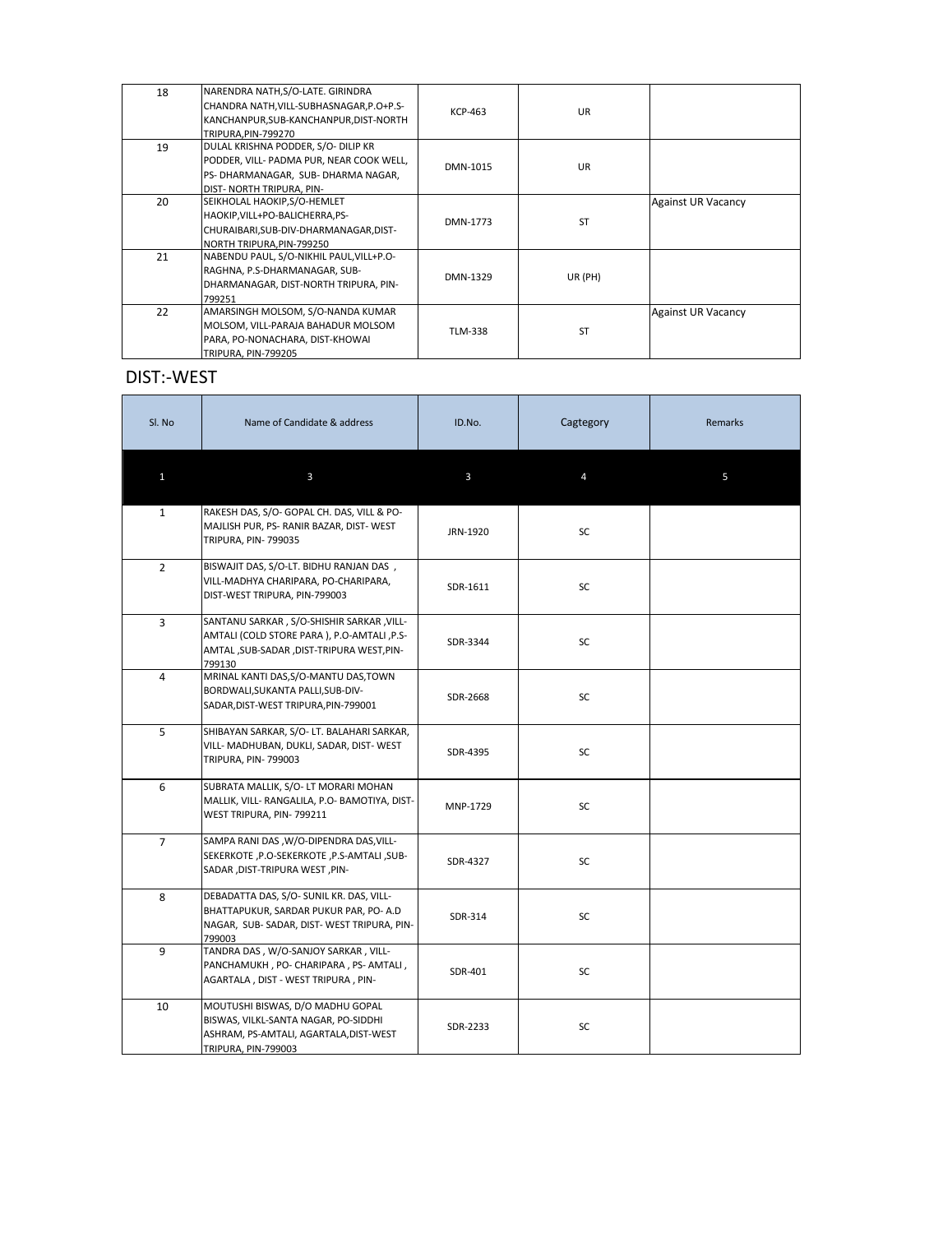| 18 | NARENDRA NATH, S/O-LATE. GIRINDRA<br>CHANDRA NATH, VILL-SUBHASNAGAR, P.O+P.S-<br>KANCHANPUR, SUB-KANCHANPUR, DIST-NORTH<br>TRIPURA, PIN-799270    | KCP-463        | <b>UR</b> |                           |
|----|---------------------------------------------------------------------------------------------------------------------------------------------------|----------------|-----------|---------------------------|
| 19 | DULAL KRISHNA PODDER, S/O- DILIP KR<br>PODDER, VILL- PADMA PUR, NEAR COOK WELL,<br>PS-DHARMANAGAR, SUB-DHARMA NAGAR,<br>DIST- NORTH TRIPURA, PIN- | DMN-1015       | <b>UR</b> |                           |
| 20 | SEIKHOLAL HAOKIP, S/O-HEMLET<br>HAOKIP, VILL+PO-BALICHERRA, PS-<br>CHURAIBARI, SUB-DIV-DHARMANAGAR, DIST-<br>NORTH TRIPURA, PIN-799250            | DMN-1773       | <b>ST</b> | <b>Against UR Vacancy</b> |
| 21 | NABENDU PAUL, S/O-NIKHIL PAUL, VILL+P.O-<br>RAGHNA, P.S-DHARMANAGAR, SUB-<br>DHARMANAGAR, DIST-NORTH TRIPURA, PIN-<br>799251                      | DMN-1329       | UR (PH)   |                           |
| 22 | AMARSINGH MOLSOM, S/O-NANDA KUMAR<br>MOLSOM, VILL-PARAJA BAHADUR MOLSOM<br>PARA, PO-NONACHARA, DIST-KHOWAI<br>TRIPURA, PIN-799205                 | <b>TLM-338</b> | <b>ST</b> | <b>Against UR Vacancy</b> |

## **DIST:-WEST**

| Sl. No         | Name of Candidate & address                                                                                                                      | ID.No.   | Cagtegory      | <b>Remarks</b> |
|----------------|--------------------------------------------------------------------------------------------------------------------------------------------------|----------|----------------|----------------|
| $\mathbf{1}$   | $\mathbf{3}$                                                                                                                                     | 3        | $\overline{4}$ | 5              |
| $\mathbf{1}$   | RAKESH DAS, S/O- GOPAL CH. DAS, VILL & PO-<br>MAJLISH PUR, PS- RANIR BAZAR, DIST- WEST<br>TRIPURA, PIN-799035                                    | JRN-1920 | SC             |                |
| $\overline{2}$ | BISWAJIT DAS, S/O-LT. BIDHU RANJAN DAS,<br>VILL-MADHYA CHARIPARA, PO-CHARIPARA,<br>DIST-WEST TRIPURA, PIN-799003                                 | SDR-1611 | <b>SC</b>      |                |
| $\overline{3}$ | SANTANU SARKAR, S/O-SHISHIR SARKAR, VILL-<br>AMTALI (COLD STORE PARA), P.O-AMTALI, P.S-<br>AMTAL, SUB-SADAR, DIST-TRIPURA WEST, PIN-<br>799130   | SDR-3344 | <b>SC</b>      |                |
| 4              | MRINAL KANTI DAS, S/O-MANTU DAS, TOWN<br>BORDWALI, SUKANTA PALLI, SUB-DIV-<br>SADAR, DIST-WEST TRIPURA, PIN-799001                               | SDR-2668 | SC             |                |
| 5              | SHIBAYAN SARKAR, S/O- LT. BALAHARI SARKAR,<br>VILL- MADHUBAN, DUKLI, SADAR, DIST-WEST<br><b>TRIPURA, PIN-799003</b>                              | SDR-4395 | SC             |                |
| 6              | SUBRATA MALLIK, S/O- LT MORARI MOHAN<br>MALLIK, VILL- RANGALILA, P.O- BAMOTIYA, DIST-<br>WEST TRIPURA, PIN-799211                                | MNP-1729 | SC             |                |
| $\overline{7}$ | SAMPA RANI DAS , W/O-DIPENDRA DAS, VILL-<br>SEKERKOTE, P.O-SEKERKOTE, P.S-AMTALI, SUB-<br>SADAR , DIST-TRIPURA WEST, PIN-                        | SDR-4327 | SC             |                |
| 8              | DEBADATTA DAS, S/O- SUNIL KR. DAS, VILL-<br>BHATTAPUKUR, SARDAR PUKUR PAR, PO-A.D<br>NAGAR, SUB-SADAR, DIST-WEST TRIPURA, PIN-<br>799003         | SDR-314  | SC             |                |
| 9              | TANDRA DAS, W/O-SANJOY SARKAR, VILL-<br>PANCHAMUKH, PO-CHARIPARA, PS-AMTALI,<br>AGARTALA, DIST - WEST TRIPURA, PIN-                              | SDR-401  | SC             |                |
| 10             | MOUTUSHI BISWAS, D/O MADHU GOPAL<br>BISWAS, VILKL-SANTA NAGAR, PO-SIDDHI<br>ASHRAM, PS-AMTALI, AGARTALA, DIST-WEST<br><b>TRIPURA, PIN-799003</b> | SDR-2233 | SC             |                |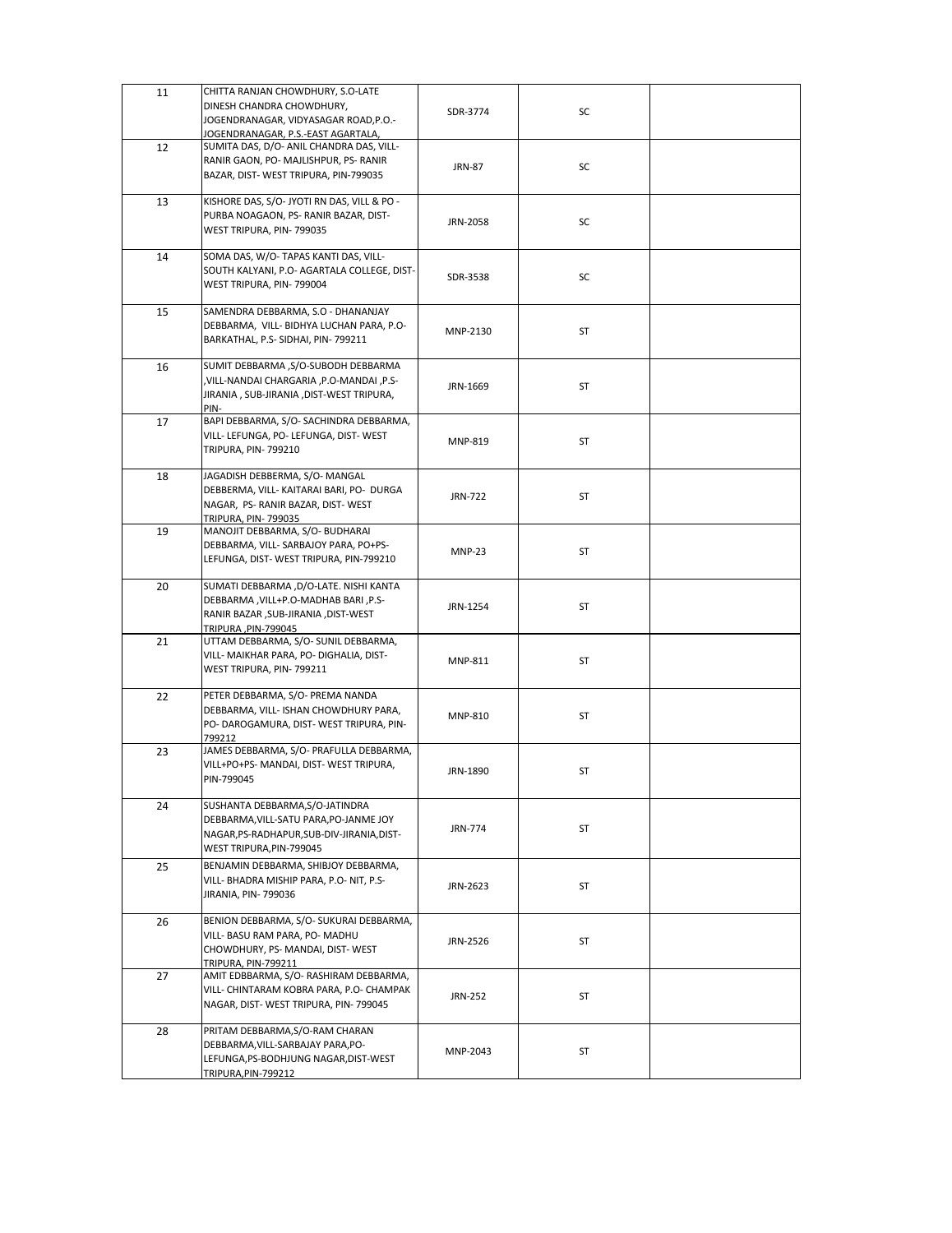| 11 | CHITTA RANJAN CHOWDHURY, S.O-LATE<br>DINESH CHANDRA CHOWDHURY,<br>JOGENDRANAGAR, VIDYASAGAR ROAD, P.O.-<br>JOGENDRANAGAR, P.S.-EAST AGARTALA,       | SDR-3774       | SC        |  |
|----|-----------------------------------------------------------------------------------------------------------------------------------------------------|----------------|-----------|--|
| 12 | SUMITA DAS, D/O- ANIL CHANDRA DAS, VILL-<br>RANIR GAON, PO- MAJLISHPUR, PS- RANIR<br>BAZAR, DIST-WEST TRIPURA, PIN-799035                           | <b>JRN-87</b>  | SC        |  |
| 13 | KISHORE DAS, S/O- JYOTI RN DAS, VILL & PO -<br>PURBA NOAGAON, PS- RANIR BAZAR, DIST-<br>WEST TRIPURA, PIN-799035                                    | JRN-2058       | SC        |  |
| 14 | SOMA DAS, W/O- TAPAS KANTI DAS, VILL-<br>SOUTH KALYANI, P.O- AGARTALA COLLEGE, DIST-<br>WEST TRIPURA, PIN-799004                                    | SDR-3538       | SC        |  |
| 15 | SAMENDRA DEBBARMA, S.O - DHANANJAY<br>DEBBARMA, VILL- BIDHYA LUCHAN PARA, P.O-<br>BARKATHAL, P.S- SIDHAI, PIN- 799211                               | MNP-2130       | ST        |  |
| 16 | SUMIT DEBBARMA, S/O-SUBODH DEBBARMA<br>,VILL-NANDAI CHARGARIA, P.O-MANDAI, P.S-<br>JIRANIA, SUB-JIRANIA, DIST-WEST TRIPURA,<br>PIN-                 | JRN-1669       | ST        |  |
| 17 | BAPI DEBBARMA, S/O-SACHINDRA DEBBARMA,<br>VILL- LEFUNGA, PO- LEFUNGA, DIST- WEST<br><b>TRIPURA, PIN-799210</b>                                      | MNP-819        | ST        |  |
| 18 | JAGADISH DEBBERMA, S/O-MANGAL<br>DEBBERMA, VILL- KAITARAI BARI, PO- DURGA<br>NAGAR, PS- RANIR BAZAR, DIST-WEST<br><b>TRIPURA, PIN-799035</b>        | <b>JRN-722</b> | ST        |  |
| 19 | MANOJIT DEBBARMA, S/O- BUDHARAI<br>DEBBARMA, VILL- SARBAJOY PARA, PO+PS-<br>LEFUNGA, DIST-WEST TRIPURA, PIN-799210                                  | <b>MNP-23</b>  | ST        |  |
| 20 | SUMATI DEBBARMA, D/O-LATE. NISHI KANTA<br>DEBBARMA, VILL+P.O-MADHAB BARI, P.S-<br>RANIR BAZAR , SUB-JIRANIA , DIST-WEST<br>TRIPURA, PIN-799045      | JRN-1254       | ST        |  |
| 21 | UTTAM DEBBARMA, S/O- SUNIL DEBBARMA,<br>VILL- MAIKHAR PARA, PO- DIGHALIA, DIST-<br>WEST TRIPURA, PIN-799211                                         | MNP-811        | ST        |  |
| 22 | PETER DEBBARMA, S/O- PREMA NANDA<br>DEBBARMA, VILL- ISHAN CHOWDHURY PARA,<br>PO- DAROGAMURA, DIST- WEST TRIPURA, PIN-<br>799212                     | <b>MNP-810</b> | ST        |  |
| 23 | JAMES DEBBARMA, S/O- PRAFULLA DEBBARMA,<br>VILL+PO+PS- MANDAI, DIST- WEST TRIPURA,<br>PIN-799045                                                    | JRN-1890       | <b>ST</b> |  |
| 24 | SUSHANTA DEBBARMA, S/O-JATINDRA<br>DEBBARMA, VILL-SATU PARA, PO-JANME JOY<br>NAGAR, PS-RADHAPUR, SUB-DIV-JIRANIA, DIST-<br>WEST TRIPURA, PIN-799045 | <b>JRN-774</b> | ST        |  |
| 25 | BENJAMIN DEBBARMA, SHIBJOY DEBBARMA,<br>VILL- BHADRA MISHIP PARA, P.O-NIT, P.S-<br>JIRANIA, PIN- 799036                                             | JRN-2623       | ST        |  |
| 26 | BENION DEBBARMA, S/O- SUKURAI DEBBARMA,<br>VILL- BASU RAM PARA, PO- MADHU<br>CHOWDHURY, PS- MANDAI, DIST- WEST<br><b>TRIPURA, PIN-799211</b>        | JRN-2526       | ST        |  |
| 27 | AMIT EDBBARMA, S/O-RASHIRAM DEBBARMA,<br>VILL- CHINTARAM KOBRA PARA, P.O- CHAMPAK<br>NAGAR, DIST-WEST TRIPURA, PIN-799045                           | <b>JRN-252</b> | ST        |  |
| 28 | PRITAM DEBBARMA, S/O-RAM CHARAN<br>DEBBARMA, VILL-SARBAJAY PARA, PO-<br>LEFUNGA, PS-BODHJUNG NAGAR, DIST-WEST<br><b>TRIPURA, PIN-799212</b>         | MNP-2043       | ST        |  |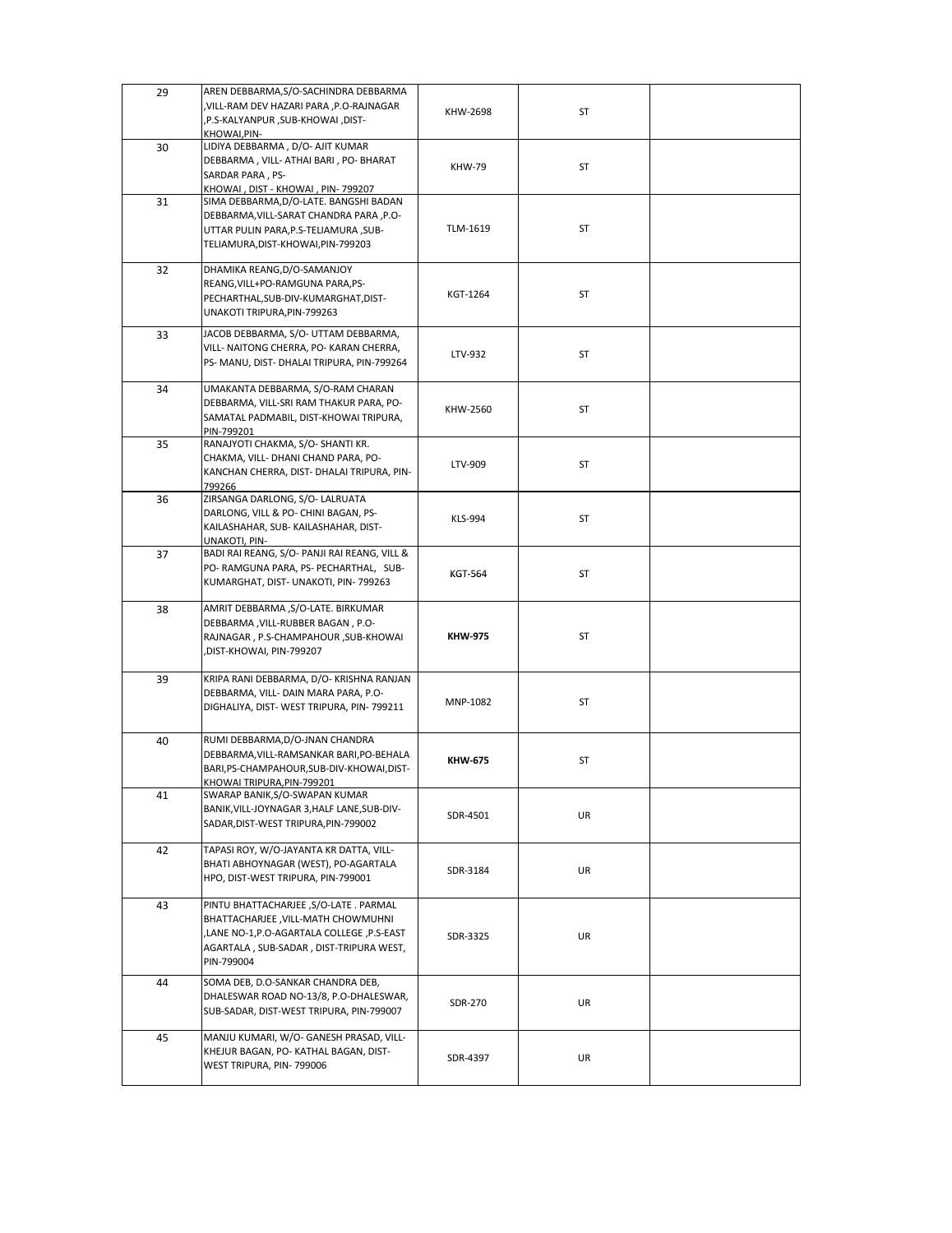| 29 | AREN DEBBARMA, S/O-SACHINDRA DEBBARMA<br>, VILL-RAM DEV HAZARI PARA , P.O-RAJNAGAR<br>,P.S-KALYANPUR, SUB-KHOWAI, DIST-<br>KHOWAI, PIN-                                            | KHW-2698       | <b>ST</b> |  |
|----|------------------------------------------------------------------------------------------------------------------------------------------------------------------------------------|----------------|-----------|--|
| 30 | LIDIYA DEBBARMA, D/O- AJIT KUMAR<br>DEBBARMA, VILL- ATHAI BARI, PO- BHARAT<br>SARDAR PARA, PS-<br>KHOWAI, DIST - KHOWAI, PIN-799207                                                | <b>KHW-79</b>  | <b>ST</b> |  |
| 31 | SIMA DEBBARMA, D/O-LATE. BANGSHI BADAN<br>DEBBARMA, VILL-SARAT CHANDRA PARA, P.O-<br>UTTAR PULIN PARA, P.S-TELIAMURA, SUB-<br>TELIAMURA, DIST-KHOWAI, PIN-799203                   | TLM-1619       | <b>ST</b> |  |
| 32 | DHAMIKA REANG, D/O-SAMANJOY<br>REANG, VILL+PO-RAMGUNA PARA, PS-<br>PECHARTHAL, SUB-DIV-KUMARGHAT, DIST-<br>UNAKOTI TRIPURA, PIN-799263                                             | KGT-1264       | <b>ST</b> |  |
| 33 | JACOB DEBBARMA, S/O- UTTAM DEBBARMA,<br>VILL- NAITONG CHERRA, PO- KARAN CHERRA,<br>PS- MANU, DIST- DHALAI TRIPURA, PIN-799264                                                      | LTV-932        | <b>ST</b> |  |
| 34 | UMAKANTA DEBBARMA, S/O-RAM CHARAN<br>DEBBARMA, VILL-SRI RAM THAKUR PARA, PO-<br>SAMATAL PADMABIL, DIST-KHOWAI TRIPURA,<br>PIN-799201                                               | KHW-2560       | <b>ST</b> |  |
| 35 | RANAJYOTI CHAKMA, S/O- SHANTI KR.<br>CHAKMA, VILL- DHANI CHAND PARA, PO-<br>KANCHAN CHERRA, DIST- DHALAI TRIPURA, PIN-<br>799266                                                   | LTV-909        | <b>ST</b> |  |
| 36 | ZIRSANGA DARLONG, S/O- LALRUATA<br>DARLONG, VILL & PO- CHINI BAGAN, PS-<br>KAILASHAHAR, SUB-KAILASHAHAR, DIST-<br><b>UNAKOTI, PIN-</b>                                             | KLS-994        | <b>ST</b> |  |
| 37 | BADI RAI REANG, S/O- PANJI RAI REANG, VILL &<br>PO- RAMGUNA PARA, PS- PECHARTHAL, SUB-<br>KUMARGHAT, DIST- UNAKOTI, PIN- 799263                                                    | <b>KGT-564</b> | ST        |  |
| 38 | AMRIT DEBBARMA, S/O-LATE. BIRKUMAR<br>DEBBARMA, VILL-RUBBER BAGAN, P.O-<br>RAJNAGAR, P.S-CHAMPAHOUR, SUB-KHOWAI<br>,DIST-KHOWAI, PIN-799207                                        | <b>KHW-975</b> | <b>ST</b> |  |
| 39 | KRIPA RANI DEBBARMA, D/O- KRISHNA RANJAN<br>DEBBARMA, VILL- DAIN MARA PARA, P.O-<br>DIGHALIYA, DIST- WEST TRIPURA, PIN- 799211                                                     | MNP-1082       | <b>ST</b> |  |
| 40 | RUMI DEBBARMA, D/O-JNAN CHANDRA<br>DEBBARMA, VILL-RAMSANKAR BARI, PO-BEHALA<br>BARI, PS-CHAMPAHOUR, SUB-DIV-KHOWAI, DIST-<br>KHOWAI TRIPURA, PIN-799201                            | <b>KHW-675</b> | <b>ST</b> |  |
| 41 | SWARAP BANIK, S/O-SWAPAN KUMAR<br>BANIK, VILL-JOYNAGAR 3, HALF LANE, SUB-DIV-<br>SADAR, DIST-WEST TRIPURA, PIN-799002                                                              | SDR-4501       | UR        |  |
| 42 | TAPASI ROY, W/O-JAYANTA KR DATTA, VILL-<br>BHATI ABHOYNAGAR (WEST), PO-AGARTALA<br>HPO, DIST-WEST TRIPURA, PIN-799001                                                              | SDR-3184       | UR        |  |
| 43 | PINTU BHATTACHARJEE, S/O-LATE . PARMAL<br>BHATTACHARJEE, VILL-MATH CHOWMUHNI<br>,LANE NO-1,P.O-AGARTALA COLLEGE, P.S-EAST<br>AGARTALA, SUB-SADAR, DIST-TRIPURA WEST,<br>PIN-799004 | SDR-3325       | UR        |  |
| 44 | SOMA DEB, D.O-SANKAR CHANDRA DEB,<br>DHALESWAR ROAD NO-13/8, P.O-DHALESWAR,<br>SUB-SADAR, DIST-WEST TRIPURA, PIN-799007                                                            | <b>SDR-270</b> | <b>UR</b> |  |
| 45 | MANJU KUMARI, W/O- GANESH PRASAD, VILL-<br>KHEJUR BAGAN, PO- KATHAL BAGAN, DIST-<br>WEST TRIPURA, PIN-799006                                                                       | SDR-4397       | UR        |  |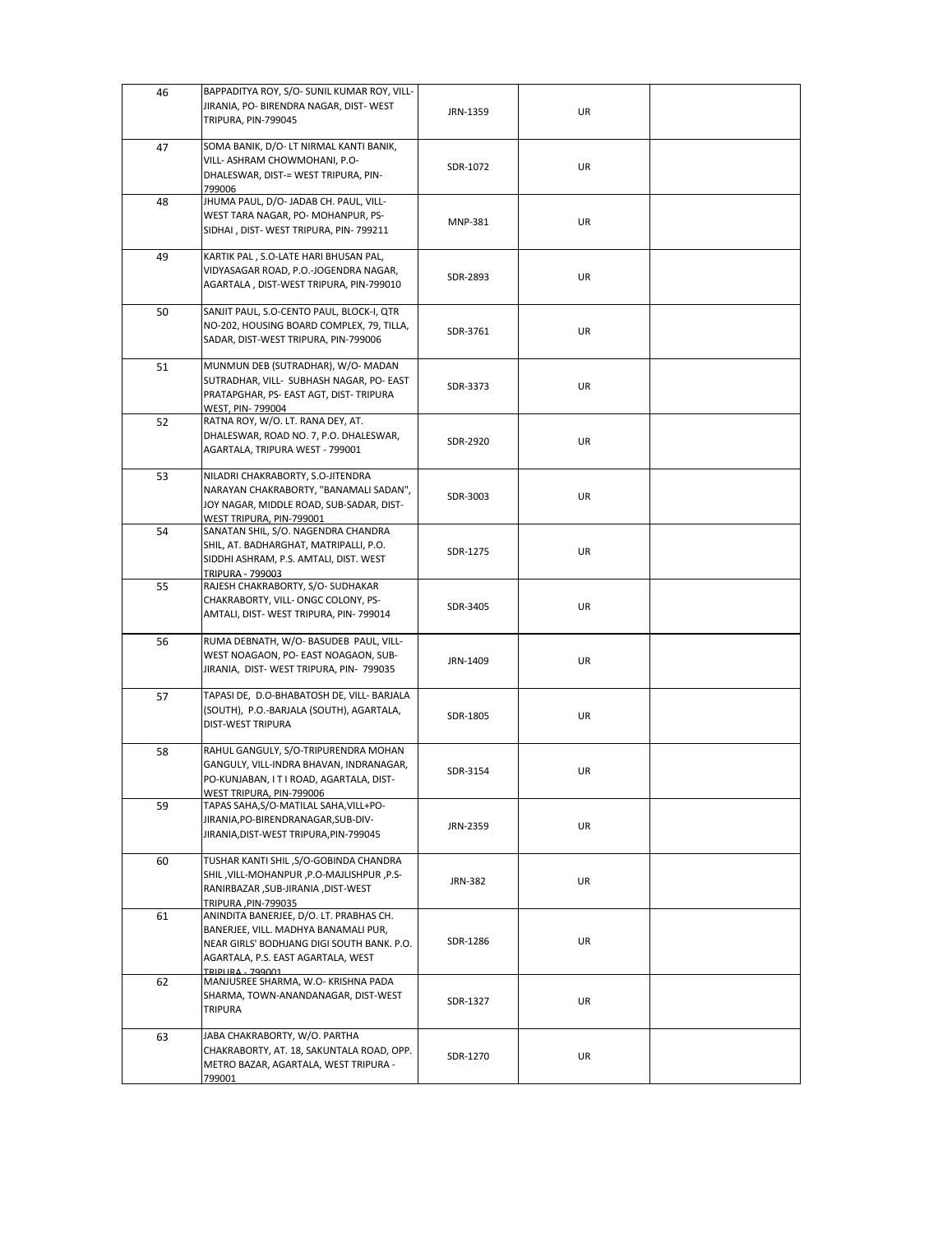| 46 | BAPPADITYA ROY, S/O- SUNIL KUMAR ROY, VILL-<br>JIRANIA, PO- BIRENDRA NAGAR, DIST- WEST<br>TRIPURA, PIN-799045                                                                                        | JRN-1359       | UR |  |
|----|------------------------------------------------------------------------------------------------------------------------------------------------------------------------------------------------------|----------------|----|--|
| 47 | SOMA BANIK, D/O- LT NIRMAL KANTI BANIK,<br>VILL- ASHRAM CHOWMOHANI, P.O-<br>DHALESWAR, DIST-= WEST TRIPURA, PIN-<br>799006                                                                           | SDR-1072       | UR |  |
| 48 | JHUMA PAUL, D/O- JADAB CH. PAUL, VILL-<br>WEST TARA NAGAR, PO-MOHANPUR, PS-<br>SIDHAI, DIST-WEST TRIPURA, PIN-799211                                                                                 | <b>MNP-381</b> | UR |  |
| 49 | KARTIK PAL, S.O-LATE HARI BHUSAN PAL,<br>VIDYASAGAR ROAD, P.O.-JOGENDRA NAGAR,<br>AGARTALA, DIST-WEST TRIPURA, PIN-799010                                                                            | SDR-2893       | UR |  |
| 50 | SANJIT PAUL, S.O-CENTO PAUL, BLOCK-I, QTR<br>NO-202, HOUSING BOARD COMPLEX, 79, TILLA,<br>SADAR, DIST-WEST TRIPURA, PIN-799006                                                                       | SDR-3761       | UR |  |
| 51 | MUNMUN DEB (SUTRADHAR), W/O-MADAN<br>SUTRADHAR, VILL- SUBHASH NAGAR, PO- EAST<br>PRATAPGHAR, PS- EAST AGT, DIST- TRIPURA<br>WEST, PIN-799004                                                         | SDR-3373       | UR |  |
| 52 | RATNA ROY, W/O. LT. RANA DEY, AT.<br>DHALESWAR, ROAD NO. 7, P.O. DHALESWAR,<br>AGARTALA, TRIPURA WEST - 799001                                                                                       | SDR-2920       | UR |  |
| 53 | NILADRI CHAKRABORTY, S.O-JITENDRA<br>NARAYAN CHAKRABORTY, "BANAMALI SADAN",<br>JOY NAGAR, MIDDLE ROAD, SUB-SADAR, DIST-<br>WEST TRIPURA, PIN-799001                                                  | SDR-3003       | UR |  |
| 54 | SANATAN SHIL, S/O. NAGENDRA CHANDRA<br>SHIL, AT. BADHARGHAT, MATRIPALLI, P.O.<br>SIDDHI ASHRAM, P.S. AMTALI, DIST. WEST<br><b>TRIPURA - 799003</b>                                                   | SDR-1275       | UR |  |
| 55 | RAJESH CHAKRABORTY, S/O-SUDHAKAR<br>CHAKRABORTY, VILL-ONGC COLONY, PS-<br>AMTALI, DIST-WEST TRIPURA, PIN-799014                                                                                      | SDR-3405       | UR |  |
| 56 | RUMA DEBNATH, W/O- BASUDEB PAUL, VILL-<br>WEST NOAGAON, PO- EAST NOAGAON, SUB-<br>JIRANIA, DIST-WEST TRIPURA, PIN- 799035                                                                            | JRN-1409       | UR |  |
| 57 | TAPASI DE, D.O-BHABATOSH DE, VILL- BARJALA<br>(SOUTH), P.O.-BARJALA (SOUTH), AGARTALA,<br><b>DIST-WEST TRIPURA</b>                                                                                   | SDR-1805       | UR |  |
| 58 | RAHUL GANGULY, S/O-TRIPURENDRA MOHAN<br>GANGULY, VILL-INDRA BHAVAN, INDRANAGAR,<br>PO-KUNJABAN, I T I ROAD, AGARTALA, DIST-<br>WEST TRIPURA, PIN-799006                                              | SDR-3154       | UR |  |
| 59 | TAPAS SAHA, S/O-MATILAL SAHA, VILL+PO-<br>JIRANIA, PO-BIRENDRANAGAR, SUB-DIV-<br>JIRANIA, DIST-WEST TRIPURA, PIN-799045                                                                              | JRN-2359       | UR |  |
| 60 | TUSHAR KANTI SHIL, S/O-GOBINDA CHANDRA<br>-P.O-MAJLISHPUR, P.O-MAJLISHPUR, P.S.<br>RANIRBAZAR , SUB-JIRANIA , DIST-WEST<br>TRIPURA, PIN-799035                                                       | <b>JRN-382</b> | UR |  |
| 61 | ANINDITA BANERJEE, D/O. LT. PRABHAS CH.<br>BANERJEE, VILL. MADHYA BANAMALI PUR,<br>NEAR GIRLS' BODHJANG DIGI SOUTH BANK. P.O.<br>AGARTALA, P.S. EAST AGARTALA, WEST<br>TRIDI IRA <sub>-</sub> 700001 | SDR-1286       | UR |  |
| 62 | MANJUSREE SHARMA, W.O- KRISHNA PADA<br>SHARMA, TOWN-ANANDANAGAR, DIST-WEST<br><b>TRIPURA</b>                                                                                                         | SDR-1327       | UR |  |
| 63 | JABA CHAKRABORTY, W/O. PARTHA<br>CHAKRABORTY, AT. 18, SAKUNTALA ROAD, OPP.<br>METRO BAZAR, AGARTALA, WEST TRIPURA -<br>799001                                                                        | SDR-1270       | UR |  |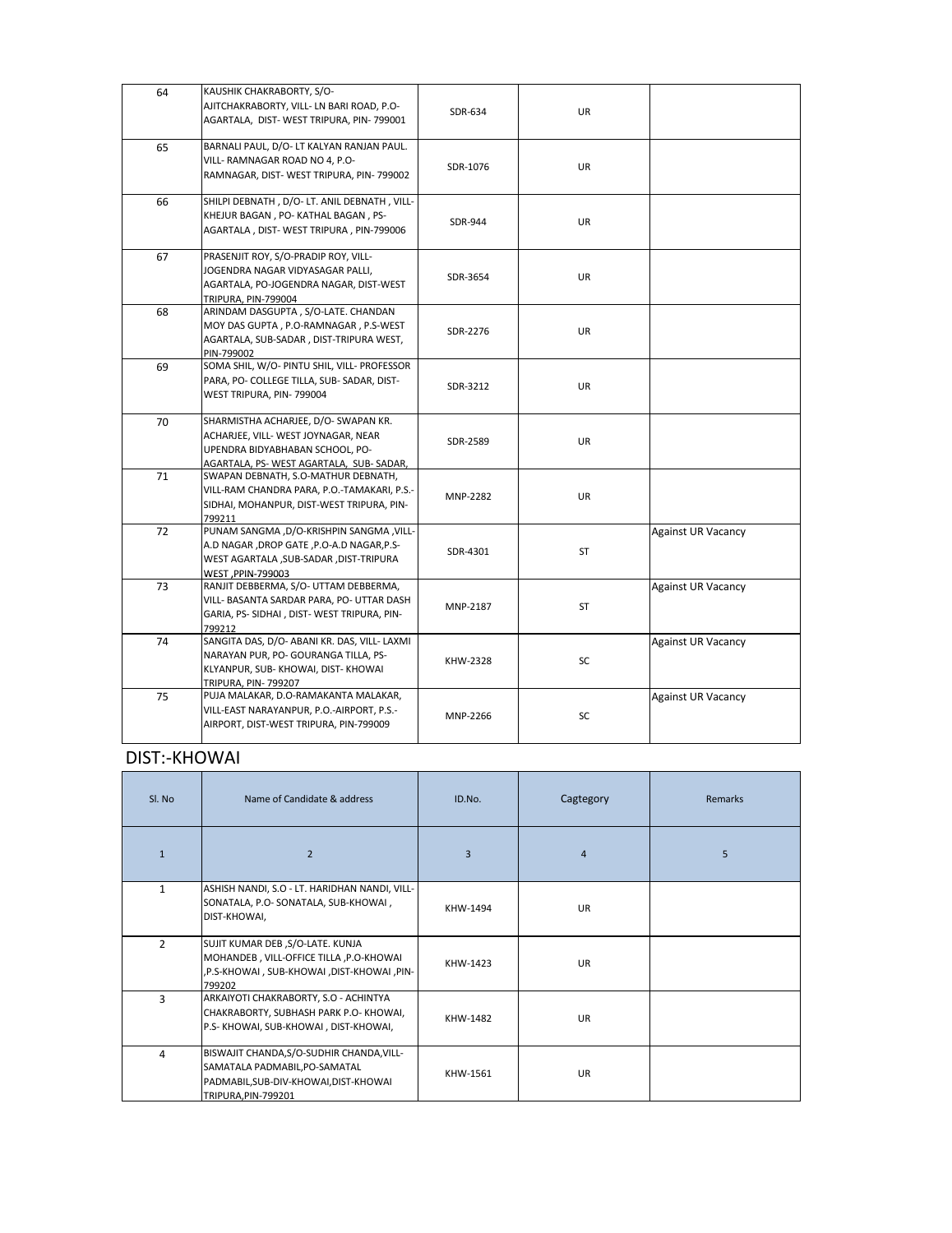| 64 | KAUSHIK CHAKRABORTY, S/O-<br>AJITCHAKRABORTY, VILL- LN BARI ROAD, P.O-<br>AGARTALA, DIST-WEST TRIPURA, PIN-799001                                         | SDR-634         | UR        |                           |
|----|-----------------------------------------------------------------------------------------------------------------------------------------------------------|-----------------|-----------|---------------------------|
| 65 | BARNALI PAUL, D/O- LT KALYAN RANJAN PAUL.<br>VILL- RAMNAGAR ROAD NO 4, P.O-<br>RAMNAGAR, DIST-WEST TRIPURA, PIN-799002                                    | SDR-1076        | UR        |                           |
| 66 | SHILPI DEBNATH, D/O-LT. ANIL DEBNATH, VILL-<br>KHEJUR BAGAN, PO-KATHAL BAGAN, PS-<br>AGARTALA, DIST-WEST TRIPURA, PIN-799006                              | SDR-944         | UR        |                           |
| 67 | PRASENJIT ROY, S/O-PRADIP ROY, VILL-<br>JOGENDRA NAGAR VIDYASAGAR PALLI,<br>AGARTALA, PO-JOGENDRA NAGAR, DIST-WEST<br>TRIPURA, PIN-799004                 | SDR-3654        | UR        |                           |
| 68 | ARINDAM DASGUPTA, S/O-LATE. CHANDAN<br>MOY DAS GUPTA, P.O-RAMNAGAR, P.S-WEST<br>AGARTALA, SUB-SADAR, DIST-TRIPURA WEST,<br>PIN-799002                     | SDR-2276        | UR        |                           |
| 69 | SOMA SHIL, W/O- PINTU SHIL, VILL- PROFESSOR<br>PARA, PO- COLLEGE TILLA, SUB- SADAR, DIST-<br>WEST TRIPURA, PIN-799004                                     | SDR-3212        | UR        |                           |
| 70 | SHARMISTHA ACHARJEE, D/O- SWAPAN KR.<br>ACHARJEE, VILL- WEST JOYNAGAR, NEAR<br>UPENDRA BIDYABHABAN SCHOOL, PO-<br>AGARTALA, PS- WEST AGARTALA, SUB-SADAR, | SDR-2589        | UR        |                           |
| 71 | SWAPAN DEBNATH, S.O-MATHUR DEBNATH,<br>VILL-RAM CHANDRA PARA, P.O.-TAMAKARI, P.S.-<br>SIDHAI, MOHANPUR, DIST-WEST TRIPURA, PIN-<br>799211                 | MNP-2282        | UR        |                           |
| 72 | PUNAM SANGMA, D/O-KRISHPIN SANGMA, VILL-<br>A.D NAGAR , DROP GATE , P.O-A.D NAGAR, P.S-<br>WEST AGARTALA , SUB-SADAR , DIST-TRIPURA<br>WEST, PPIN-799003  | SDR-4301        | <b>ST</b> | <b>Against UR Vacancy</b> |
| 73 | RANJIT DEBBERMA, S/O- UTTAM DEBBERMA,<br>VILL- BASANTA SARDAR PARA, PO- UTTAR DASH<br>GARIA, PS- SIDHAI, DIST- WEST TRIPURA, PIN-<br>799212               | MNP-2187        | <b>ST</b> | <b>Against UR Vacancy</b> |
| 74 | SANGITA DAS, D/O- ABANI KR. DAS, VILL- LAXMI<br>NARAYAN PUR, PO- GOURANGA TILLA, PS-<br>KLYANPUR, SUB-KHOWAI, DIST-KHOWAI<br>TRIPURA, PIN-799207          | <b>KHW-2328</b> | SC        | <b>Against UR Vacancy</b> |
| 75 | PUJA MALAKAR, D.O-RAMAKANTA MALAKAR,<br>VILL-EAST NARAYANPUR, P.O.-AIRPORT, P.S.-<br>AIRPORT, DIST-WEST TRIPURA, PIN-799009                               | MNP-2266        | $\sf SC$  | <b>Against UR Vacancy</b> |

# DIST:-KHOWAI

| Sl. No         | Name of Candidate & address                                                                                                                | ID.No.   | Cagtegory      | Remarks |
|----------------|--------------------------------------------------------------------------------------------------------------------------------------------|----------|----------------|---------|
| $\mathbf{1}$   | $\overline{2}$                                                                                                                             | 3        | $\overline{4}$ | 5       |
| $\mathbf{1}$   | ASHISH NANDI, S.O - LT. HARIDHAN NANDI, VILL-<br>SONATALA, P.O- SONATALA, SUB-KHOWAI,<br>DIST-KHOWAI,                                      | KHW-1494 | UR             |         |
| $\overline{2}$ | SUJIT KUMAR DEB, S/O-LATE. KUNJA<br>MOHANDEB, VILL-OFFICE TILLA, P.O-KHOWAI<br>,P.S-KHOWAI, SUB-KHOWAI, DIST-KHOWAI, PIN-<br>799202        | KHW-1423 | <b>UR</b>      |         |
| 3              | ARKAIYOTI CHAKRABORTY, S.O - ACHINTYA<br>CHAKRABORTY, SUBHASH PARK P.O-KHOWAI,<br>P.S-KHOWAI, SUB-KHOWAI, DIST-KHOWAI,                     | KHW-1482 | <b>UR</b>      |         |
| 4              | BISWAJIT CHANDA, S/O-SUDHIR CHANDA, VILL-<br>SAMATALA PADMABIL, PO-SAMATAL<br>PADMABIL, SUB-DIV-KHOWAI, DIST-KHOWAI<br>TRIPURA, PIN-799201 | KHW-1561 | <b>UR</b>      |         |